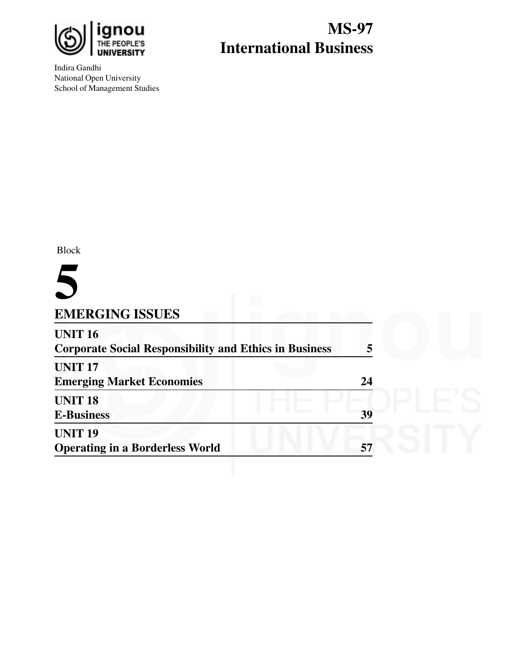

Indira Gandhi National Open University School of Management Studies

# **MS-97 International Business**

Block

# **5**

### **EMERGING ISSUES**

| <b>UNIT 16</b><br><b>Corporate Social Responsibility and Ethics in Business</b> |    |  |
|---------------------------------------------------------------------------------|----|--|
| <b>UNIT 17</b><br><b>Emerging Market Economies</b>                              | 24 |  |
| <b>UNIT 18</b><br><b>E-Business</b>                                             | 39 |  |
| <b>UNIT 19</b><br><b>Operating in a Borderless World</b>                        | 57 |  |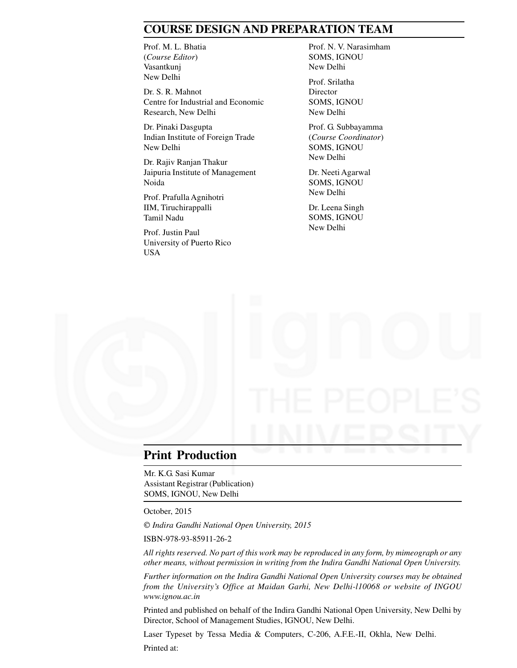### **COURSE DESIGN AND PREPARATION TEAM**

Prof. M. L. Bhatia (*Course Editor*) Vasantkunj New Delhi

Dr. S. R. Mahnot Centre for Industrial and Economic Research, New Delhi

Dr. Pinaki Dasgupta Indian Institute of Foreign Trade New Delhi

Dr. Rajiv Ranjan Thakur Jaipuria Institute of Management Noida

Prof. Prafulla Agnihotri IIM, Tiruchirappalli Tamil Nadu

Prof. Justin Paul University of Puerto Rico USA

Prof. N. V. Narasimham SOMS, IGNOU New Delhi

Prof. Srilatha **Director** SOMS, IGNOU New Delhi

Prof. G. Subbayamma (*Course Coordinator*) SOMS, IGNOU New Delhi

Dr. Neeti Agarwal SOMS, IGNOU New Delhi

Dr. Leena Singh SOMS, IGNOU New Delhi

### **Print Production**

Mr. K.G. Sasi Kumar Assistant Registrar (Publication) SOMS, IGNOU, New Delhi

October, 2015

*Indira Gandhi National Open University, 2015*

ISBN-978-93-85911-26-2

*All rights reserved. No part of this work may be reproduced in any form, by mimeograph or any other means, without permission in writing from the Indira Gandhi National Open University.*

*Further information on the Indira Gandhi National Open University courses may be obtained from the University's Office at Maidan Garhi, New Delhi-l10068 or website of INGOU www.ignou.ac.in*

Printed and published on behalf of the Indira Gandhi National Open University, New Delhi by Director, School of Management Studies, IGNOU, New Delhi.

Laser Typeset by Tessa Media & Computers, C-206, A.F.E.-II, Okhla, New Delhi.

Printed at: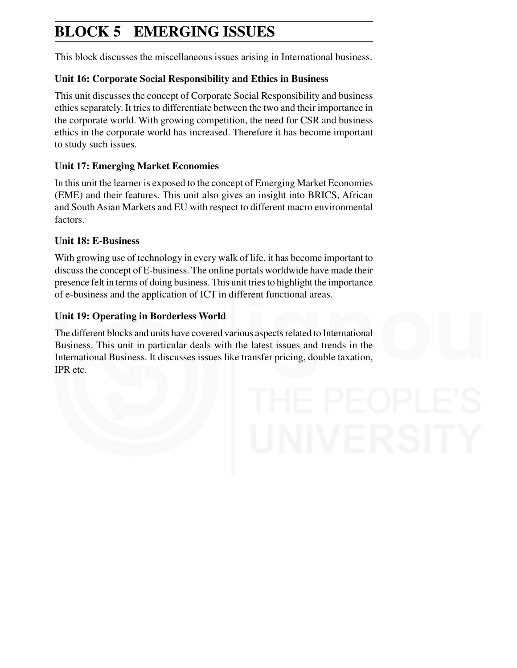# **BLOCK 5 EMERGING ISSUES**

This block discusses the miscellaneous issues arising in International business.

### **Unit 16: Corporate Social Responsibility and Ethics in Business**

This unit discusses the concept of Corporate Social Responsibility and business ethics separately. It tries to differentiate between the two and their importance in the corporate world. With growing competition, the need for CSR and business ethics in the corporate world has increased. Therefore it has become important to study such issues.

### **Unit 17: Emerging Market Economies**

In this unit the learner is exposed to the concept of Emerging Market Economies (EME) and their features. This unit also gives an insight into BRICS, African and South Asian Markets and EU with respect to different macro environmental factors.

### **Unit 18: E-Business**

With growing use of technology in every walk of life, it has become important to discuss the concept of E-business. The online portals worldwide have made their presence felt in terms of doing business. This unit tries to highlight the importance of e-business and the application of ICT in different functional areas.

### **Unit 19: Operating in Borderless World**

The different blocks and units have covered various aspects related to International Business. This unit in particular deals with the latest issues and trends in the International Business. It discusses issues like transfer pricing, double taxation, IPR etc.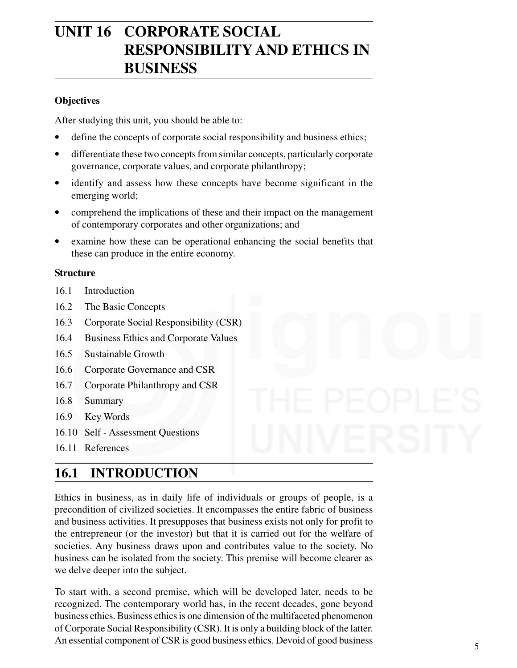# **UNIT 16 CORPORATE SOCIAL RESPONSIBILITY AND ETHICS IN BUSINESS**

#### **Objectives**

After studying this unit, you should be able to:

- define the concepts of corporate social responsibility and business ethics;
- differentiate these two concepts from similar concepts, particularly corporate governance, corporate values, and corporate philanthropy;
- identify and assess how these concepts have become significant in the emerging world;
- comprehend the implications of these and their impact on the management of contemporary corporates and other organizations; and
- examine how these can be operational enhancing the social benefits that these can produce in the entire economy.

#### **Structure**

- 16.1 Introduction
- 16.2 The Basic Concepts
- 16.3 Corporate Social Responsibility (CSR)
- 16.4 Business Ethics and Corporate Values
- 16.5 Sustainable Growth
- 16.6 Corporate Governance and CSR
- 16.7 Corporate Philanthropy and CSR
- 16.8 Summary
- 16.9 Key Words
- 16.10 Self Assessment Questions
- 16.11 References

### **16.1 INTRODUCTION**

Ethics in business, as in daily life of individuals or groups of people, is a precondition of civilized societies. It encompasses the entire fabric of business and business activities. It presupposes that business exists not only for profit to the entrepreneur (or the investor) but that it is carried out for the welfare of societies. Any business draws upon and contributes value to the society. No business can be isolated from the society. This premise will become clearer as we delve deeper into the subject.

To start with, a second premise, which will be developed later, needs to be recognized. The contemporary world has, in the recent decades, gone beyond business ethics. Business ethics is one dimension of the multifaceted phenomenon of Corporate Social Responsibility (CSR). It is only a building block of the latter. An essential component of CSR is good business ethics. Devoid of good business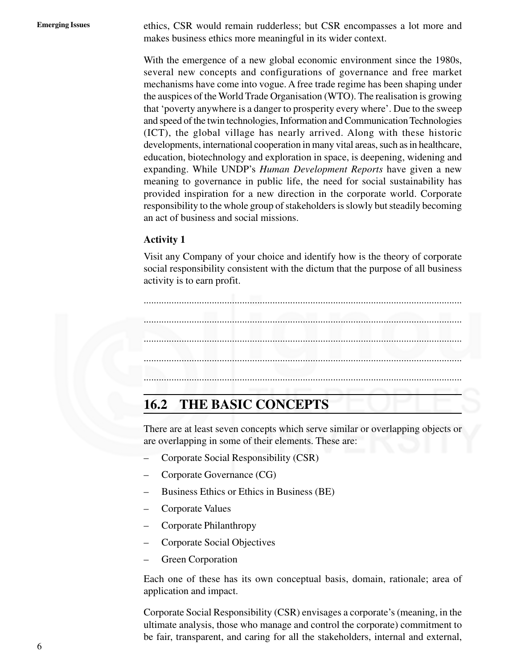Emerging Issues ethics, CSR would remain rudderless; but CSR encompasses a lot more and makes business ethics more meaningful in its wider context.

> With the emergence of a new global economic environment since the 1980s, several new concepts and configurations of governance and free market mechanisms have come into vogue. A free trade regime has been shaping under the auspices of the World Trade Organisation (WTO). The realisation is growing that 'poverty anywhere is a danger to prosperity every where'. Due to the sweep and speed of the twin technologies, Information and Communication Technologies (ICT), the global village has nearly arrived. Along with these historic developments, international cooperation in many vital areas, such as in healthcare, education, biotechnology and exploration in space, is deepening, widening and expanding. While UNDP's *Human Development Reports* have given a new meaning to governance in public life, the need for social sustainability has provided inspiration for a new direction in the corporate world. Corporate responsibility to the whole group of stakeholders is slowly but steadily becoming an act of business and social missions.

#### **Activity 1**

Visit any Company of your choice and identify how is the theory of corporate social responsibility consistent with the dictum that the purpose of all business activity is to earn profit.



### **16.2 THE BASIC CONCEPTS**

There are at least seven concepts which serve similar or overlapping objects or are overlapping in some of their elements. These are:

- Corporate Social Responsibility (CSR)
- Corporate Governance (CG)
- Business Ethics or Ethics in Business (BE)
- Corporate Values
- Corporate Philanthropy
- Corporate Social Objectives
- Green Corporation

Each one of these has its own conceptual basis, domain, rationale; area of application and impact.

Corporate Social Responsibility (CSR) envisages a corporate's (meaning, in the ultimate analysis, those who manage and control the corporate) commitment to be fair, transparent, and caring for all the stakeholders, internal and external,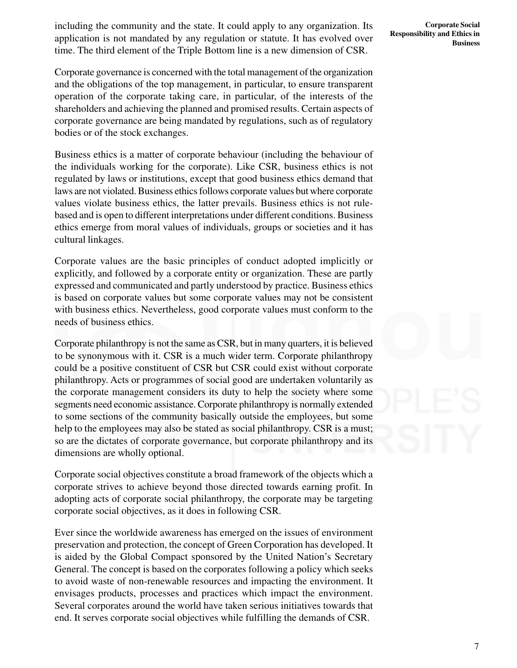including the community and the state. It could apply to any organization. Its application is not mandated by any regulation or statute. It has evolved over time. The third element of the Triple Bottom line is a new dimension of CSR.

Corporate governance is concerned with the total management of the organization and the obligations of the top management, in particular, to ensure transparent operation of the corporate taking care, in particular, of the interests of the shareholders and achieving the planned and promised results. Certain aspects of corporate governance are being mandated by regulations, such as of regulatory bodies or of the stock exchanges.

Business ethics is a matter of corporate behaviour (including the behaviour of the individuals working for the corporate). Like CSR, business ethics is not regulated by laws or institutions, except that good business ethics demand that laws are not violated. Business ethics follows corporate values but where corporate values violate business ethics, the latter prevails. Business ethics is not rulebased and is open to different interpretations under different conditions. Business ethics emerge from moral values of individuals, groups or societies and it has cultural linkages.

Corporate values are the basic principles of conduct adopted implicitly or explicitly, and followed by a corporate entity or organization. These are partly expressed and communicated and partly understood by practice. Business ethics is based on corporate values but some corporate values may not be consistent with business ethics. Nevertheless, good corporate values must conform to the needs of business ethics.

Corporate philanthropy is not the same as CSR, but in many quarters, it is believed to be synonymous with it. CSR is a much wider term. Corporate philanthropy could be a positive constituent of CSR but CSR could exist without corporate philanthropy. Acts or programmes of social good are undertaken voluntarily as the corporate management considers its duty to help the society where some segments need economic assistance. Corporate philanthropy is normally extended to some sections of the community basically outside the employees, but some help to the employees may also be stated as social philanthropy. CSR is a must; so are the dictates of corporate governance, but corporate philanthropy and its dimensions are wholly optional.

Corporate social objectives constitute a broad framework of the objects which a corporate strives to achieve beyond those directed towards earning profit. In adopting acts of corporate social philanthropy, the corporate may be targeting corporate social objectives, as it does in following CSR.

Ever since the worldwide awareness has emerged on the issues of environment preservation and protection, the concept of Green Corporation has developed. It is aided by the Global Compact sponsored by the United Nation's Secretary General. The concept is based on the corporates following a policy which seeks to avoid waste of non-renewable resources and impacting the environment. It envisages products, processes and practices which impact the environment. Several corporates around the world have taken serious initiatives towards that end. It serves corporate social objectives while fulfilling the demands of CSR.

**Corporate Social Responsibility and Ethics in Business**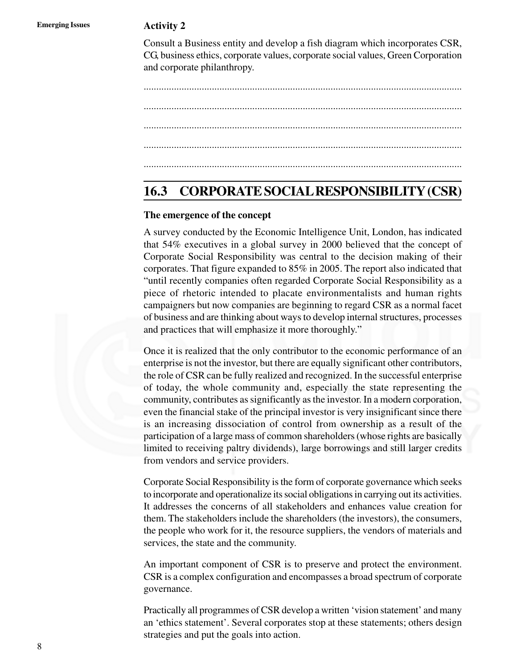Consult a Business entity and develop a fish diagram which incorporates CSR, CG, business ethics, corporate values, corporate social values, Green Corporation and corporate philanthropy.

.............................................................................................................................. .............................................................................................................................. .............................................................................................................................. .............................................................................................................................. ..............................................................................................................................

### **16.3 CORPORATE SOCIAL RESPONSIBILITY (CSR)**

#### **The emergence of the concept**

A survey conducted by the Economic Intelligence Unit, London, has indicated that 54% executives in a global survey in 2000 believed that the concept of Corporate Social Responsibility was central to the decision making of their corporates. That figure expanded to 85% in 2005. The report also indicated that "until recently companies often regarded Corporate Social Responsibility as a piece of rhetoric intended to placate environmentalists and human rights campaigners but now companies are beginning to regard CSR as a normal facet of business and are thinking about ways to develop internal structures, processes and practices that will emphasize it more thoroughly."

Once it is realized that the only contributor to the economic performance of an enterprise is not the investor, but there are equally significant other contributors, the role of CSR can be fully realized and recognized. In the successful enterprise of today, the whole community and, especially the state representing the community, contributes as significantly as the investor. In a modern corporation, even the financial stake of the principal investor is very insignificant since there is an increasing dissociation of control from ownership as a result of the participation of a large mass of common shareholders (whose rights are basically limited to receiving paltry dividends), large borrowings and still larger credits from vendors and service providers.

Corporate Social Responsibility is the form of corporate governance which seeks to incorporate and operationalize its social obligations in carrying out its activities. It addresses the concerns of all stakeholders and enhances value creation for them. The stakeholders include the shareholders (the investors), the consumers, the people who work for it, the resource suppliers, the vendors of materials and services, the state and the community.

An important component of CSR is to preserve and protect the environment. CSR is a complex configuration and encompasses a broad spectrum of corporate governance.

Practically all programmes of CSR develop a written 'vision statement' and many an 'ethics statement'. Several corporates stop at these statements; others design strategies and put the goals into action.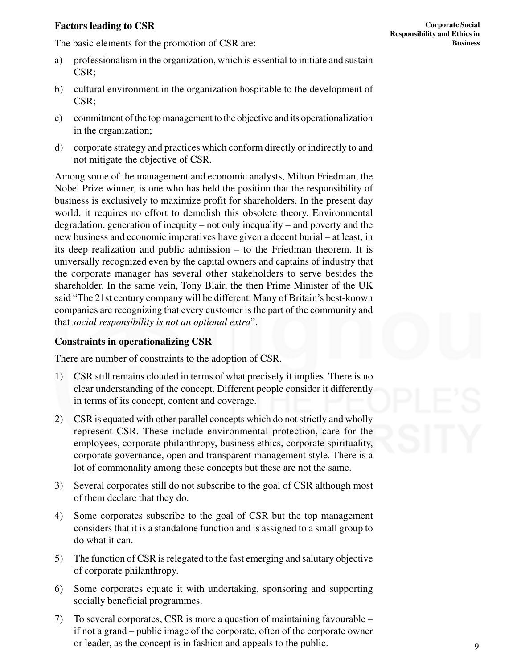#### **Factors leading to CSR**

The basic elements for the promotion of CSR are:

- a) professionalism in the organization, which is essential to initiate and sustain CSR;
- b) cultural environment in the organization hospitable to the development of CSR;
- c) commitment of the top management to the objective and its operationalization in the organization;
- d) corporate strategy and practices which conform directly or indirectly to and not mitigate the objective of CSR.

Among some of the management and economic analysts, Milton Friedman, the Nobel Prize winner, is one who has held the position that the responsibility of business is exclusively to maximize profit for shareholders. In the present day world, it requires no effort to demolish this obsolete theory. Environmental degradation, generation of inequity – not only inequality – and poverty and the new business and economic imperatives have given a decent burial – at least, in its deep realization and public admission – to the Friedman theorem. It is universally recognized even by the capital owners and captains of industry that the corporate manager has several other stakeholders to serve besides the shareholder. In the same vein, Tony Blair, the then Prime Minister of the UK said "The 21st century company will be different. Many of Britain's best-known companies are recognizing that every customer is the part of the community and that *social responsibility is not an optional extra*".

#### **Constraints in operationalizing CSR**

There are number of constraints to the adoption of CSR.

- 1) CSR still remains clouded in terms of what precisely it implies. There is no clear understanding of the concept. Different people consider it differently in terms of its concept, content and coverage.
- 2) CSR is equated with other parallel concepts which do not strictly and wholly represent CSR. These include environmental protection, care for the employees, corporate philanthropy, business ethics, corporate spirituality, corporate governance, open and transparent management style. There is a lot of commonality among these concepts but these are not the same.
- 3) Several corporates still do not subscribe to the goal of CSR although most of them declare that they do.
- 4) Some corporates subscribe to the goal of CSR but the top management considers that it is a standalone function and is assigned to a small group to do what it can.
- 5) The function of CSR is relegated to the fast emerging and salutary objective of corporate philanthropy.
- 6) Some corporates equate it with undertaking, sponsoring and supporting socially beneficial programmes.
- 7) To several corporates, CSR is more a question of maintaining favourable if not a grand – public image of the corporate, often of the corporate owner or leader, as the concept is in fashion and appeals to the public.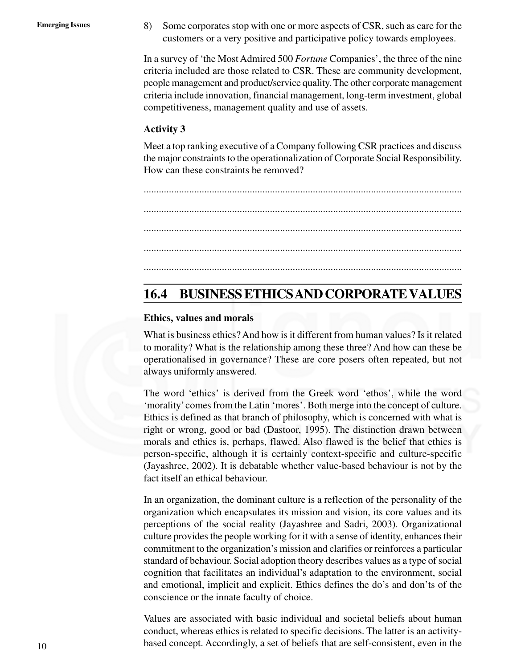Emerging Issues 8) Some corporates stop with one or more aspects of CSR, such as care for the customers or a very positive and participative policy towards employees.

> In a survey of 'the Most Admired 500 *Fortune* Companies', the three of the nine criteria included are those related to CSR. These are community development, people management and product/service quality. The other corporate management criteria include innovation, financial management, long-term investment, global competitiveness, management quality and use of assets.

#### **Activity 3**

Meet a top ranking executive of a Company following CSR practices and discuss the major constraints to the operationalization of Corporate Social Responsibility. How can these constraints be removed?

.............................................................................................................................. .............................................................................................................................. .............................................................................................................................. .............................................................................................................................. ..............................................................................................................................

### **16.4 BUSINESS ETHICS AND CORPORATE VALUES**

#### **Ethics, values and morals**

What is business ethics? And how is it different from human values? Is it related to morality? What is the relationship among these three? And how can these be operationalised in governance? These are core posers often repeated, but not always uniformly answered.

The word 'ethics' is derived from the Greek word 'ethos', while the word 'morality' comes from the Latin 'mores'. Both merge into the concept of culture. Ethics is defined as that branch of philosophy, which is concerned with what is right or wrong, good or bad (Dastoor, 1995). The distinction drawn between morals and ethics is, perhaps, flawed. Also flawed is the belief that ethics is person-specific, although it is certainly context-specific and culture-specific (Jayashree, 2002). It is debatable whether value-based behaviour is not by the fact itself an ethical behaviour.

In an organization, the dominant culture is a reflection of the personality of the organization which encapsulates its mission and vision, its core values and its perceptions of the social reality (Jayashree and Sadri, 2003). Organizational culture provides the people working for it with a sense of identity, enhances their commitment to the organization's mission and clarifies or reinforces a particular standard of behaviour. Social adoption theory describes values as a type of social cognition that facilitates an individual's adaptation to the environment, social and emotional, implicit and explicit. Ethics defines the do's and don'ts of the conscience or the innate faculty of choice.

Values are associated with basic individual and societal beliefs about human conduct, whereas ethics is related to specific decisions. The latter is an activitybased concept. Accordingly, a set of beliefs that are self-consistent, even in the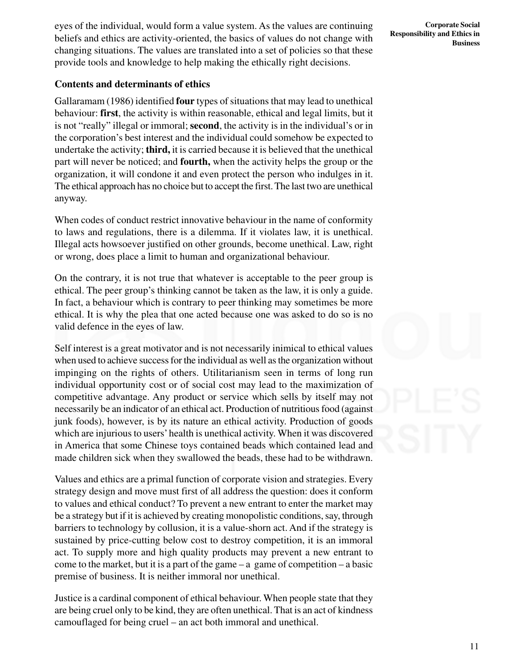eyes of the individual, would form a value system. As the values are continuing beliefs and ethics are activity-oriented, the basics of values do not change with changing situations. The values are translated into a set of policies so that these provide tools and knowledge to help making the ethically right decisions.

#### **Contents and determinants of ethics**

Gallaramam (1986) identified **four** types of situations that may lead to unethical behaviour: **first**, the activity is within reasonable, ethical and legal limits, but it is not "really" illegal or immoral; **second**, the activity is in the individual's or in the corporation's best interest and the individual could somehow be expected to undertake the activity; **third,** it is carried because it is believed that the unethical part will never be noticed; and **fourth,** when the activity helps the group or the organization, it will condone it and even protect the person who indulges in it. The ethical approach has no choice but to accept the first. The last two are unethical anyway.

When codes of conduct restrict innovative behaviour in the name of conformity to laws and regulations, there is a dilemma. If it violates law, it is unethical. Illegal acts howsoever justified on other grounds, become unethical. Law, right or wrong, does place a limit to human and organizational behaviour.

On the contrary, it is not true that whatever is acceptable to the peer group is ethical. The peer group's thinking cannot be taken as the law, it is only a guide. In fact, a behaviour which is contrary to peer thinking may sometimes be more ethical. It is why the plea that one acted because one was asked to do so is no valid defence in the eyes of law.

Self interest is a great motivator and is not necessarily inimical to ethical values when used to achieve success for the individual as well as the organization without impinging on the rights of others. Utilitarianism seen in terms of long run individual opportunity cost or of social cost may lead to the maximization of competitive advantage. Any product or service which sells by itself may not necessarily be an indicator of an ethical act. Production of nutritious food (against junk foods), however, is by its nature an ethical activity. Production of goods which are injurious to users' health is unethical activity. When it was discovered in America that some Chinese toys contained beads which contained lead and made children sick when they swallowed the beads, these had to be withdrawn.

Values and ethics are a primal function of corporate vision and strategies. Every strategy design and move must first of all address the question: does it conform to values and ethical conduct? To prevent a new entrant to enter the market may be a strategy but if it is achieved by creating monopolistic conditions, say, through barriers to technology by collusion, it is a value-shorn act. And if the strategy is sustained by price-cutting below cost to destroy competition, it is an immoral act. To supply more and high quality products may prevent a new entrant to come to the market, but it is a part of the game  $-$  a game of competition  $-$  a basic premise of business. It is neither immoral nor unethical.

Justice is a cardinal component of ethical behaviour. When people state that they are being cruel only to be kind, they are often unethical. That is an act of kindness camouflaged for being cruel – an act both immoral and unethical.

**Corporate Social Responsibility and Ethics in Business**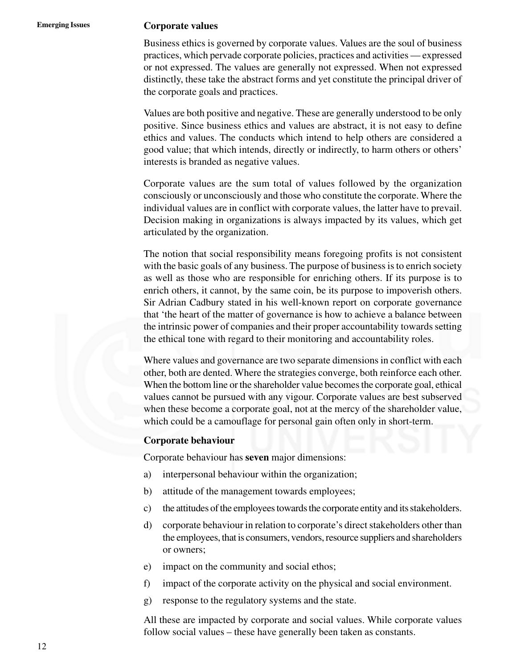#### **Emerging Issues Corporate values**

Business ethics is governed by corporate values. Values are the soul of business practices, which pervade corporate policies, practices and activities — expressed or not expressed. The values are generally not expressed. When not expressed distinctly, these take the abstract forms and yet constitute the principal driver of the corporate goals and practices.

Values are both positive and negative. These are generally understood to be only positive. Since business ethics and values are abstract, it is not easy to define ethics and values. The conducts which intend to help others are considered a good value; that which intends, directly or indirectly, to harm others or others' interests is branded as negative values.

Corporate values are the sum total of values followed by the organization consciously or unconsciously and those who constitute the corporate. Where the individual values are in conflict with corporate values, the latter have to prevail. Decision making in organizations is always impacted by its values, which get articulated by the organization.

The notion that social responsibility means foregoing profits is not consistent with the basic goals of any business. The purpose of business is to enrich society as well as those who are responsible for enriching others. If its purpose is to enrich others, it cannot, by the same coin, be its purpose to impoverish others. Sir Adrian Cadbury stated in his well-known report on corporate governance that 'the heart of the matter of governance is how to achieve a balance between the intrinsic power of companies and their proper accountability towards setting the ethical tone with regard to their monitoring and accountability roles.

Where values and governance are two separate dimensions in conflict with each other, both are dented. Where the strategies converge, both reinforce each other. When the bottom line or the shareholder value becomes the corporate goal, ethical values cannot be pursued with any vigour. Corporate values are best subserved when these become a corporate goal, not at the mercy of the shareholder value, which could be a camouflage for personal gain often only in short-term.

#### **Corporate behaviour**

Corporate behaviour has **seven** major dimensions:

- a) interpersonal behaviour within the organization;
- b) attitude of the management towards employees;
- c) the attitudes of the employees towards the corporate entity and its stakeholders.
- d) corporate behaviour in relation to corporate's direct stakeholders other than the employees, that is consumers, vendors, resource suppliers and shareholders or owners;
- e) impact on the community and social ethos;
- f) impact of the corporate activity on the physical and social environment.
- g) response to the regulatory systems and the state.

All these are impacted by corporate and social values. While corporate values follow social values – these have generally been taken as constants.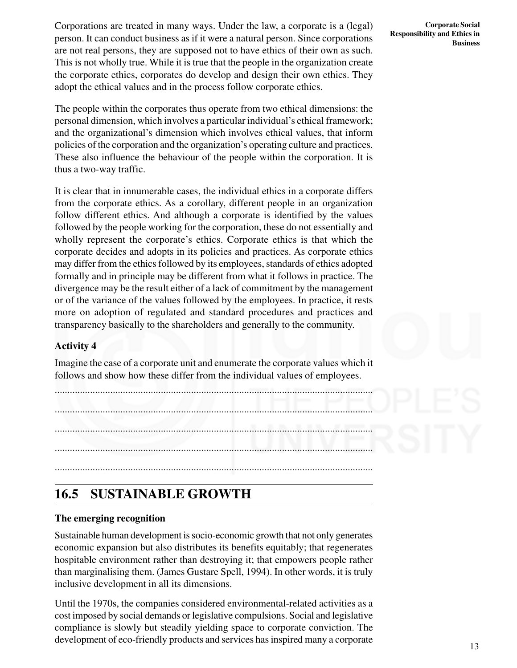Corporations are treated in many ways. Under the law, a corporate is a (legal) person. It can conduct business as if it were a natural person. Since corporations are not real persons, they are supposed not to have ethics of their own as such. This is not wholly true. While it is true that the people in the organization create the corporate ethics, corporates do develop and design their own ethics. They adopt the ethical values and in the process follow corporate ethics.

The people within the corporates thus operate from two ethical dimensions: the personal dimension, which involves a particular individual's ethical framework; and the organizational's dimension which involves ethical values, that inform policies of the corporation and the organization's operating culture and practices. These also influence the behaviour of the people within the corporation. It is thus a two-way traffic.

It is clear that in innumerable cases, the individual ethics in a corporate differs from the corporate ethics. As a corollary, different people in an organization follow different ethics. And although a corporate is identified by the values followed by the people working for the corporation, these do not essentially and wholly represent the corporate's ethics. Corporate ethics is that which the corporate decides and adopts in its policies and practices. As corporate ethics may differ from the ethics followed by its employees, standards of ethics adopted formally and in principle may be different from what it follows in practice. The divergence may be the result either of a lack of commitment by the management or of the variance of the values followed by the employees. In practice, it rests more on adoption of regulated and standard procedures and practices and transparency basically to the shareholders and generally to the community.

#### **Activity 4**

Imagine the case of a corporate unit and enumerate the corporate values which it follows and show how these differ from the individual values of employees.

.............................................................................................................................. .............................................................................................................................. .............................................................................................................................. .............................................................................................................................. ..............................................................................................................................

### **16.5 SUSTAINABLE GROWTH**

#### **The emerging recognition**

Sustainable human development is socio-economic growth that not only generates economic expansion but also distributes its benefits equitably; that regenerates hospitable environment rather than destroying it; that empowers people rather than marginalising them. (James Gustare Spell, 1994). In other words, it is truly inclusive development in all its dimensions.

Until the 1970s, the companies considered environmental-related activities as a cost imposed by social demands or legislative compulsions. Social and legislative compliance is slowly but steadily yielding space to corporate conviction. The development of eco-friendly products and services has inspired many a corporate

**Corporate Social Responsibility and Ethics in Business**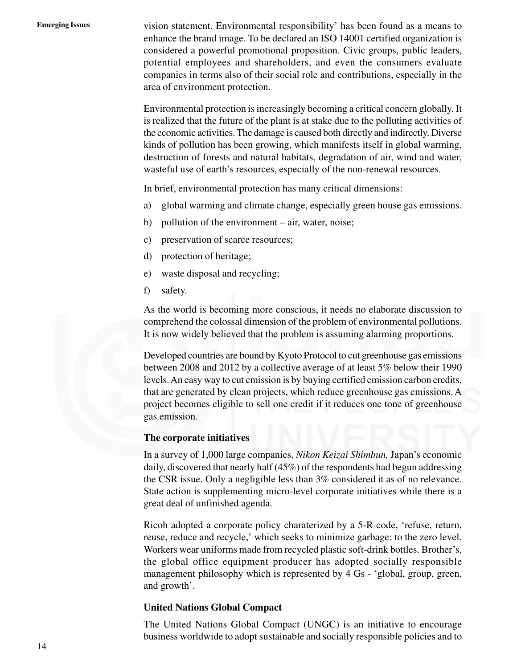**Emerging Issues** vision statement. Environmental responsibility' has been found as a means to enhance the brand image. To be declared an ISO 14001 certified organization is considered a powerful promotional proposition. Civic groups, public leaders, potential employees and shareholders, and even the consumers evaluate companies in terms also of their social role and contributions, especially in the area of environment protection.

> Environmental protection is increasingly becoming a critical concern globally. It is realized that the future of the plant is at stake due to the polluting activities of the economic activities. The damage is caused both directly and indirectly. Diverse kinds of pollution has been growing, which manifests itself in global warming, destruction of forests and natural habitats, degradation of air, wind and water, wasteful use of earth's resources, especially of the non-renewal resources.

In brief, environmental protection has many critical dimensions:

- a) global warming and climate change, especially green house gas emissions.
- b) pollution of the environment air, water, noise;
- c) preservation of scarce resources;
- d) protection of heritage;
- e) waste disposal and recycling;
- f) safety.

As the world is becoming more conscious, it needs no elaborate discussion to comprehend the colossal dimension of the problem of environmental pollutions. It is now widely believed that the problem is assuming alarming proportions.

Developed countries are bound by Kyoto Protocol to cut greenhouse gas emissions between 2008 and 2012 by a collective average of at least 5% below their 1990 levels. An easy way to cut emission is by buying certified emission carbon credits, that are generated by clean projects, which reduce greenhouse gas emissions. A project becomes eligible to sell one credit if it reduces one tone of greenhouse gas emission.

#### **The corporate initiatives**

In a survey of 1,000 large companies, *Nikon Keizai Shimbun,* Japan's economic daily, discovered that nearly half (45%) of the respondents had begun addressing the CSR issue. Only a negligible less than 3% considered it as of no relevance. State action is supplementing micro-level corporate initiatives while there is a great deal of unfinished agenda.

Ricoh adopted a corporate policy charaterized by a 5-R code, 'refuse, return, reuse, reduce and recycle,' which seeks to minimize garbage: to the zero level. Workers wear uniforms made from recycled plastic soft-drink bottles. Brother's, the global office equipment producer has adopted socially responsible management philosophy which is represented by 4 Gs - 'global, group, green, and growth'.

#### **United Nations Global Compact**

The United Nations Global Compact (UNGC) is an initiative to encourage business worldwide to adopt sustainable and socially responsible policies and to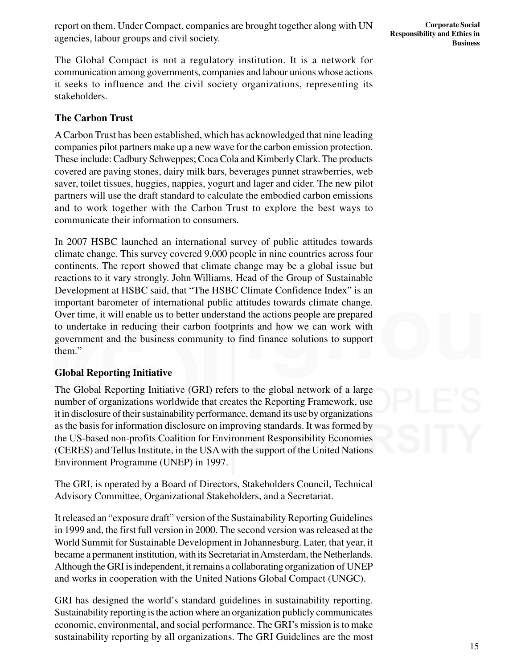report on them. Under Compact, companies are brought together along with UN agencies, labour groups and civil society.

The Global Compact is not a regulatory institution. It is a network for communication among governments, companies and labour unions whose actions it seeks to influence and the civil society organizations, representing its stakeholders.

#### **The Carbon Trust**

A Carbon Trust has been established, which has acknowledged that nine leading companies pilot partners make up a new wave for the carbon emission protection. These include: Cadbury Schweppes; Coca Cola and Kimberly Clark. The products covered are paving stones, dairy milk bars, beverages punnet strawberries, web saver, toilet tissues, huggies, nappies, yogurt and lager and cider. The new pilot partners will use the draft standard to calculate the embodied carbon emissions and to work together with the Carbon Trust to explore the best ways to communicate their information to consumers.

In 2007 HSBC launched an international survey of public attitudes towards climate change. This survey covered 9,000 people in nine countries across four continents. The report showed that climate change may be a global issue but reactions to it vary strongly. John Williams, Head of the Group of Sustainable Development at HSBC said, that "The HSBC Climate Confidence Index" is an important barometer of international public attitudes towards climate change. Over time, it will enable us to better understand the actions people are prepared to undertake in reducing their carbon footprints and how we can work with government and the business community to find finance solutions to support them."

#### **Global Reporting Initiative**

The Global Reporting Initiative (GRI) refers to the global network of a large number of organizations worldwide that creates the Reporting Framework, use it in disclosure of their sustainability performance, demand its use by organizations as the basis for information disclosure on improving standards. It was formed by the US-based non-profits Coalition for Environment Responsibility Economies (CERES) and Tellus Institute, in the USA with the support of the United Nations Environment Programme (UNEP) in 1997.

The GRI, is operated by a Board of Directors, Stakeholders Council, Technical Advisory Committee, Organizational Stakeholders, and a Secretariat.

It released an "exposure draft" version of the Sustainability Reporting Guidelines in 1999 and, the first full version in 2000. The second version was released at the World Summit for Sustainable Development in Johannesburg. Later, that year, it became a permanent institution, with its Secretariat in Amsterdam, the Netherlands. Although the GRI is independent, it remains a collaborating organization of UNEP and works in cooperation with the United Nations Global Compact (UNGC).

GRI has designed the world's standard guidelines in sustainability reporting. Sustainability reporting is the action where an organization publicly communicates economic, environmental, and social performance. The GRI's mission is to make sustainability reporting by all organizations. The GRI Guidelines are the most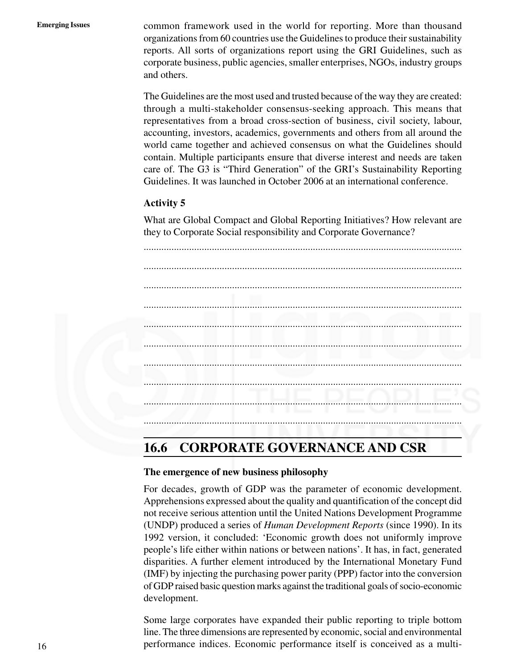**Emerging Issues** common framework used in the world for reporting. More than thousand organizations from 60 countries use the Guidelines to produce their sustainability reports. All sorts of organizations report using the GRI Guidelines, such as corporate business, public agencies, smaller enterprises, NGOs, industry groups and others.

> The Guidelines are the most used and trusted because of the way they are created: through a multi-stakeholder consensus-seeking approach. This means that representatives from a broad cross-section of business, civil society, labour, accounting, investors, academics, governments and others from all around the world came together and achieved consensus on what the Guidelines should contain. Multiple participants ensure that diverse interest and needs are taken care of. The G3 is "Third Generation" of the GRI's Sustainability Reporting Guidelines. It was launched in October 2006 at an international conference.

#### **Activity 5**

What are Global Compact and Global Reporting Initiatives? How relevant are they to Corporate Social responsibility and Corporate Governance?



### **16.6 CORPORATE GOVERNANCE AND CSR**

#### **The emergence of new business philosophy**

For decades, growth of GDP was the parameter of economic development. Apprehensions expressed about the quality and quantification of the concept did not receive serious attention until the United Nations Development Programme (UNDP) produced a series of *Human Development Reports* (since 1990). In its 1992 version, it concluded: 'Economic growth does not uniformly improve people's life either within nations or between nations'. It has, in fact, generated disparities. A further element introduced by the International Monetary Fund (IMF) by injecting the purchasing power parity (PPP) factor into the conversion of GDP raised basic question marks against the traditional goals of socio-economic development.

Some large corporates have expanded their public reporting to triple bottom line. The three dimensions are represented by economic, social and environmental performance indices. Economic performance itself is conceived as a multi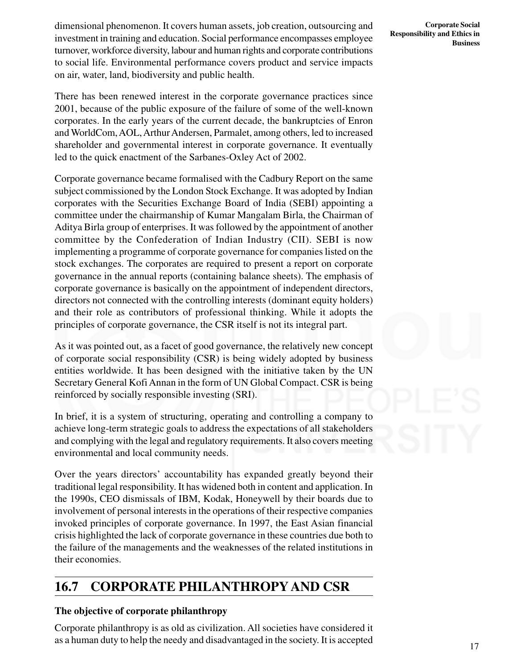dimensional phenomenon. It covers human assets, job creation, outsourcing and investment in training and education. Social performance encompasses employee turnover, workforce diversity, labour and human rights and corporate contributions to social life. Environmental performance covers product and service impacts on air, water, land, biodiversity and public health.

There has been renewed interest in the corporate governance practices since 2001, because of the public exposure of the failure of some of the well-known corporates. In the early years of the current decade, the bankruptcies of Enron and WorldCom, AOL, Arthur Andersen, Parmalet, among others, led to increased shareholder and governmental interest in corporate governance. It eventually led to the quick enactment of the Sarbanes-Oxley Act of 2002.

Corporate governance became formalised with the Cadbury Report on the same subject commissioned by the London Stock Exchange. It was adopted by Indian corporates with the Securities Exchange Board of India (SEBI) appointing a committee under the chairmanship of Kumar Mangalam Birla, the Chairman of Aditya Birla group of enterprises. It was followed by the appointment of another committee by the Confederation of Indian Industry (CII). SEBI is now implementing a programme of corporate governance for companies listed on the stock exchanges. The corporates are required to present a report on corporate governance in the annual reports (containing balance sheets). The emphasis of corporate governance is basically on the appointment of independent directors, directors not connected with the controlling interests (dominant equity holders) and their role as contributors of professional thinking. While it adopts the principles of corporate governance, the CSR itself is not its integral part.

As it was pointed out, as a facet of good governance, the relatively new concept of corporate social responsibility (CSR) is being widely adopted by business entities worldwide. It has been designed with the initiative taken by the UN Secretary General Kofi Annan in the form of UN Global Compact. CSR is being reinforced by socially responsible investing (SRI).

In brief, it is a system of structuring, operating and controlling a company to achieve long-term strategic goals to address the expectations of all stakeholders and complying with the legal and regulatory requirements. It also covers meeting environmental and local community needs.

Over the years directors' accountability has expanded greatly beyond their traditional legal responsibility. It has widened both in content and application. In the 1990s, CEO dismissals of IBM, Kodak, Honeywell by their boards due to involvement of personal interests in the operations of their respective companies invoked principles of corporate governance. In 1997, the East Asian financial crisis highlighted the lack of corporate governance in these countries due both to the failure of the managements and the weaknesses of the related institutions in their economies.

### **16.7 CORPORATE PHILANTHROPYAND CSR**

#### **The objective of corporate philanthropy**

Corporate philanthropy is as old as civilization. All societies have considered it as a human duty to help the needy and disadvantaged in the society. It is accepted

**Corporate Social Responsibility and Ethics in Business**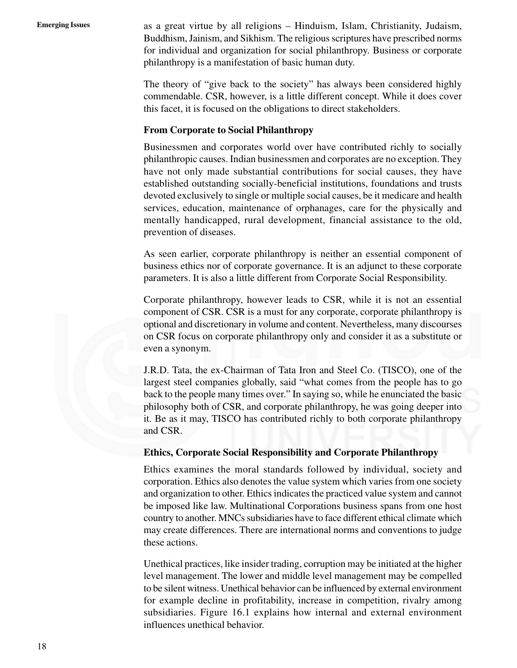**Emerging Issues** as a great virtue by all religions – Hinduism, Islam, Christianity, Judaism, Buddhism, Jainism, and Sikhism. The religious scriptures have prescribed norms for individual and organization for social philanthropy. Business or corporate philanthropy is a manifestation of basic human duty.

> The theory of "give back to the society" has always been considered highly commendable. CSR, however, is a little different concept. While it does cover this facet, it is focused on the obligations to direct stakeholders.

#### **From Corporate to Social Philanthropy**

Businessmen and corporates world over have contributed richly to socially philanthropic causes. Indian businessmen and corporates are no exception. They have not only made substantial contributions for social causes, they have established outstanding socially-beneficial institutions, foundations and trusts devoted exclusively to single or multiple social causes, be it medicare and health services, education, maintenance of orphanages, care for the physically and mentally handicapped, rural development, financial assistance to the old, prevention of diseases.

As seen earlier, corporate philanthropy is neither an essential component of business ethics nor of corporate governance. It is an adjunct to these corporate parameters. It is also a little different from Corporate Social Responsibility.

Corporate philanthropy, however leads to CSR, while it is not an essential component of CSR. CSR is a must for any corporate, corporate philanthropy is optional and discretionary in volume and content. Nevertheless, many discourses on CSR focus on corporate philanthropy only and consider it as a substitute or even a synonym.

J.R.D. Tata, the ex-Chairman of Tata Iron and Steel Co. (TISCO), one of the largest steel companies globally, said "what comes from the people has to go back to the people many times over." In saying so, while he enunciated the basic philosophy both of CSR, and corporate philanthropy, he was going deeper into it. Be as it may, TISCO has contributed richly to both corporate philanthropy and CSR.

#### **Ethics, Corporate Social Responsibility and Corporate Philanthropy**

Ethics examines the moral standards followed by individual, society and corporation. Ethics also denotes the value system which varies from one society and organization to other. Ethics indicates the practiced value system and cannot be imposed like law. Multinational Corporations business spans from one host country to another. MNCs subsidiaries have to face different ethical climate which may create differences. There are international norms and conventions to judge these actions.

Unethical practices, like insider trading, corruption may be initiated at the higher level management. The lower and middle level management may be compelled to be silent witness. Unethical behavior can be influenced by external environment for example decline in profitability, increase in competition, rivalry among subsidiaries. Figure 16.1 explains how internal and external environment influences unethical behavior.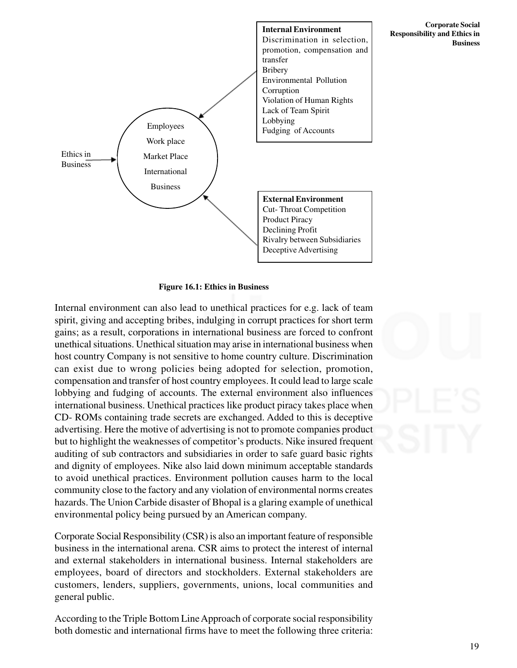

**Corporate Social Responsibility and Ethics in Business**

#### **Figure 16.1: Ethics in Business**

Internal environment can also lead to unethical practices for e.g. lack of team spirit, giving and accepting bribes, indulging in corrupt practices for short term gains; as a result, corporations in international business are forced to confront unethical situations. Unethical situation may arise in international business when host country Company is not sensitive to home country culture. Discrimination can exist due to wrong policies being adopted for selection, promotion, compensation and transfer of host country employees. It could lead to large scale lobbying and fudging of accounts. The external environment also influences international business. Unethical practices like product piracy takes place when CD- ROMs containing trade secrets are exchanged. Added to this is deceptive advertising. Here the motive of advertising is not to promote companies product but to highlight the weaknesses of competitor's products. Nike insured frequent auditing of sub contractors and subsidiaries in order to safe guard basic rights and dignity of employees. Nike also laid down minimum acceptable standards to avoid unethical practices. Environment pollution causes harm to the local community close to the factory and any violation of environmental norms creates hazards. The Union Carbide disaster of Bhopal is a glaring example of unethical environmental policy being pursued by an American company.

Corporate Social Responsibility (CSR) is also an important feature of responsible business in the international arena. CSR aims to protect the interest of internal and external stakeholders in international business. Internal stakeholders are employees, board of directors and stockholders. External stakeholders are customers, lenders, suppliers, governments, unions, local communities and general public.

According to the Triple Bottom Line Approach of corporate social responsibility both domestic and international firms have to meet the following three criteria: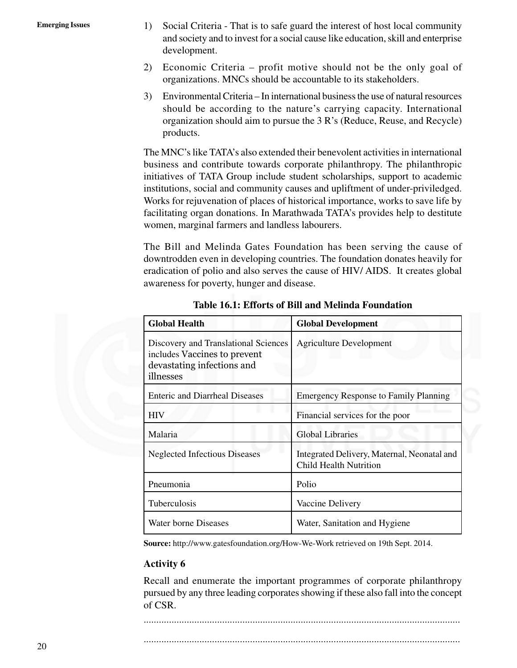- Emerging Issues 1) Social Criteria That is to safe guard the interest of host local community and society and to invest for a social cause like education, skill and enterprise development.
	- 2) Economic Criteria profit motive should not be the only goal of organizations. MNCs should be accountable to its stakeholders.
	- 3) Environmental Criteria In international business the use of natural resources should be according to the nature's carrying capacity. International organization should aim to pursue the 3 R's (Reduce, Reuse, and Recycle) products.

The MNC's like TATA's also extended their benevolent activities in international business and contribute towards corporate philanthropy. The philanthropic initiatives of TATA Group include student scholarships, support to academic institutions, social and community causes and upliftment of under-priviledged. Works for rejuvenation of places of historical importance, works to save life by facilitating organ donations. In Marathwada TATA's provides help to destitute women, marginal farmers and landless labourers.

The Bill and Melinda Gates Foundation has been serving the cause of downtrodden even in developing countries. The foundation donates heavily for eradication of polio and also serves the cause of HIV/ AIDS. It creates global awareness for poverty, hunger and disease.

| <b>Global Health</b>                                                                                            | <b>Global Development</b>                                                    |
|-----------------------------------------------------------------------------------------------------------------|------------------------------------------------------------------------------|
| Discovery and Translational Sciences<br>includes Vaccines to prevent<br>devastating infections and<br>illnesses | <b>Agriculture Development</b>                                               |
| <b>Enteric and Diarrheal Diseases</b>                                                                           | <b>Emergency Response to Family Planning</b>                                 |
| <b>HIV</b>                                                                                                      | Financial services for the poor                                              |
| Malaria                                                                                                         | <b>Global Libraries</b>                                                      |
| <b>Neglected Infectious Diseases</b>                                                                            | Integrated Delivery, Maternal, Neonatal and<br><b>Child Health Nutrition</b> |
| Pneumonia                                                                                                       | Polio                                                                        |
| Tuberculosis                                                                                                    | Vaccine Delivery                                                             |
| Water borne Diseases                                                                                            | Water, Sanitation and Hygiene                                                |

**Table 16.1: Efforts of Bill and Melinda Foundation**

**Source:** http://www.gatesfoundation.org/How-We-Work retrieved on 19th Sept. 2014.

#### **Activity 6**

Recall and enumerate the important programmes of corporate philanthropy pursued by any three leading corporates showing if these also fall into the concept of CSR.

.............................................................................................................................

.............................................................................................................................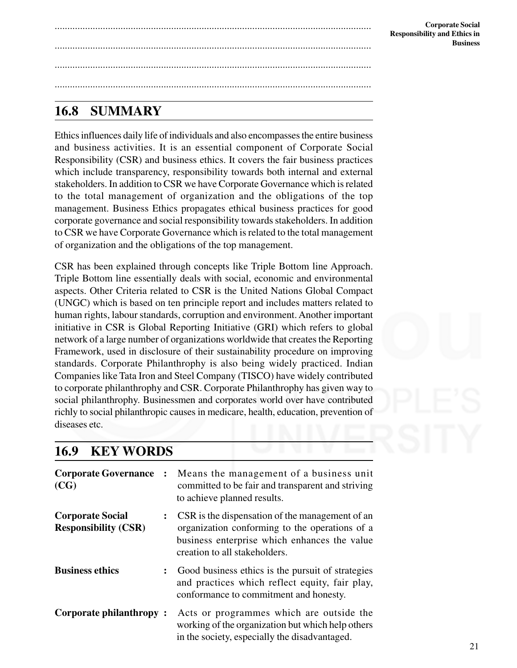### **16.8 SUMMARY**

Ethics influences daily life of individuals and also encompasses the entire business and business activities. It is an essential component of Corporate Social Responsibility (CSR) and business ethics. It covers the fair business practices which include transparency, responsibility towards both internal and external stakeholders. In addition to CSR we have Corporate Governance which is related to the total management of organization and the obligations of the top management. Business Ethics propagates ethical business practices for good corporate governance and social responsibility towards stakeholders. In addition to CSR we have Corporate Governance which is related to the total management of organization and the obligations of the top management.

.............................................................................................................................

.............................................................................................................................

.............................................................................................................................

.............................................................................................................................

CSR has been explained through concepts like Triple Bottom line Approach. Triple Bottom line essentially deals with social, economic and environmental aspects. Other Criteria related to CSR is the United Nations Global Compact (UNGC) which is based on ten principle report and includes matters related to human rights, labour standards, corruption and environment. Another important initiative in CSR is Global Reporting Initiative (GRI) which refers to global network of a large number of organizations worldwide that creates the Reporting Framework, used in disclosure of their sustainability procedure on improving standards. Corporate Philanthrophy is also being widely practiced. Indian Companies like Tata Iron and Steel Company (TISCO) have widely contributed to corporate philanthrophy and CSR. Corporate Philanthrophy has given way to social philanthrophy. Businessmen and corporates world over have contributed richly to social philanthropic causes in medicare, health, education, prevention of diseases etc.

### **16.9 KEY WORDS**

| <b>Corporate Governance</b><br>(CG)                    | $\ddot{\cdot}$       | Means the management of a business unit<br>committed to be fair and transparent and striving<br>to achieve planned results.                                                        |
|--------------------------------------------------------|----------------------|------------------------------------------------------------------------------------------------------------------------------------------------------------------------------------|
| <b>Corporate Social</b><br><b>Responsibility (CSR)</b> | $\ddot{\phantom{a}}$ | CSR is the dispensation of the management of an<br>organization conforming to the operations of a<br>business enterprise which enhances the value<br>creation to all stakeholders. |
| <b>Business ethics</b>                                 | $\ddot{\cdot}$       | Good business ethics is the pursuit of strategies<br>and practices which reflect equity, fair play,<br>conformance to commitment and honesty.                                      |
| Corporate philanthropy:                                |                      | Acts or programmes which are outside the<br>working of the organization but which help others<br>in the society, especially the disadvantaged.                                     |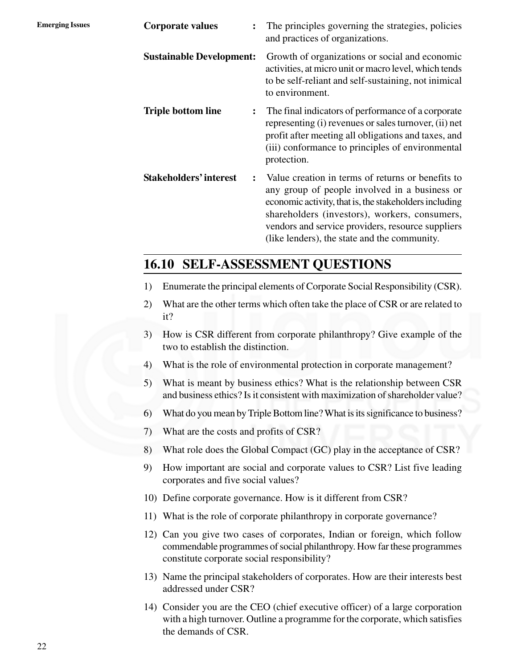| <b>Emerging Issues</b> | <b>Corporate values</b>         | The principles governing the strategies, policies<br>and practices of organizations.                                                                                                                                                                                                                               |
|------------------------|---------------------------------|--------------------------------------------------------------------------------------------------------------------------------------------------------------------------------------------------------------------------------------------------------------------------------------------------------------------|
|                        | <b>Sustainable Development:</b> | Growth of organizations or social and economic<br>activities, at micro unit or macro level, which tends<br>to be self-reliant and self-sustaining, not inimical<br>to environment.                                                                                                                                 |
|                        | <b>Triple bottom line</b>       | The final indicators of performance of a corporate<br>representing (i) revenues or sales turnover, (ii) net<br>profit after meeting all obligations and taxes, and<br>(iii) conformance to principles of environmental<br>protection.                                                                              |
|                        | <b>Stakeholders' interest</b>   | Value creation in terms of returns or benefits to<br>any group of people involved in a business or<br>economic activity, that is, the stakeholders including<br>shareholders (investors), workers, consumers,<br>vendors and service providers, resource suppliers<br>(like lenders), the state and the community. |

### **16.10 SELF-ASSESSMENT QUESTIONS**

- 1) Enumerate the principal elements of Corporate Social Responsibility (CSR).
- 2) What are the other terms which often take the place of CSR or are related to it?
- 3) How is CSR different from corporate philanthropy? Give example of the two to establish the distinction.
- 4) What is the role of environmental protection in corporate management?
- 5) What is meant by business ethics? What is the relationship between CSR and business ethics? Is it consistent with maximization of shareholder value?
- 6) What do you mean by Triple Bottom line? What is its significance to business?
- 7) What are the costs and profits of CSR?
- 8) What role does the Global Compact (GC) play in the acceptance of CSR?
- 9) How important are social and corporate values to CSR? List five leading corporates and five social values?
- 10) Define corporate governance. How is it different from CSR?
- 11) What is the role of corporate philanthropy in corporate governance?
- 12) Can you give two cases of corporates, Indian or foreign, which follow commendable programmes of social philanthropy. How far these programmes constitute corporate social responsibility?
- 13) Name the principal stakeholders of corporates. How are their interests best addressed under CSR?
- 14) Consider you are the CEO (chief executive officer) of a large corporation with a high turnover. Outline a programme for the corporate, which satisfies the demands of CSR.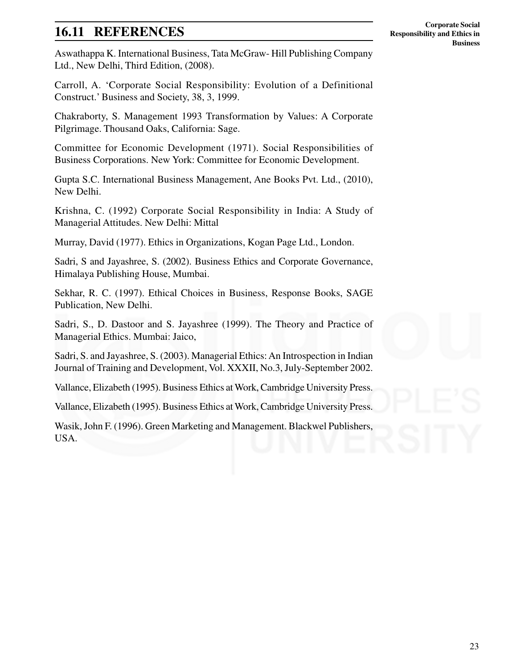### **16.11 REFERENCES**

Aswathappa K. International Business, Tata McGraw- Hill Publishing Company Ltd., New Delhi, Third Edition, (2008).

Carroll, A. 'Corporate Social Responsibility: Evolution of a Definitional Construct.' Business and Society, 38, 3, 1999.

Chakraborty, S. Management 1993 Transformation by Values: A Corporate Pilgrimage. Thousand Oaks, California: Sage.

Committee for Economic Development (1971). Social Responsibilities of Business Corporations. New York: Committee for Economic Development.

Gupta S.C. International Business Management, Ane Books Pvt. Ltd., (2010), New Delhi.

Krishna, C. (1992) Corporate Social Responsibility in India: A Study of Managerial Attitudes. New Delhi: Mittal

Murray, David (1977). Ethics in Organizations, Kogan Page Ltd., London.

Sadri, S and Jayashree, S. (2002). Business Ethics and Corporate Governance, Himalaya Publishing House, Mumbai.

Sekhar, R. C. (1997). Ethical Choices in Business, Response Books, SAGE Publication, New Delhi.

Sadri, S., D. Dastoor and S. Jayashree (1999). The Theory and Practice of Managerial Ethics. Mumbai: Jaico,

Sadri, S. and Jayashree, S. (2003). Managerial Ethics: An Introspection in Indian Journal of Training and Development, Vol. XXXII, No.3, July-September 2002.

Vallance, Elizabeth (1995). Business Ethics at Work, Cambridge University Press.

Vallance, Elizabeth (1995). Business Ethics at Work, Cambridge University Press.

Wasik, John F. (1996). Green Marketing and Management. Blackwel Publishers, USA.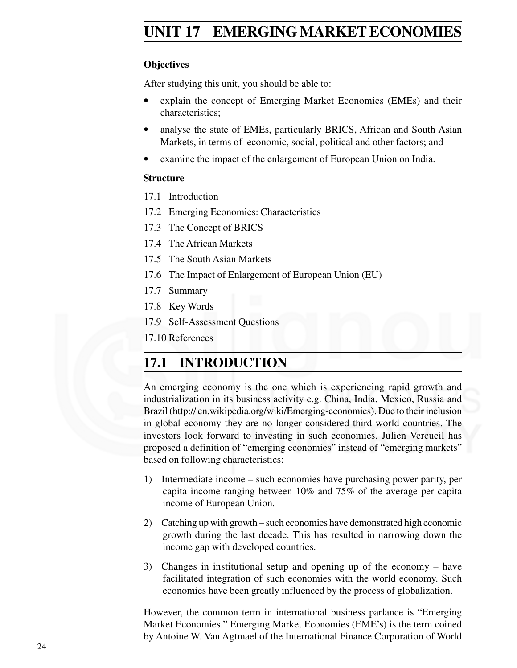### **Emerging Issues UNIT 17 EMERGING MARKET ECONOMIES**

#### **Objectives**

After studying this unit, you should be able to:

- explain the concept of Emerging Market Economies (EMEs) and their characteristics;
- analyse the state of EMEs, particularly BRICS, African and South Asian Markets, in terms of economic, social, political and other factors; and
- examine the impact of the enlargement of European Union on India.

#### **Structure**

- 17.1 Introduction
- 17.2 Emerging Economies: Characteristics
- 17.3 The Concept of BRICS
- 17.4 The African Markets
- 17.5 The South Asian Markets
- 17.6 The Impact of Enlargement of European Union (EU)
- 17.7 Summary
- 17.8 Key Words
- 17.9 Self-Assessment Questions
- 17.10 References

### **17.1 INTRODUCTION**

An emerging economy is the one which is experiencing rapid growth and industrialization in its business activity e.g. China, India, Mexico, Russia and Brazil (http:// en.wikipedia.org/wiki/Emerging-economies). Due to their inclusion in global economy they are no longer considered third world countries. The investors look forward to investing in such economies. Julien Vercueil has proposed a definition of "emerging economies" instead of "emerging markets" based on following characteristics:

- 1) Intermediate income such economies have purchasing power parity, per capita income ranging between 10% and 75% of the average per capita income of European Union.
- 2) Catching up with growth such economies have demonstrated high economic growth during the last decade. This has resulted in narrowing down the income gap with developed countries.
- 3) Changes in institutional setup and opening up of the economy have facilitated integration of such economies with the world economy. Such economies have been greatly influenced by the process of globalization.

However, the common term in international business parlance is "Emerging Market Economies." Emerging Market Economies (EME's) is the term coined by Antoine W. Van Agtmael of the International Finance Corporation of World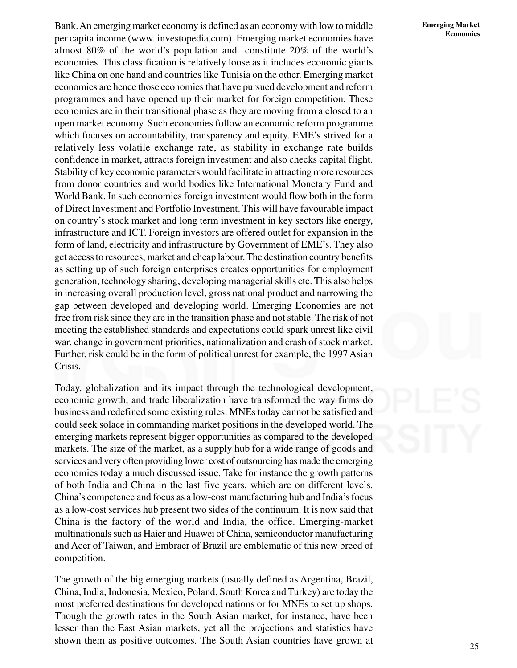Bank. An emerging market economy is defined as an economy with low to middle per capita income (www. investopedia.com). Emerging market economies have almost 80% of the world's population and constitute 20% of the world's economies. This classification is relatively loose as it includes economic giants like China on one hand and countries like Tunisia on the other. Emerging market economies are hence those economies that have pursued development and reform programmes and have opened up their market for foreign competition. These economies are in their transitional phase as they are moving from a closed to an open market economy. Such economies follow an economic reform programme which focuses on accountability, transparency and equity. EME's strived for a relatively less volatile exchange rate, as stability in exchange rate builds confidence in market, attracts foreign investment and also checks capital flight. Stability of key economic parameters would facilitate in attracting more resources from donor countries and world bodies like International Monetary Fund and World Bank. In such economies foreign investment would flow both in the form of Direct Investment and Portfolio Investment. This will have favourable impact on country's stock market and long term investment in key sectors like energy, infrastructure and ICT. Foreign investors are offered outlet for expansion in the form of land, electricity and infrastructure by Government of EME's. They also get access to resources, market and cheap labour. The destination country benefits as setting up of such foreign enterprises creates opportunities for employment generation, technology sharing, developing managerial skills etc. This also helps in increasing overall production level, gross national product and narrowing the gap between developed and developing world. Emerging Economies are not free from risk since they are in the transition phase and not stable. The risk of not meeting the established standards and expectations could spark unrest like civil war, change in government priorities, nationalization and crash of stock market. Further, risk could be in the form of political unrest for example, the 1997 Asian Crisis.

Today, globalization and its impact through the technological development, economic growth, and trade liberalization have transformed the way firms do business and redefined some existing rules. MNEs today cannot be satisfied and could seek solace in commanding market positions in the developed world. The emerging markets represent bigger opportunities as compared to the developed markets. The size of the market, as a supply hub for a wide range of goods and services and very often providing lower cost of outsourcing has made the emerging economies today a much discussed issue. Take for instance the growth patterns of both India and China in the last five years, which are on different levels. China's competence and focus as a low-cost manufacturing hub and India's focus as a low-cost services hub present two sides of the continuum. It is now said that China is the factory of the world and India, the office. Emerging-market multinationals such as Haier and Huawei of China, semiconductor manufacturing and Acer of Taiwan, and Embraer of Brazil are emblematic of this new breed of competition.

The growth of the big emerging markets (usually defined as Argentina, Brazil, China, India, Indonesia, Mexico, Poland, South Korea and Turkey) are today the most preferred destinations for developed nations or for MNEs to set up shops. Though the growth rates in the South Asian market, for instance, have been lesser than the East Asian markets, yet all the projections and statistics have shown them as positive outcomes. The South Asian countries have grown at

#### **Emerging Market Economies**

25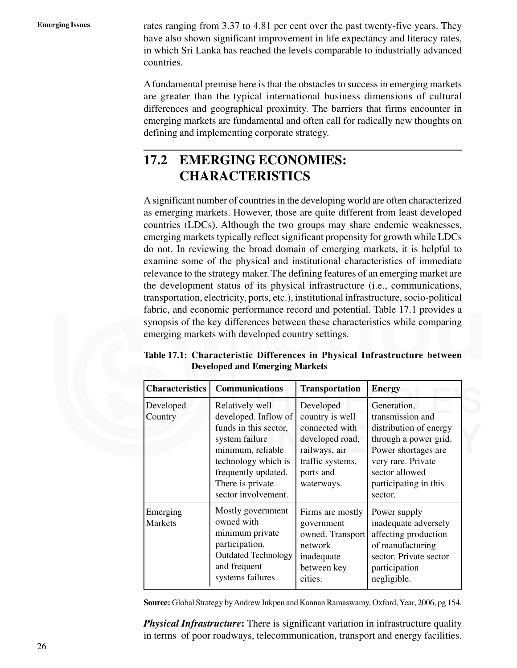Emerging Issues rates ranging from 3.37 to 4.81 per cent over the past twenty-five years. They have also shown significant improvement in life expectancy and literacy rates, in which Sri Lanka has reached the levels comparable to industrially advanced countries.

> A fundamental premise here is that the obstacles to success in emerging markets are greater than the typical international business dimensions of cultural differences and geographical proximity. The barriers that firms encounter in emerging markets are fundamental and often call for radically new thoughts on defining and implementing corporate strategy.

### **17.2 EMERGING ECONOMIES: CHARACTERISTICS**

A significant number of countries in the developing world are often characterized as emerging markets. However, those are quite different from least developed countries (LDCs). Although the two groups may share endemic weaknesses, emerging markets typically reflect significant propensity for growth while LDCs do not. In reviewing the broad domain of emerging markets, it is helpful to examine some of the physical and institutional characteristics of immediate relevance to the strategy maker. The defining features of an emerging market are the development status of its physical infrastructure (i.e., communications, transportation, electricity, ports, etc.), institutional infrastructure, socio-political fabric, and economic performance record and potential. Table 17.1 provides a synopsis of the key differences between these characteristics while comparing emerging markets with developed country settings.

| <b>Characteristics</b>     | <b>Communications</b>                                                                                                                                                                            | <b>Transportation</b>                                                                                                             | <b>Energy</b>                                                                                                                                                                         |  |  |
|----------------------------|--------------------------------------------------------------------------------------------------------------------------------------------------------------------------------------------------|-----------------------------------------------------------------------------------------------------------------------------------|---------------------------------------------------------------------------------------------------------------------------------------------------------------------------------------|--|--|
| Developed<br>Country       | Relatively well<br>developed. Inflow of<br>funds in this sector,<br>system failure<br>minimum, reliable<br>technology which is<br>frequently updated.<br>There is private<br>sector involvement. | Developed<br>country is well<br>connected with<br>developed road,<br>railways, air<br>traffic systems,<br>ports and<br>waterways. | Generation,<br>transmission and<br>distribution of energy<br>through a power grid.<br>Power shortages are<br>very rare. Private<br>sector allowed<br>participating in this<br>sector. |  |  |
| Emerging<br><b>Markets</b> | Mostly government<br>owned with<br>minimum private<br>participation.<br><b>Outdated Technology</b><br>and frequent<br>systems failures                                                           | Firms are mostly<br>government<br>owned. Transport<br>network<br>inadequate<br>between key<br>cities.                             | Power supply<br>inadequate adversely<br>affecting production<br>of manufacturing<br>sector. Private sector<br>participation<br>negligible.                                            |  |  |

**Table 17.1: Characteristic Differences in Physical Infrastructure between Developed and Emerging Markets**

**Source:** Global Strategy by Andrew Inkpen and Kannan Ramaswamy, Oxford, Year, 2006, pg 154.

*Physical Infrastructure***:** There is significant variation in infrastructure quality in terms of poor roadways, telecommunication, transport and energy facilities.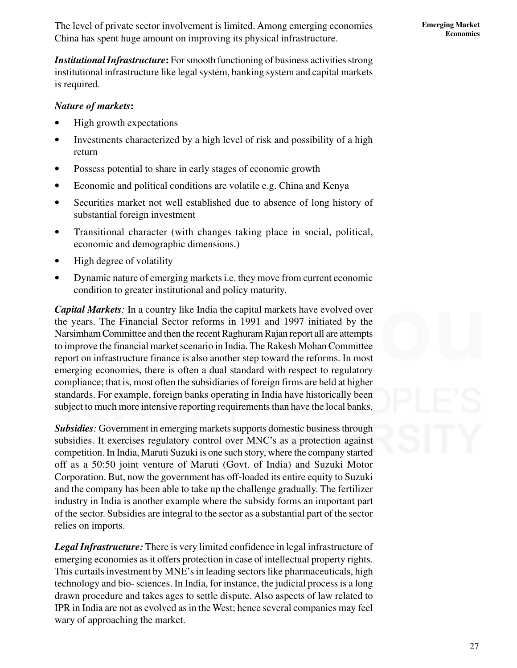*Institutional Infrastructure***:** For smooth functioning of business activities strong institutional infrastructure like legal system, banking system and capital markets is required.

#### *Nature of markets***:**

- High growth expectations
- Investments characterized by a high level of risk and possibility of a high return
- Possess potential to share in early stages of economic growth
- Economic and political conditions are volatile e.g. China and Kenya
- Securities market not well established due to absence of long history of substantial foreign investment
- Transitional character (with changes taking place in social, political, economic and demographic dimensions.)
- High degree of volatility
- Dynamic nature of emerging markets i.e. they move from current economic condition to greater institutional and policy maturity.

*Capital Markets:* In a country like India the capital markets have evolved over the years. The Financial Sector reforms in 1991 and 1997 initiated by the Narsimham Committee and then the recent Raghuram Rajan report all are attempts to improve the financial market scenario in India. The Rakesh Mohan Committee report on infrastructure finance is also another step toward the reforms. In most emerging economies, there is often a dual standard with respect to regulatory compliance; that is, most often the subsidiaries of foreign firms are held at higher standards. For example, foreign banks operating in India have historically been subject to much more intensive reporting requirements than have the local banks.

*Subsidies:* Government in emerging markets supports domestic business through subsidies. It exercises regulatory control over MNC's as a protection against competition. In India, Maruti Suzuki is one such story, where the company started off as a 50:50 joint venture of Maruti (Govt. of India) and Suzuki Motor Corporation. But, now the government has off-loaded its entire equity to Suzuki and the company has been able to take up the challenge gradually. The fertilizer industry in India is another example where the subsidy forms an important part of the sector. Subsidies are integral to the sector as a substantial part of the sector relies on imports.

*Legal Infrastructure:* There is very limited confidence in legal infrastructure of emerging economies as it offers protection in case of intellectual property rights. This curtails investment by MNE's in leading sectors like pharmaceuticals, high technology and bio- sciences. In India, for instance, the judicial process is a long drawn procedure and takes ages to settle dispute. Also aspects of law related to IPR in India are not as evolved as in the West; hence several companies may feel wary of approaching the market.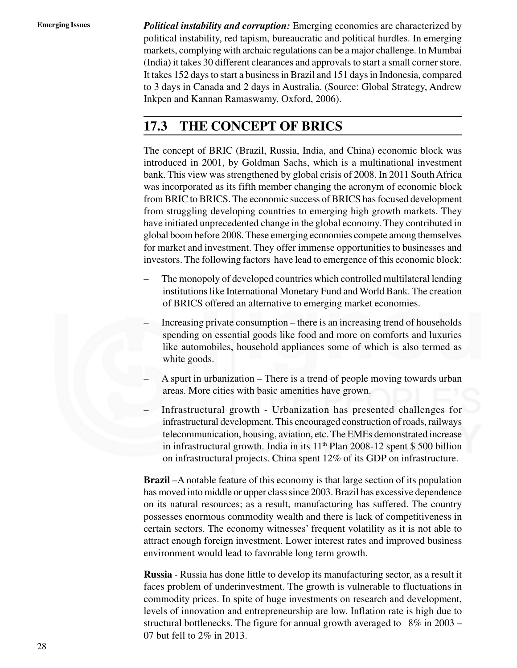**Emerging Issues** *Political instability and corruption:* Emerging economies are characterized by political instability, red tapism, bureaucratic and political hurdles. In emerging markets, complying with archaic regulations can be a major challenge. In Mumbai (India) it takes 30 different clearances and approvals to start a small corner store. It takes 152 days to start a business in Brazil and 151 days in Indonesia, compared to 3 days in Canada and 2 days in Australia. (Source: Global Strategy, Andrew Inkpen and Kannan Ramaswamy, Oxford, 2006).

### **17.3 THE CONCEPT OF BRICS**

The concept of BRIC (Brazil, Russia, India, and China) economic block was introduced in 2001, by Goldman Sachs, which is a multinational investment bank. This view was strengthened by global crisis of 2008. In 2011 South Africa was incorporated as its fifth member changing the acronym of economic block from BRIC to BRICS. The economic success of BRICS has focused development from struggling developing countries to emerging high growth markets. They have initiated unprecedented change in the global economy. They contributed in global boom before 2008. These emerging economies compete among themselves for market and investment. They offer immense opportunities to businesses and investors. The following factors have lead to emergence of this economic block:

- The monopoly of developed countries which controlled multilateral lending institutions like International Monetary Fund and World Bank. The creation of BRICS offered an alternative to emerging market economies.
- Increasing private consumption there is an increasing trend of households spending on essential goods like food and more on comforts and luxuries like automobiles, household appliances some of which is also termed as white goods.
- A spurt in urbanization There is a trend of people moving towards urban areas. More cities with basic amenities have grown.
- Infrastructural growth Urbanization has presented challenges for infrastructural development. This encouraged construction of roads, railways telecommunication, housing, aviation, etc. The EMEs demonstrated increase in infrastructural growth. India in its 11<sup>th</sup> Plan 2008-12 spent \$500 billion on infrastructural projects. China spent 12% of its GDP on infrastructure.

**Brazil** –A notable feature of this economy is that large section of its population has moved into middle or upper class since 2003. Brazil has excessive dependence on its natural resources; as a result, manufacturing has suffered. The country possesses enormous commodity wealth and there is lack of competitiveness in certain sectors. The economy witnesses' frequent volatility as it is not able to attract enough foreign investment. Lower interest rates and improved business environment would lead to favorable long term growth.

**Russia** - Russia has done little to develop its manufacturing sector, as a result it faces problem of underinvestment. The growth is vulnerable to fluctuations in commodity prices. In spite of huge investments on research and development, levels of innovation and entrepreneurship are low. Inflation rate is high due to structural bottlenecks. The figure for annual growth averaged to 8% in 2003 – 07 but fell to 2% in 2013.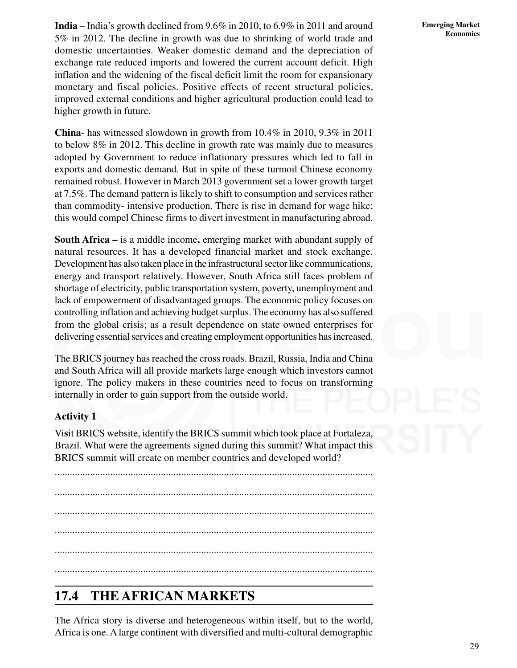**India** – India's growth declined from 9.6% in 2010, to 6.9% in 2011 and around 5% in 2012. The decline in growth was due to shrinking of world trade and domestic uncertainties. Weaker domestic demand and the depreciation of exchange rate reduced imports and lowered the current account deficit. High inflation and the widening of the fiscal deficit limit the room for expansionary monetary and fiscal policies. Positive effects of recent structural policies, improved external conditions and higher agricultural production could lead to higher growth in future.

**China**- has witnessed slowdown in growth from 10.4% in 2010, 9.3% in 2011 to below 8% in 2012. This decline in growth rate was mainly due to measures adopted by Government to reduce inflationary pressures which led to fall in exports and domestic demand. But in spite of these turmoil Chinese economy remained robust. However in March 2013 government set a lower growth target at 7.5%. The demand pattern is likely to shift to consumption and services rather than commodity- intensive production. There is rise in demand for wage hike; this would compel Chinese firms to divert investment in manufacturing abroad.

**South Africa –** is a middle income**,** emerging market with abundant supply of natural resources. It has a developed financial market and stock exchange. Development has also taken place in the infrastructural sector like communications, energy and transport relatively. However, South Africa still faces problem of shortage of electricity, public transportation system, poverty, unemployment and lack of empowerment of disadvantaged groups. The economic policy focuses on controlling inflation and achieving budget surplus. The economy has also suffered from the global crisis; as a result dependence on state owned enterprises for delivering essential services and creating employment opportunities has increased.

The BRICS journey has reached the cross roads. Brazil, Russia, India and China and South Africa will all provide markets large enough which investors cannot ignore. The policy makers in these countries need to focus on transforming internally in order to gain support from the outside world.

#### **Activity 1**

Vi**s**it BRICS website, identify the BRICS summit which took place at Fortaleza, Brazil. What were the agreements signed during this summit? What impact this BRICS summit will create on member countries and developed world?

.............................................................................................................................. .............................................................................................................................. .............................................................................................................................. .............................................................................................................................. .............................................................................................................................. ..............................................................................................................................

### **17.4 THE AFRICAN MARKETS**

The Africa story is diverse and heterogeneous within itself, but to the world, Africa is one. A large continent with diversified and multi-cultural demographic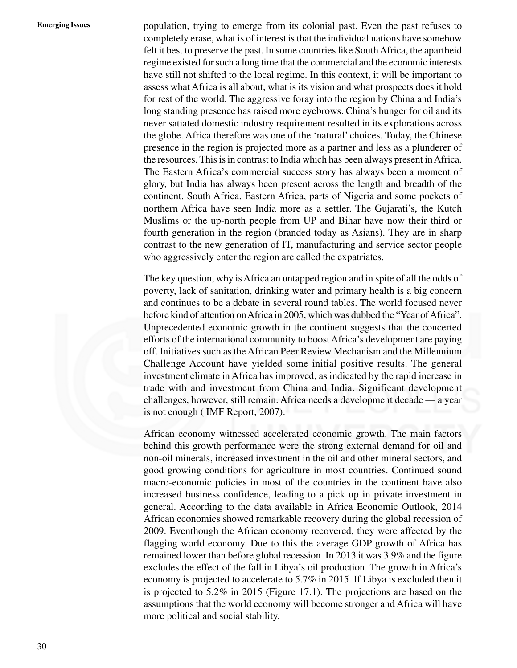**Emerging Issues** population, trying to emerge from its colonial past. Even the past refuses to completely erase, what is of interest is that the individual nations have somehow felt it best to preserve the past. In some countries like South Africa, the apartheid regime existed for such a long time that the commercial and the economic interests have still not shifted to the local regime. In this context, it will be important to assess what Africa is all about, what is its vision and what prospects does it hold for rest of the world. The aggressive foray into the region by China and India's long standing presence has raised more eyebrows. China's hunger for oil and its never satiated domestic industry requirement resulted in its explorations across the globe. Africa therefore was one of the 'natural' choices. Today, the Chinese presence in the region is projected more as a partner and less as a plunderer of the resources. This is in contrast to India which has been always present in Africa. The Eastern Africa's commercial success story has always been a moment of glory, but India has always been present across the length and breadth of the continent. South Africa, Eastern Africa, parts of Nigeria and some pockets of northern Africa have seen India more as a settler. The Gujarati's, the Kutch Muslims or the up-north people from UP and Bihar have now their third or fourth generation in the region (branded today as Asians). They are in sharp contrast to the new generation of IT, manufacturing and service sector people who aggressively enter the region are called the expatriates.

> The key question, why is Africa an untapped region and in spite of all the odds of poverty, lack of sanitation, drinking water and primary health is a big concern and continues to be a debate in several round tables. The world focused never before kind of attention on Africa in 2005, which was dubbed the "Year of Africa". Unprecedented economic growth in the continent suggests that the concerted efforts of the international community to boost Africa's development are paying off. Initiatives such as the African Peer Review Mechanism and the Millennium Challenge Account have yielded some initial positive results. The general investment climate in Africa has improved, as indicated by the rapid increase in trade with and investment from China and India. Significant development challenges, however, still remain. Africa needs a development decade — a year is not enough ( IMF Report, 2007).

> African economy witnessed accelerated economic growth. The main factors behind this growth performance were the strong external demand for oil and non-oil minerals, increased investment in the oil and other mineral sectors, and good growing conditions for agriculture in most countries. Continued sound macro-economic policies in most of the countries in the continent have also increased business confidence, leading to a pick up in private investment in general. According to the data available in Africa Economic Outlook, 2014 African economies showed remarkable recovery during the global recession of 2009. Eventhough the African economy recovered, they were affected by the flagging world economy. Due to this the average GDP growth of Africa has remained lower than before global recession. In 2013 it was 3.9% and the figure excludes the effect of the fall in Libya's oil production. The growth in Africa's economy is projected to accelerate to 5.7% in 2015. If Libya is excluded then it is projected to 5.2% in 2015 (Figure 17.1). The projections are based on the assumptions that the world economy will become stronger and Africa will have more political and social stability.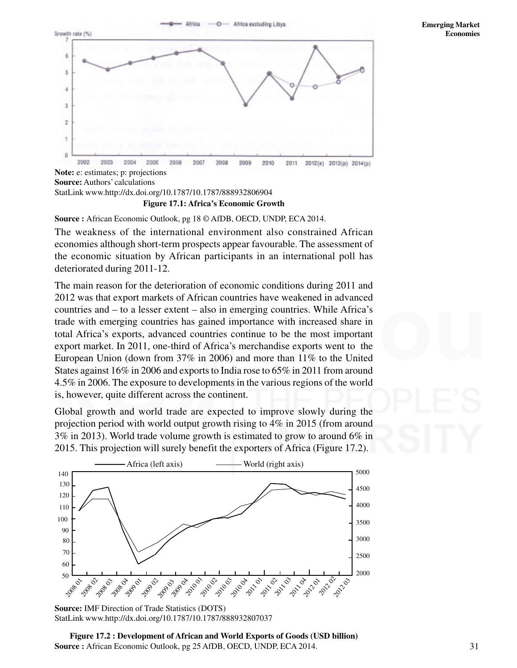

**Figure 17.1: Africa's Economic Growth Note:** e: estimates; p: projections **Source:**Authors' calculations StatLink www.http://dx.doi.org/10.1787/10.1787/888932806904

**Source :** African Economic Outlook, pg 18 © AfDB, OECD, UNDP, ECA 2014.

The weakness of the international environment also constrained African economies although short-term prospects appear favourable. The assessment of the economic situation by African participants in an international poll has deteriorated during 2011-12.

The main reason for the deterioration of economic conditions during 2011 and 2012 was that export markets of African countries have weakened in advanced countries and – to a lesser extent – also in emerging countries. While Africa's trade with emerging countries has gained importance with increased share in total Africa's exports, advanced countries continue to be the most important export market. In 2011, one-third of Africa's merchandise exports went to the European Union (down from 37% in 2006) and more than 11% to the United States against 16% in 2006 and exports to India rose to 65% in 2011 from around 4.5% in 2006. The exposure to developments in the various regions of the world is, however, quite different across the continent.

Global growth and world trade are expected to improve slowly during the projection period with world output growth rising to 4% in 2015 (from around 3% in 2013). World trade volume growth is estimated to grow to around 6% in 2015. This projection will surely benefit the exporters of Africa (Figure 17.2).





**Figure 17.2 : Development of African and World Exports of Goods (USD billion) Source :** African Economic Outlook, pg 25 AfDB, OECD, UNDP, ECA 2014.

**Emerging Market Economies**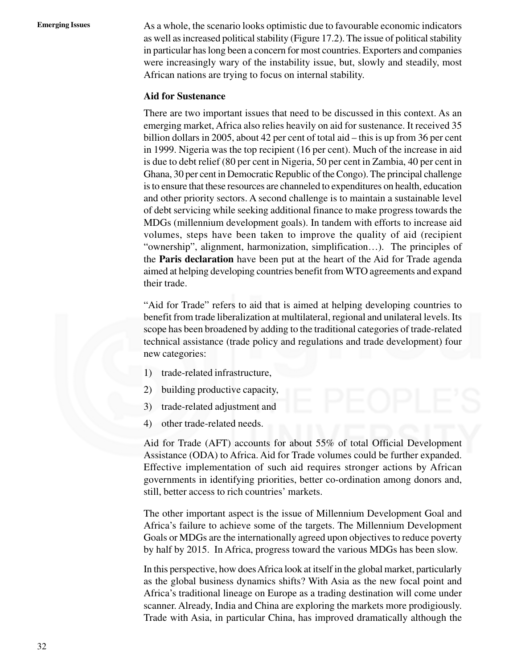**Emerging Issues** As a whole, the scenario looks optimistic due to favourable economic indicators as well as increased political stability (Figure 17.2). The issue of political stability in particular has long been a concern for most countries. Exporters and companies were increasingly wary of the instability issue, but, slowly and steadily, most African nations are trying to focus on internal stability.

#### **Aid for Sustenance**

There are two important issues that need to be discussed in this context. As an emerging market, Africa also relies heavily on aid for sustenance. It received 35 billion dollars in 2005, about 42 per cent of total aid – this is up from 36 per cent in 1999. Nigeria was the top recipient (16 per cent). Much of the increase in aid is due to debt relief (80 per cent in Nigeria, 50 per cent in Zambia, 40 per cent in Ghana, 30 per cent in Democratic Republic of the Congo). The principal challenge is to ensure that these resources are channeled to expenditures on health, education and other priority sectors. A second challenge is to maintain a sustainable level of debt servicing while seeking additional finance to make progress towards the MDGs (millennium development goals). In tandem with efforts to increase aid volumes, steps have been taken to improve the quality of aid (recipient "ownership", alignment, harmonization, simplification…). The principles of the **Paris declaration** have been put at the heart of the Aid for Trade agenda aimed at helping developing countries benefit from WTO agreements and expand their trade.

"Aid for Trade" refers to aid that is aimed at helping developing countries to benefit from trade liberalization at multilateral, regional and unilateral levels. Its scope has been broadened by adding to the traditional categories of trade-related technical assistance (trade policy and regulations and trade development) four new categories:

- 1) trade-related infrastructure,
- 2) building productive capacity,
- 3) trade-related adjustment and
- 4) other trade-related needs.

Aid for Trade (AFT) accounts for about 55% of total Official Development Assistance (ODA) to Africa. Aid for Trade volumes could be further expanded. Effective implementation of such aid requires stronger actions by African governments in identifying priorities, better co-ordination among donors and, still, better access to rich countries' markets.

The other important aspect is the issue of Millennium Development Goal and Africa's failure to achieve some of the targets. The Millennium Development Goals or MDGs are the internationally agreed upon objectives to reduce poverty by half by 2015. In Africa, progress toward the various MDGs has been slow.

In this perspective, how does Africa look at itself in the global market, particularly as the global business dynamics shifts? With Asia as the new focal point and Africa's traditional lineage on Europe as a trading destination will come under scanner. Already, India and China are exploring the markets more prodigiously. Trade with Asia, in particular China, has improved dramatically although the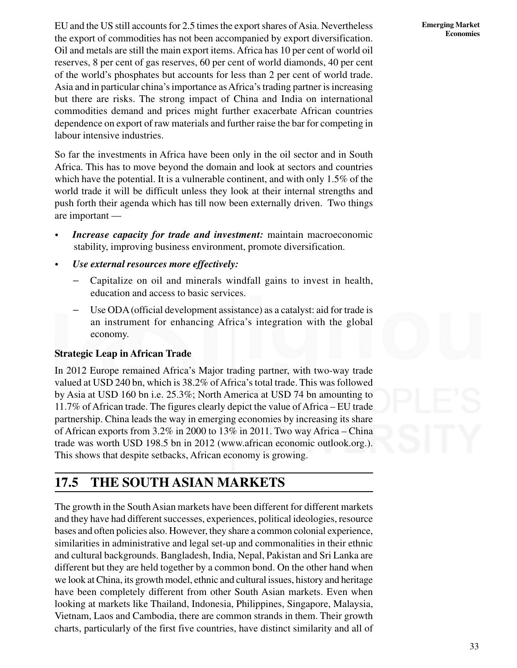EU and the US still accounts for 2.5 times the export shares of Asia. Nevertheless the export of commodities has not been accompanied by export diversification. Oil and metals are still the main export items. Africa has 10 per cent of world oil reserves, 8 per cent of gas reserves, 60 per cent of world diamonds, 40 per cent of the world's phosphates but accounts for less than 2 per cent of world trade. Asia and in particular china's importance as Africa's trading partner is increasing but there are risks. The strong impact of China and India on international commodities demand and prices might further exacerbate African countries dependence on export of raw materials and further raise the bar for competing in labour intensive industries.

So far the investments in Africa have been only in the oil sector and in South Africa. This has to move beyond the domain and look at sectors and countries which have the potential. It is a vulnerable continent, and with only 1.5% of the world trade it will be difficult unless they look at their internal strengths and push forth their agenda which has till now been externally driven. Two things are important —

- *Increase capacity for trade and investment:* maintain macroeconomic stability, improving business environment, promote diversification.
- *Use external resources more effectively:*
	- Capitalize on oil and minerals windfall gains to invest in health, education and access to basic services.
	- Use ODA (official development assistance) as a catalyst: aid for trade is an instrument for enhancing Africa's integration with the global economy.

#### **Strategic Leap in African Trade**

In 2012 Europe remained Africa's Major trading partner, with two-way trade valued at USD 240 bn, which is 38.2% of Africa's total trade. This was followed by Asia at USD 160 bn i.e. 25.3%; North America at USD 74 bn amounting to 11.7% of African trade. The figures clearly depict the value of Africa – EU trade partnership. China leads the way in emerging economies by increasing its share of African exports from 3.2% in 2000 to 13% in 2011. Two way Africa – China trade was worth USD 198.5 bn in 2012 (www.african economic outlook.org.). This shows that despite setbacks, African economy is growing.

### **17.5 THE SOUTH ASIAN MARKETS**

The growth in the South Asian markets have been different for different markets and they have had different successes, experiences, political ideologies, resource bases and often policies also. However, they share a common colonial experience, similarities in administrative and legal set-up and commonalities in their ethnic and cultural backgrounds. Bangladesh, India, Nepal, Pakistan and Sri Lanka are different but they are held together by a common bond. On the other hand when we look at China, its growth model, ethnic and cultural issues, history and heritage have been completely different from other South Asian markets. Even when looking at markets like Thailand, Indonesia, Philippines, Singapore, Malaysia, Vietnam, Laos and Cambodia, there are common strands in them. Their growth charts, particularly of the first five countries, have distinct similarity and all of

**Emerging Market Economies**

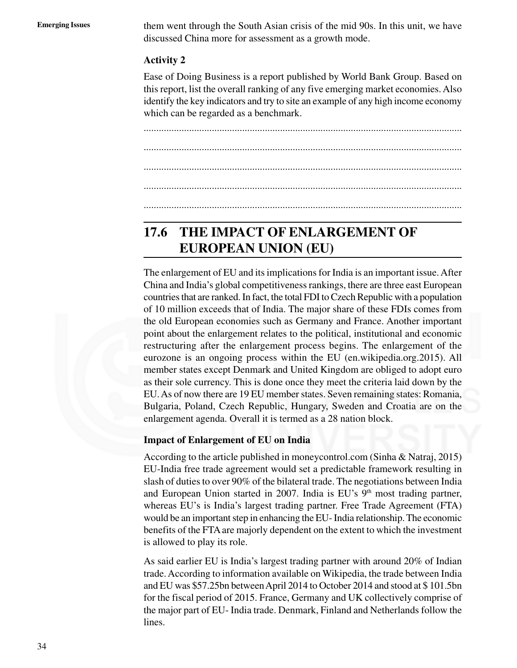**Emerging Issues** them went through the South Asian crisis of the mid 90s. In this unit, we have discussed China more for assessment as a growth mode.

#### **Activity 2**

Ease of Doing Business is a report published by World Bank Group. Based on this report, list the overall ranking of any five emerging market economies. Also identify the key indicators and try to site an example of any high income economy which can be regarded as a benchmark.

.............................................................................................................................. .............................................................................................................................. .............................................................................................................................. .............................................................................................................................. ..............................................................................................................................

### **17.6 THE IMPACT OF ENLARGEMENT OF EUROPEAN UNION (EU)**

The enlargement of EU and its implications for India is an important issue. After China and India's global competitiveness rankings, there are three east European countries that are ranked. In fact, the total FDI to Czech Republic with a population of 10 million exceeds that of India. The major share of these FDIs comes from the old European economies such as Germany and France. Another important point about the enlargement relates to the political, institutional and economic restructuring after the enlargement process begins. The enlargement of the eurozone is an ongoing process within the EU (en.wikipedia.org.2015). All member states except Denmark and United Kingdom are obliged to adopt euro as their sole currency. This is done once they meet the criteria laid down by the EU. As of now there are 19 EU member states. Seven remaining states: Romania, Bulgaria, Poland, Czech Republic, Hungary, Sweden and Croatia are on the enlargement agenda. Overall it is termed as a 28 nation block.

#### **Impact of Enlargement of EU on India**

According to the article published in moneycontrol.com (Sinha & Natraj, 2015) EU-India free trade agreement would set a predictable framework resulting in slash of duties to over 90% of the bilateral trade. The negotiations between India and European Union started in 2007. India is  $EU$ 's  $9<sup>th</sup>$  most trading partner, whereas EU's is India's largest trading partner. Free Trade Agreement (FTA) would be an important step in enhancing the EU- India relationship. The economic benefits of the FTA are majorly dependent on the extent to which the investment is allowed to play its role.

As said earlier EU is India's largest trading partner with around 20% of Indian trade. According to information available on Wikipedia, the trade between India and EU was \$57.25bn between April 2014 to October 2014 and stood at \$ 101.5bn for the fiscal period of 2015. France, Germany and UK collectively comprise of the major part of EU- India trade. Denmark, Finland and Netherlands follow the lines.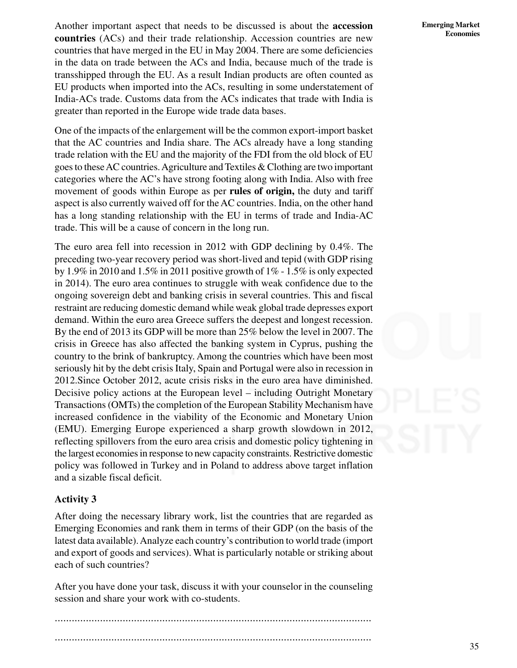**Emerging Market Economies**

Another important aspect that needs to be discussed is about the **accession countries** (ACs) and their trade relationship. Accession countries are new countries that have merged in the EU in May 2004. There are some deficiencies in the data on trade between the ACs and India, because much of the trade is transshipped through the EU. As a result Indian products are often counted as EU products when imported into the ACs, resulting in some understatement of India-ACs trade. Customs data from the ACs indicates that trade with India is greater than reported in the Europe wide trade data bases.

One of the impacts of the enlargement will be the common export-import basket that the AC countries and India share. The ACs already have a long standing trade relation with the EU and the majority of the FDI from the old block of EU goes to these AC countries. Agriculture and Textiles & Clothing are two important categories where the AC's have strong footing along with India. Also with free movement of goods within Europe as per **rules of origin,** the duty and tariff aspect is also currently waived off for the AC countries. India, on the other hand has a long standing relationship with the EU in terms of trade and India-AC trade. This will be a cause of concern in the long run.

The euro area fell into recession in 2012 with GDP declining by 0.4%. The preceding two-year recovery period was short-lived and tepid (with GDP rising by 1.9% in 2010 and 1.5% in 2011 positive growth of 1% - 1.5% is only expected in 2014). The euro area continues to struggle with weak confidence due to the ongoing sovereign debt and banking crisis in several countries. This and fiscal restraint are reducing domestic demand while weak global trade depresses export demand. Within the euro area Greece suffers the deepest and longest recession. By the end of 2013 its GDP will be more than 25% below the level in 2007. The crisis in Greece has also affected the banking system in Cyprus, pushing the country to the brink of bankruptcy. Among the countries which have been most seriously hit by the debt crisis Italy, Spain and Portugal were also in recession in 2012.Since October 2012, acute crisis risks in the euro area have diminished. Decisive policy actions at the European level – including Outright Monetary Transactions (OMTs) the completion of the European Stability Mechanism have increased confidence in the viability of the Economic and Monetary Union (EMU). Emerging Europe experienced a sharp growth slowdown in 2012, reflecting spillovers from the euro area crisis and domestic policy tightening in the largest economies in response to new capacity constraints. Restrictive domestic policy was followed in Turkey and in Poland to address above target inflation and a sizable fiscal deficit.

#### **Activity 3**

After doing the necessary library work, list the countries that are regarded as Emerging Economies and rank them in terms of their GDP (on the basis of the latest data available). Analyze each country's contribution to world trade (import and export of goods and services). What is particularly notable or striking about each of such countries?

After you have done your task, discuss it with your counselor in the counseling session and share your work with co-students.

................................................................................................................

................................................................................................................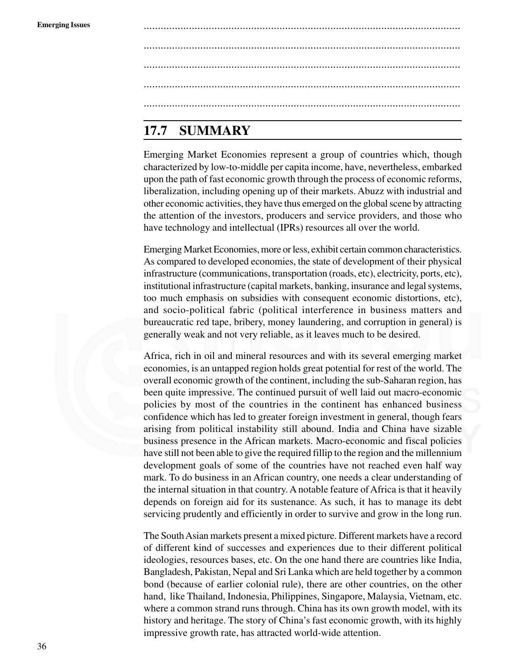**Emerging Issues** ................................................................................................................ ................................................................................................................ ................................................................................................................ ................................................................................................................ ................................................................................................................

### **17.7 SUMMARY**

Emerging Market Economies represent a group of countries which, though characterized by low-to-middle per capita income, have, nevertheless, embarked upon the path of fast economic growth through the process of economic reforms, liberalization, including opening up of their markets. Abuzz with industrial and other economic activities, they have thus emerged on the global scene by attracting the attention of the investors, producers and service providers, and those who have technology and intellectual (IPRs) resources all over the world.

Emerging Market Economies, more or less, exhibit certain common characteristics. As compared to developed economies, the state of development of their physical infrastructure (communications, transportation (roads, etc), electricity, ports, etc), institutional infrastructure (capital markets, banking, insurance and legal systems, too much emphasis on subsidies with consequent economic distortions, etc), and socio-political fabric (political interference in business matters and bureaucratic red tape, bribery, money laundering, and corruption in general) is generally weak and not very reliable, as it leaves much to be desired.

Africa, rich in oil and mineral resources and with its several emerging market economies, is an untapped region holds great potential for rest of the world. The overall economic growth of the continent, including the sub-Saharan region, has been quite impressive. The continued pursuit of well laid out macro-economic policies by most of the countries in the continent has enhanced business confidence which has led to greater foreign investment in general, though fears arising from political instability still abound. India and China have sizable business presence in the African markets. Macro-economic and fiscal policies have still not been able to give the required fillip to the region and the millennium development goals of some of the countries have not reached even half way mark. To do business in an African country, one needs a clear understanding of the internal situation in that country. A notable feature of Africa is that it heavily depends on foreign aid for its sustenance. As such, it has to manage its debt servicing prudently and efficiently in order to survive and grow in the long run.

The South Asian markets present a mixed picture. Different markets have a record of different kind of successes and experiences due to their different political ideologies, resources bases, etc. On the one hand there are countries like India, Bangladesh, Pakistan, Nepal and Sri Lanka which are held together by a common bond (because of earlier colonial rule), there are other countries, on the other hand, like Thailand, Indonesia, Philippines, Singapore, Malaysia, Vietnam, etc. where a common strand runs through. China has its own growth model, with its history and heritage. The story of China's fast economic growth, with its highly impressive growth rate, has attracted world-wide attention.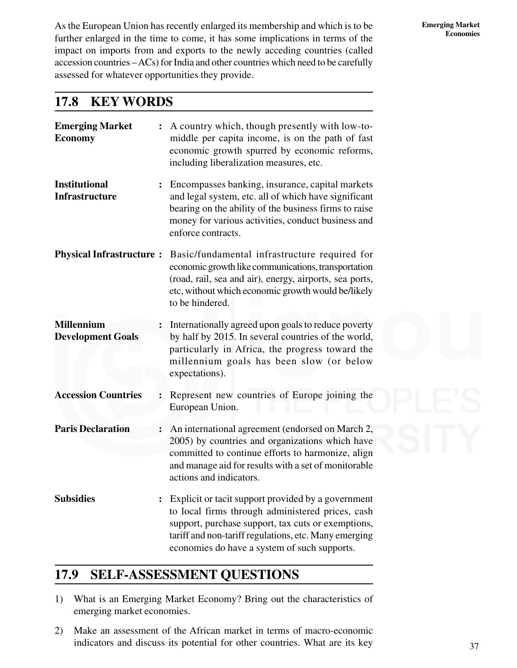**Emerging Market Economies**

As the European Union has recently enlarged its membership and which is to be further enlarged in the time to come, it has some implications in terms of the impact on imports from and exports to the newly acceding countries (called accession countries – ACs) for India and other countries which need to be carefully assessed for whatever opportunities they provide.

### **17.8 KEY WORDS**

| <b>Emerging Market</b><br><b>Economy</b>      |                | A country which, though presently with low-to-<br>middle per capita income, is on the path of fast<br>economic growth spurred by economic reforms,<br>including liberalization measures, etc.                                                                         |
|-----------------------------------------------|----------------|-----------------------------------------------------------------------------------------------------------------------------------------------------------------------------------------------------------------------------------------------------------------------|
| <b>Institutional</b><br><b>Infrastructure</b> |                | Encompasses banking, insurance, capital markets<br>and legal system, etc. all of which have significant<br>bearing on the ability of the business firms to raise<br>money for various activities, conduct business and<br>enforce contracts.                          |
| <b>Physical Infrastructure:</b>               |                | Basic/fundamental infrastructure required for<br>economic growth like communications, transportation<br>(road, rail, sea and air), energy, airports, sea ports,<br>etc, without which economic growth would be/likely<br>to be hindered.                              |
| <b>Millennium</b><br><b>Development Goals</b> |                | Internationally agreed upon goals to reduce poverty<br>by half by 2015. In several countries of the world,<br>particularly in Africa, the progress toward the<br>millennium goals has been slow (or below<br>expectations).                                           |
| <b>Accession Countries</b>                    |                | Represent new countries of Europe joining the<br>European Union.                                                                                                                                                                                                      |
| <b>Paris Declaration</b>                      | $\ddot{\cdot}$ | An international agreement (endorsed on March 2,<br>2005) by countries and organizations which have<br>committed to continue efforts to harmonize, align<br>and manage aid for results with a set of monitorable<br>actions and indicators.                           |
| <b>Subsidies</b>                              | $\ddot{\cdot}$ | Explicit or tacit support provided by a government<br>to local firms through administered prices, cash<br>support, purchase support, tax cuts or exemptions,<br>tariff and non-tariff regulations, etc. Many emerging<br>economies do have a system of such supports. |

### **17.9 SELF-ASSESSMENT QUESTIONS**

- 1) What is an Emerging Market Economy? Bring out the characteristics of emerging market economies.
- 2) Make an assessment of the African market in terms of macro-economic indicators and discuss its potential for other countries. What are its key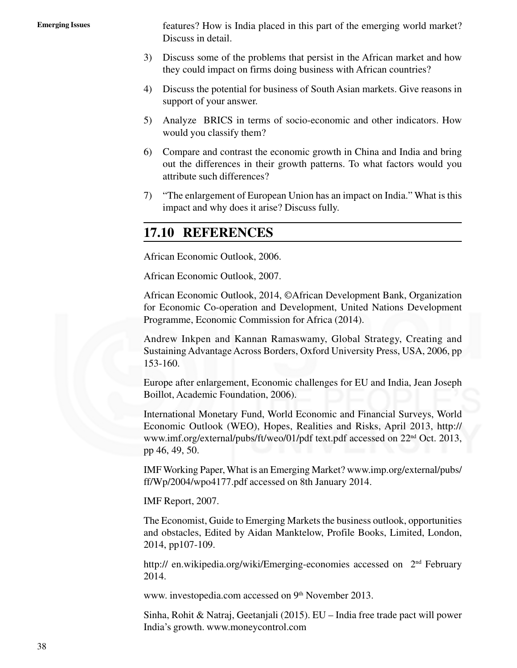**Emerging Issues** features? How is India placed in this part of the emerging world market? Discuss in detail.

- 3) Discuss some of the problems that persist in the African market and how they could impact on firms doing business with African countries?
- 4) Discuss the potential for business of South Asian markets. Give reasons in support of your answer.
- 5) Analyze BRICS in terms of socio-economic and other indicators. How would you classify them?
- 6) Compare and contrast the economic growth in China and India and bring out the differences in their growth patterns. To what factors would you attribute such differences?
- 7) "The enlargement of European Union has an impact on India." What is this impact and why does it arise? Discuss fully.

### **17.10 REFERENCES**

African Economic Outlook, 2006.

African Economic Outlook, 2007.

African Economic Outlook, 2014, ©African Development Bank, Organization for Economic Co-operation and Development, United Nations Development Programme, Economic Commission for Africa (2014).

Andrew Inkpen and Kannan Ramaswamy, Global Strategy, Creating and Sustaining Advantage Across Borders, Oxford University Press, USA, 2006, pp 153-160.

Europe after enlargement, Economic challenges for EU and India, Jean Joseph Boillot, Academic Foundation, 2006).

International Monetary Fund, World Economic and Financial Surveys, World Economic Outlook (WEO), Hopes, Realities and Risks, April 2013, http:// www.imf.org/external/pubs/ft/weo/01/pdf text.pdf accessed on 22nd Oct. 2013, pp 46, 49, 50.

IMF Working Paper, What is an Emerging Market? www.imp.org/external/pubs/ ff/Wp/2004/wpo4177.pdf accessed on 8th January 2014.

#### IMF Report, 2007.

The Economist, Guide to Emerging Markets the business outlook, opportunities and obstacles, Edited by Aidan Manktelow, Profile Books, Limited, London, 2014, pp107-109.

http:// en.wikipedia.org/wiki/Emerging-economies accessed on 2<sup>nd</sup> February 2014.

www. investopedia.com accessed on 9<sup>th</sup> November 2013.

Sinha, Rohit & Natraj, Geetanjali (2015). EU – India free trade pact will power India's growth. www.moneycontrol.com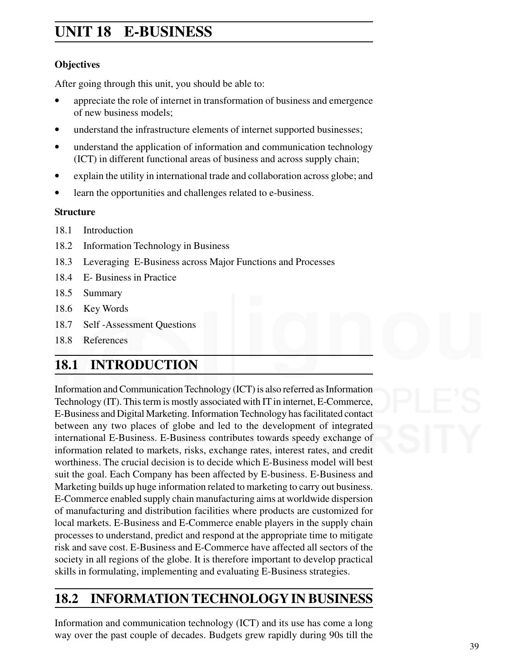### **Emerging Market UNIT 18 E-BUSINESS Economies**

### **Objectives**

After going through this unit, you should be able to:

- appreciate the role of internet in transformation of business and emergence of new business models;
- understand the infrastructure elements of internet supported businesses;
- understand the application of information and communication technology (ICT) in different functional areas of business and across supply chain;
- explain the utility in international trade and collaboration across globe; and
- learn the opportunities and challenges related to e-business.

#### **Structure**

- 18.1 Introduction
- 18.2 Information Technology in Business
- 18.3 Leveraging E-Business across Major Functions and Processes
- 18.4 E- Business in Practice
- 18.5 Summary
- 18.6 Key Words
- 18.7 Self -Assessment Questions
- 18.8 References

### **18.1 INTRODUCTION**

Information and Communication Technology (ICT) is also referred as Information Technology (IT). This term is mostly associated with IT in internet, E-Commerce, E-Business and Digital Marketing. Information Technology has facilitated contact between any two places of globe and led to the development of integrated international E-Business. E-Business contributes towards speedy exchange of information related to markets, risks, exchange rates, interest rates, and credit worthiness. The crucial decision is to decide which E-Business model will best suit the goal. Each Company has been affected by E-business. E-Business and Marketing builds up huge information related to marketing to carry out business. E-Commerce enabled supply chain manufacturing aims at worldwide dispersion of manufacturing and distribution facilities where products are customized for local markets. E-Business and E-Commerce enable players in the supply chain processes to understand, predict and respond at the appropriate time to mitigate risk and save cost. E-Business and E-Commerce have affected all sectors of the society in all regions of the globe. It is therefore important to develop practical skills in formulating, implementing and evaluating E-Business strategies.

### **18.2 INFORMATION TECHNOLOGY IN BUSINESS**

Information and communication technology (ICT) and its use has come a long way over the past couple of decades. Budgets grew rapidly during 90s till the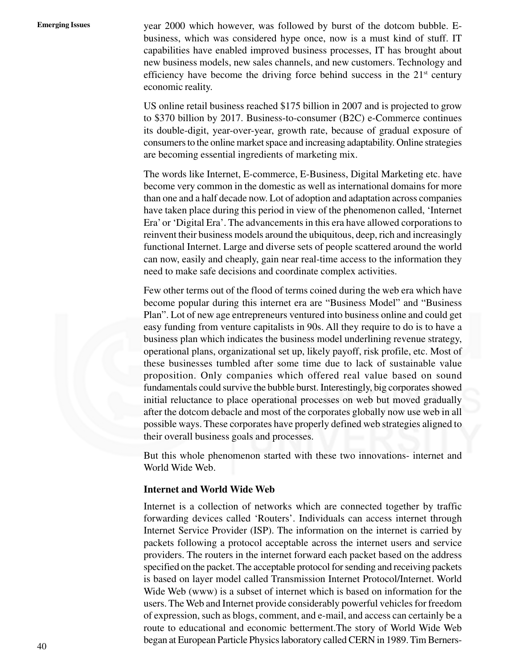**Emerging Issues** year 2000 which however, was followed by burst of the dotcom bubble. Ebusiness, which was considered hype once, now is a must kind of stuff. IT capabilities have enabled improved business processes, IT has brought about new business models, new sales channels, and new customers. Technology and efficiency have become the driving force behind success in the  $21<sup>st</sup>$  century economic reality.

> US online retail business reached \$175 billion in 2007 and is projected to grow to \$370 billion by 2017. Business-to-consumer (B2C) e-Commerce continues its double-digit, year-over-year, growth rate, because of gradual exposure of consumers to the online market space and increasing adaptability. Online strategies are becoming essential ingredients of marketing mix.

> The words like Internet, E-commerce, E-Business, Digital Marketing etc. have become very common in the domestic as well as international domains for more than one and a half decade now. Lot of adoption and adaptation across companies have taken place during this period in view of the phenomenon called, 'Internet Era' or 'Digital Era'. The advancements in this era have allowed corporations to reinvent their business models around the ubiquitous, deep, rich and increasingly functional Internet. Large and diverse sets of people scattered around the world can now, easily and cheaply, gain near real-time access to the information they need to make safe decisions and coordinate complex activities.

> Few other terms out of the flood of terms coined during the web era which have become popular during this internet era are "Business Model" and "Business Plan". Lot of new age entrepreneurs ventured into business online and could get easy funding from venture capitalists in 90s. All they require to do is to have a business plan which indicates the business model underlining revenue strategy, operational plans, organizational set up, likely payoff, risk profile, etc. Most of these businesses tumbled after some time due to lack of sustainable value proposition. Only companies which offered real value based on sound fundamentals could survive the bubble burst. Interestingly, big corporates showed initial reluctance to place operational processes on web but moved gradually after the dotcom debacle and most of the corporates globally now use web in all possible ways. These corporates have properly defined web strategies aligned to their overall business goals and processes.

> But this whole phenomenon started with these two innovations- internet and World Wide Web.

#### **Internet and World Wide Web**

Internet is a collection of networks which are connected together by traffic forwarding devices called 'Routers'. Individuals can access internet through Internet Service Provider (ISP). The information on the internet is carried by packets following a protocol acceptable across the internet users and service providers. The routers in the internet forward each packet based on the address specified on the packet. The acceptable protocol for sending and receiving packets is based on layer model called Transmission Internet Protocol/Internet. World Wide Web (www) is a subset of internet which is based on information for the users. The Web and Internet provide considerably powerful vehicles for freedom of expression, such as blogs, comment, and e-mail, and access can certainly be a route to educational and economic betterment.The story of World Wide Web began at European Particle Physics laboratory called CERN in 1989. Tim Berners-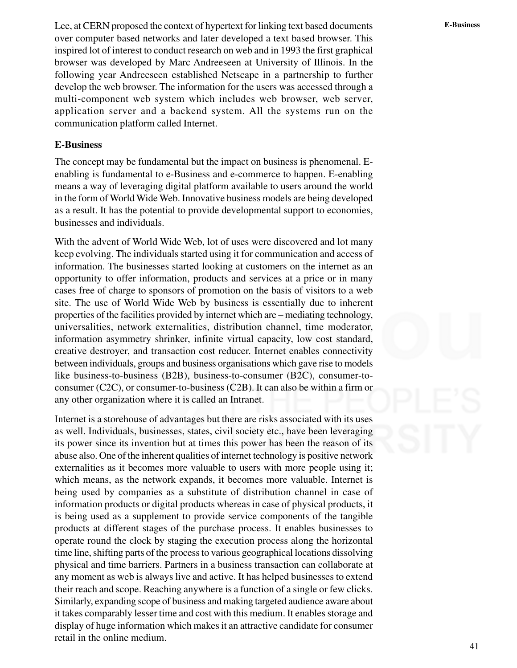Lee, at CERN proposed the context of hypertext for linking text based documents **E-Business** over computer based networks and later developed a text based browser. This inspired lot of interest to conduct research on web and in 1993 the first graphical browser was developed by Marc Andreeseen at University of Illinois. In the following year Andreeseen established Netscape in a partnership to further develop the web browser. The information for the users was accessed through a multi-component web system which includes web browser, web server, application server and a backend system. All the systems run on the communication platform called Internet.

#### **E-Business**

The concept may be fundamental but the impact on business is phenomenal. Eenabling is fundamental to e-Business and e-commerce to happen. E-enabling means a way of leveraging digital platform available to users around the world in the form of World Wide Web. Innovative business models are being developed as a result. It has the potential to provide developmental support to economies, businesses and individuals.

With the advent of World Wide Web, lot of uses were discovered and lot many keep evolving. The individuals started using it for communication and access of information. The businesses started looking at customers on the internet as an opportunity to offer information, products and services at a price or in many cases free of charge to sponsors of promotion on the basis of visitors to a web site. The use of World Wide Web by business is essentially due to inherent properties of the facilities provided by internet which are – mediating technology, universalities, network externalities, distribution channel, time moderator, information asymmetry shrinker, infinite virtual capacity, low cost standard, creative destroyer, and transaction cost reducer. Internet enables connectivity between individuals, groups and business organisations which gave rise to models like business-to-business (B2B), business-to-consumer (B2C), consumer-toconsumer (C2C), or consumer-to-business (C2B). It can also be within a firm or any other organization where it is called an Intranet.

Internet is a storehouse of advantages but there are risks associated with its uses as well. Individuals, businesses, states, civil society etc., have been leveraging its power since its invention but at times this power has been the reason of its abuse also. One of the inherent qualities of internet technology is positive network externalities as it becomes more valuable to users with more people using it; which means, as the network expands, it becomes more valuable. Internet is being used by companies as a substitute of distribution channel in case of information products or digital products whereas in case of physical products, it is being used as a supplement to provide service components of the tangible products at different stages of the purchase process. It enables businesses to operate round the clock by staging the execution process along the horizontal time line, shifting parts of the process to various geographical locations dissolving physical and time barriers. Partners in a business transaction can collaborate at any moment as web is always live and active. It has helped businesses to extend their reach and scope. Reaching anywhere is a function of a single or few clicks. Similarly, expanding scope of business and making targeted audience aware about it takes comparably lesser time and cost with this medium. It enables storage and display of huge information which makes it an attractive candidate for consumer retail in the online medium.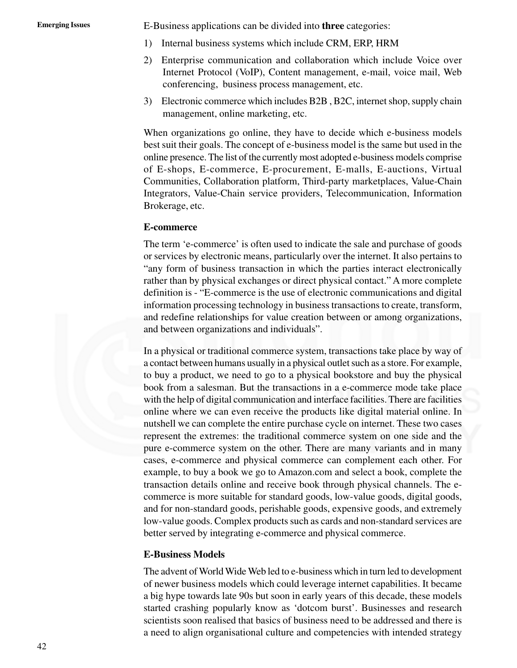**Emerging Issues** E-Business applications can be divided into **three** categories:

- 1) Internal business systems which include CRM, ERP, HRM
- 2) Enterprise communication and collaboration which include Voice over Internet Protocol (VoIP), Content management, e-mail, voice mail, Web conferencing, business process management, etc.
- 3) Electronic commerce which includes B2B , B2C, internet shop, supply chain management, online marketing, etc.

When organizations go online, they have to decide which e-business models best suit their goals. The concept of e-business model is the same but used in the online presence. The list of the currently most adopted e-business models comprise of E-shops, E-commerce, E-procurement, E-malls, E-auctions, Virtual Communities, Collaboration platform, Third-party marketplaces, Value-Chain Integrators, Value-Chain service providers, Telecommunication, Information Brokerage, etc.

#### **E-commerce**

The term 'e-commerce' is often used to indicate the sale and purchase of goods or services by electronic means, particularly over the internet. It also pertains to "any form of business transaction in which the parties interact electronically rather than by physical exchanges or direct physical contact." A more complete definition is - "E-commerce is the use of electronic communications and digital information processing technology in business transactions to create, transform, and redefine relationships for value creation between or among organizations, and between organizations and individuals".

In a physical or traditional commerce system, transactions take place by way of a contact between humans usually in a physical outlet such as a store. For example, to buy a product, we need to go to a physical bookstore and buy the physical book from a salesman. But the transactions in a e-commerce mode take place with the help of digital communication and interface facilities. There are facilities online where we can even receive the products like digital material online. In nutshell we can complete the entire purchase cycle on internet. These two cases represent the extremes: the traditional commerce system on one side and the pure e-commerce system on the other. There are many variants and in many cases, e-commerce and physical commerce can complement each other. For example, to buy a book we go to Amazon.com and select a book, complete the transaction details online and receive book through physical channels. The ecommerce is more suitable for standard goods, low-value goods, digital goods, and for non-standard goods, perishable goods, expensive goods, and extremely low-value goods. Complex products such as cards and non-standard services are better served by integrating e-commerce and physical commerce.

#### **E-Business Models**

The advent of World Wide Web led to e-business which in turn led to development of newer business models which could leverage internet capabilities. It became a big hype towards late 90s but soon in early years of this decade, these models started crashing popularly know as 'dotcom burst'. Businesses and research scientists soon realised that basics of business need to be addressed and there is a need to align organisational culture and competencies with intended strategy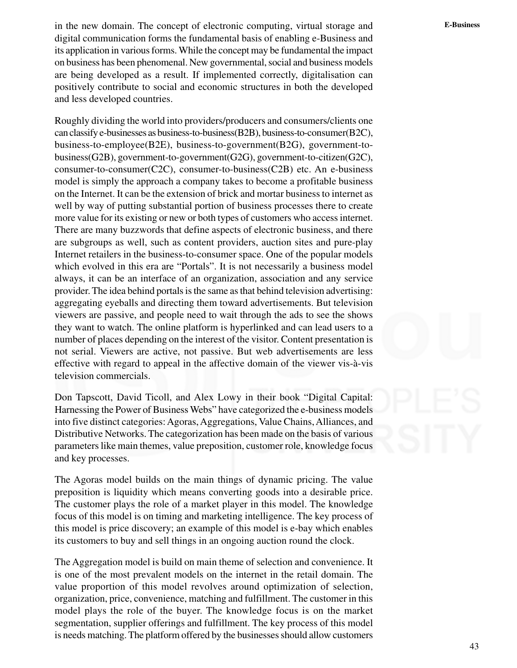**E-Business** in the new domain. The concept of electronic computing, virtual storage and digital communication forms the fundamental basis of enabling e-Business and its application in various forms. While the concept may be fundamental the impact on business has been phenomenal. New governmental, social and business models are being developed as a result. If implemented correctly, digitalisation can positively contribute to social and economic structures in both the developed and less developed countries.

Roughly dividing the world into providers/producers and consumers/clients one can classify e-businesses as business-to-business(B2B), business-to-consumer(B2C), business-to-employee(B2E), business-to-government(B2G), government-tobusiness(G2B), government-to-government(G2G), government-to-citizen(G2C), consumer-to-consumer(C2C), consumer-to-business(C2B) etc. An e-business model is simply the approach a company takes to become a profitable business on the Internet. It can be the extension of brick and mortar business to internet as well by way of putting substantial portion of business processes there to create more value for its existing or new or both types of customers who access internet. There are many buzzwords that define aspects of electronic business, and there are subgroups as well, such as content providers, auction sites and pure-play Internet retailers in the business-to-consumer space. One of the popular models which evolved in this era are "Portals". It is not necessarily a business model always, it can be an interface of an organization, association and any service provider. The idea behind portals is the same as that behind television advertising: aggregating eyeballs and directing them toward advertisements. But television viewers are passive, and people need to wait through the ads to see the shows they want to watch. The online platform is hyperlinked and can lead users to a number of places depending on the interest of the visitor. Content presentation is not serial. Viewers are active, not passive. But web advertisements are less effective with regard to appeal in the affective domain of the viewer vis-à-vis television commercials.

Don Tapscott, David Ticoll, and Alex Lowy in their book "Digital Capital: Harnessing the Power of Business Webs" have categorized the e-business models into five distinct categories: Agoras, Aggregations, Value Chains, Alliances, and Distributive Networks. The categorization has been made on the basis of various parameters like main themes, value preposition, customer role, knowledge focus and key processes.

The Agoras model builds on the main things of dynamic pricing. The value preposition is liquidity which means converting goods into a desirable price. The customer plays the role of a market player in this model. The knowledge focus of this model is on timing and marketing intelligence. The key process of this model is price discovery; an example of this model is e-bay which enables its customers to buy and sell things in an ongoing auction round the clock.

The Aggregation model is build on main theme of selection and convenience. It is one of the most prevalent models on the internet in the retail domain. The value proportion of this model revolves around optimization of selection, organization, price, convenience, matching and fulfillment. The customer in this model plays the role of the buyer. The knowledge focus is on the market segmentation, supplier offerings and fulfillment. The key process of this model is needs matching. The platform offered by the businesses should allow customers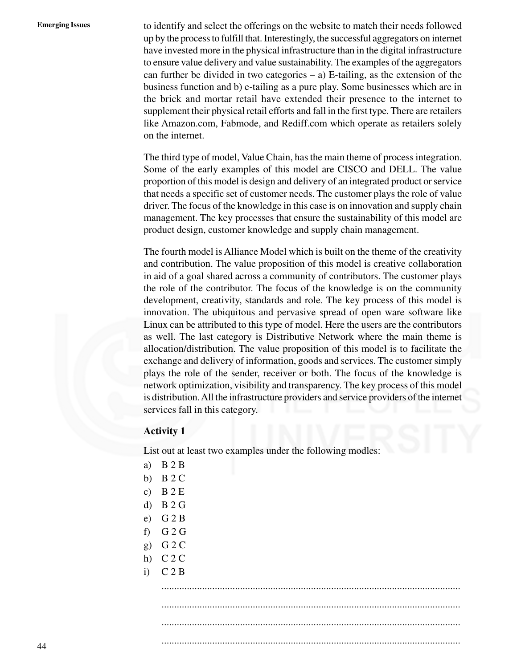**Emerging Issues** to identify and select the offerings on the website to match their needs followed up by the process to fulfill that. Interestingly, the successful aggregators on internet have invested more in the physical infrastructure than in the digital infrastructure to ensure value delivery and value sustainability. The examples of the aggregators can further be divided in two categories  $-$  a) E-tailing, as the extension of the business function and b) e-tailing as a pure play. Some businesses which are in the brick and mortar retail have extended their presence to the internet to supplement their physical retail efforts and fall in the first type. There are retailers like Amazon.com, Fabmode, and Rediff.com which operate as retailers solely on the internet.

> The third type of model, Value Chain, has the main theme of process integration. Some of the early examples of this model are CISCO and DELL. The value proportion of this model is design and delivery of an integrated product or service that needs a specific set of customer needs. The customer plays the role of value driver. The focus of the knowledge in this case is on innovation and supply chain management. The key processes that ensure the sustainability of this model are product design, customer knowledge and supply chain management.

> The fourth model is Alliance Model which is built on the theme of the creativity and contribution. The value proposition of this model is creative collaboration in aid of a goal shared across a community of contributors. The customer plays the role of the contributor. The focus of the knowledge is on the community development, creativity, standards and role. The key process of this model is innovation. The ubiquitous and pervasive spread of open ware software like Linux can be attributed to this type of model. Here the users are the contributors as well. The last category is Distributive Network where the main theme is allocation/distribution. The value proposition of this model is to facilitate the exchange and delivery of information, goods and services. The customer simply plays the role of the sender, receiver or both. The focus of the knowledge is network optimization, visibility and transparency. The key process of this model is distribution. All the infrastructure providers and service providers of the internet services fall in this category.

#### **Activity 1**

List out at least two examples under the following modles:

- a) B 2 B
- b)  $B 2 C$
- c) B 2 E
- d) B 2 G
- e) G 2 B
- f) G 2 G
- g) G 2 C
- h)  $C$  2 C
- i)  $C 2 B$

...................................................................................................................... ...................................................................................................................... ......................................................................................................................

......................................................................................................................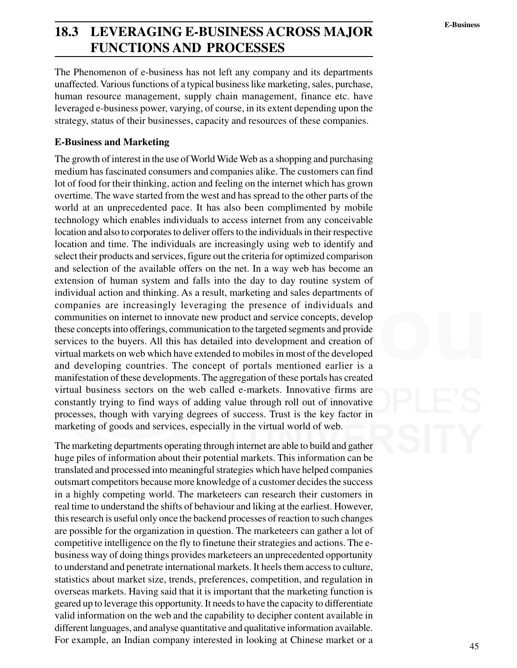### **E-Business 18.3 LEVERAGING E-BUSINESS ACROSS MAJOR FUNCTIONS AND PROCESSES**

The Phenomenon of e-business has not left any company and its departments unaffected. Various functions of a typical business like marketing, sales, purchase, human resource management, supply chain management, finance etc. have leveraged e-business power, varying, of course, in its extent depending upon the strategy, status of their businesses, capacity and resources of these companies.

#### **E-Business and Marketing**

The growth of interest in the use of World Wide Web as a shopping and purchasing medium has fascinated consumers and companies alike. The customers can find lot of food for their thinking, action and feeling on the internet which has grown overtime. The wave started from the west and has spread to the other parts of the world at an unprecedented pace. It has also been complimented by mobile technology which enables individuals to access internet from any conceivable location and also to corporates to deliver offers to the individuals in their respective location and time. The individuals are increasingly using web to identify and select their products and services, figure out the criteria for optimized comparison and selection of the available offers on the net. In a way web has become an extension of human system and falls into the day to day routine system of individual action and thinking. As a result, marketing and sales departments of companies are increasingly leveraging the presence of individuals and communities on internet to innovate new product and service concepts, develop these concepts into offerings, communication to the targeted segments and provide services to the buyers. All this has detailed into development and creation of virtual markets on web which have extended to mobiles in most of the developed and developing countries. The concept of portals mentioned earlier is a manifestation of these developments. The aggregation of these portals has created virtual business sectors on the web called e-markets. Innovative firms are constantly trying to find ways of adding value through roll out of innovative processes, though with varying degrees of success. Trust is the key factor in marketing of goods and services, especially in the virtual world of web.

The marketing departments operating through internet are able to build and gather huge piles of information about their potential markets. This information can be translated and processed into meaningful strategies which have helped companies outsmart competitors because more knowledge of a customer decides the success in a highly competing world. The marketeers can research their customers in real time to understand the shifts of behaviour and liking at the earliest. However, this research is useful only once the backend processes of reaction to such changes are possible for the organization in question. The marketeers can gather a lot of competitive intelligence on the fly to finetune their strategies and actions. The ebusiness way of doing things provides marketeers an unprecedented opportunity to understand and penetrate international markets. It heels them access to culture, statistics about market size, trends, preferences, competition, and regulation in overseas markets. Having said that it is important that the marketing function is geared up to leverage this opportunity. It needs to have the capacity to differentiate valid information on the web and the capability to decipher content available in different languages, and analyse quantitative and qualitative information available. For example, an Indian company interested in looking at Chinese market or a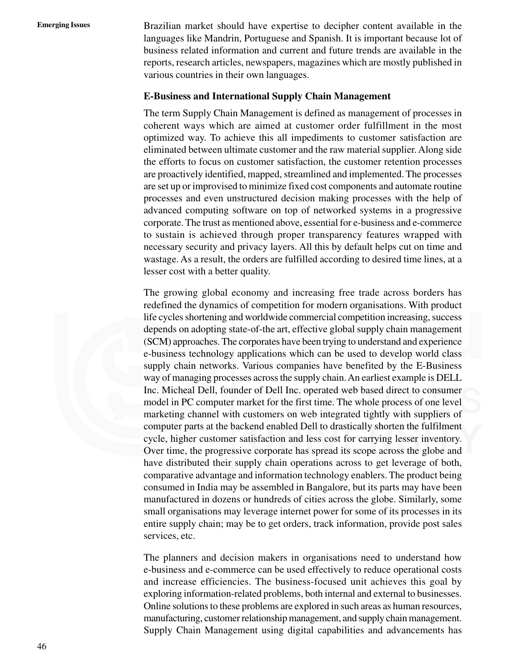**Emerging Issues** Brazilian market should have expertise to decipher content available in the languages like Mandrin, Portuguese and Spanish. It is important because lot of business related information and current and future trends are available in the reports, research articles, newspapers, magazines which are mostly published in various countries in their own languages.

#### **E-Business and International Supply Chain Management**

The term Supply Chain Management is defined as management of processes in coherent ways which are aimed at customer order fulfillment in the most optimized way. To achieve this all impediments to customer satisfaction are eliminated between ultimate customer and the raw material supplier. Along side the efforts to focus on customer satisfaction, the customer retention processes are proactively identified, mapped, streamlined and implemented. The processes are set up or improvised to minimize fixed cost components and automate routine processes and even unstructured decision making processes with the help of advanced computing software on top of networked systems in a progressive corporate. The trust as mentioned above, essential for e-business and e-commerce to sustain is achieved through proper transparency features wrapped with necessary security and privacy layers. All this by default helps cut on time and wastage. As a result, the orders are fulfilled according to desired time lines, at a lesser cost with a better quality.

The growing global economy and increasing free trade across borders has redefined the dynamics of competition for modern organisations. With product life cycles shortening and worldwide commercial competition increasing, success depends on adopting state-of-the art, effective global supply chain management (SCM) approaches. The corporates have been trying to understand and experience e-business technology applications which can be used to develop world class supply chain networks. Various companies have benefited by the E-Business way of managing processes across the supply chain. An earliest example is DELL Inc. Micheal Dell, founder of Dell Inc. operated web based direct to consumer model in PC computer market for the first time. The whole process of one level marketing channel with customers on web integrated tightly with suppliers of computer parts at the backend enabled Dell to drastically shorten the fulfilment cycle, higher customer satisfaction and less cost for carrying lesser inventory. Over time, the progressive corporate has spread its scope across the globe and have distributed their supply chain operations across to get leverage of both, comparative advantage and information technology enablers. The product being consumed in India may be assembled in Bangalore, but its parts may have been manufactured in dozens or hundreds of cities across the globe. Similarly, some small organisations may leverage internet power for some of its processes in its entire supply chain; may be to get orders, track information, provide post sales services, etc.

The planners and decision makers in organisations need to understand how e-business and e-commerce can be used effectively to reduce operational costs and increase efficiencies. The business-focused unit achieves this goal by exploring information-related problems, both internal and external to businesses. Online solutions to these problems are explored in such areas as human resources, manufacturing, customer relationship management, and supply chain management. Supply Chain Management using digital capabilities and advancements has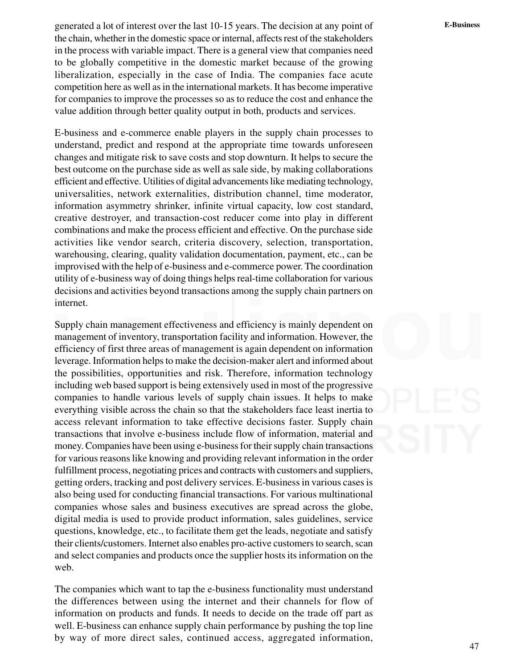generated a lot of interest over the last 10-15 years. The decision at any point of **E-Business** the chain, whether in the domestic space or internal, affects rest of the stakeholders in the process with variable impact. There is a general view that companies need to be globally competitive in the domestic market because of the growing liberalization, especially in the case of India. The companies face acute competition here as well as in the international markets. It has become imperative for companies to improve the processes so as to reduce the cost and enhance the value addition through better quality output in both, products and services.

E-business and e-commerce enable players in the supply chain processes to understand, predict and respond at the appropriate time towards unforeseen changes and mitigate risk to save costs and stop downturn. It helps to secure the best outcome on the purchase side as well as sale side, by making collaborations efficient and effective. Utilities of digital advancements like mediating technology, universalities, network externalities, distribution channel, time moderator, information asymmetry shrinker, infinite virtual capacity, low cost standard, creative destroyer, and transaction-cost reducer come into play in different combinations and make the process efficient and effective. On the purchase side activities like vendor search, criteria discovery, selection, transportation, warehousing, clearing, quality validation documentation, payment, etc., can be improvised with the help of e-business and e-commerce power. The coordination utility of e-business way of doing things helps real-time collaboration for various decisions and activities beyond transactions among the supply chain partners on internet.

Supply chain management effectiveness and efficiency is mainly dependent on management of inventory, transportation facility and information. However, the efficiency of first three areas of management is again dependent on information leverage. Information helps to make the decision-maker alert and informed about the possibilities, opportunities and risk. Therefore, information technology including web based support is being extensively used in most of the progressive companies to handle various levels of supply chain issues. It helps to make everything visible across the chain so that the stakeholders face least inertia to access relevant information to take effective decisions faster. Supply chain transactions that involve e-business include flow of information, material and money. Companies have been using e-business for their supply chain transactions for various reasons like knowing and providing relevant information in the order fulfillment process, negotiating prices and contracts with customers and suppliers, getting orders, tracking and post delivery services. E-business in various cases is also being used for conducting financial transactions. For various multinational companies whose sales and business executives are spread across the globe, digital media is used to provide product information, sales guidelines, service questions, knowledge, etc., to facilitate them get the leads, negotiate and satisfy their clients/customers. Internet also enables pro-active customers to search, scan and select companies and products once the supplier hosts its information on the web.

The companies which want to tap the e-business functionality must understand the differences between using the internet and their channels for flow of information on products and funds. It needs to decide on the trade off part as well. E-business can enhance supply chain performance by pushing the top line by way of more direct sales, continued access, aggregated information,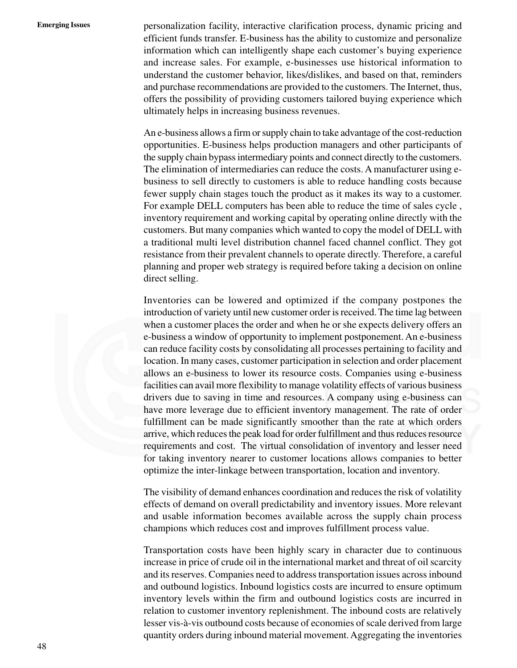**Emerging Issues** personalization facility, interactive clarification process, dynamic pricing and efficient funds transfer. E-business has the ability to customize and personalize information which can intelligently shape each customer's buying experience and increase sales. For example, e-businesses use historical information to understand the customer behavior, likes/dislikes, and based on that, reminders and purchase recommendations are provided to the customers. The Internet, thus, offers the possibility of providing customers tailored buying experience which ultimately helps in increasing business revenues.

> An e-business allows a firm or supply chain to take advantage of the cost-reduction opportunities. E-business helps production managers and other participants of the supply chain bypass intermediary points and connect directly to the customers. The elimination of intermediaries can reduce the costs. A manufacturer using ebusiness to sell directly to customers is able to reduce handling costs because fewer supply chain stages touch the product as it makes its way to a customer. For example DELL computers has been able to reduce the time of sales cycle , inventory requirement and working capital by operating online directly with the customers. But many companies which wanted to copy the model of DELL with a traditional multi level distribution channel faced channel conflict. They got resistance from their prevalent channels to operate directly. Therefore, a careful planning and proper web strategy is required before taking a decision on online direct selling.

> Inventories can be lowered and optimized if the company postpones the introduction of variety until new customer order is received. The time lag between when a customer places the order and when he or she expects delivery offers an e-business a window of opportunity to implement postponement. An e-business can reduce facility costs by consolidating all processes pertaining to facility and location. In many cases, customer participation in selection and order placement allows an e-business to lower its resource costs. Companies using e-business facilities can avail more flexibility to manage volatility effects of various business drivers due to saving in time and resources. A company using e-business can have more leverage due to efficient inventory management. The rate of order fulfillment can be made significantly smoother than the rate at which orders arrive, which reduces the peak load for order fulfillment and thus reduces resource requirements and cost. The virtual consolidation of inventory and lesser need for taking inventory nearer to customer locations allows companies to better optimize the inter-linkage between transportation, location and inventory.

> The visibility of demand enhances coordination and reduces the risk of volatility effects of demand on overall predictability and inventory issues. More relevant and usable information becomes available across the supply chain process champions which reduces cost and improves fulfillment process value.

> Transportation costs have been highly scary in character due to continuous increase in price of crude oil in the international market and threat of oil scarcity and its reserves. Companies need to address transportation issues across inbound and outbound logistics. Inbound logistics costs are incurred to ensure optimum inventory levels within the firm and outbound logistics costs are incurred in relation to customer inventory replenishment. The inbound costs are relatively lesser vis-à-vis outbound costs because of economies of scale derived from large quantity orders during inbound material movement. Aggregating the inventories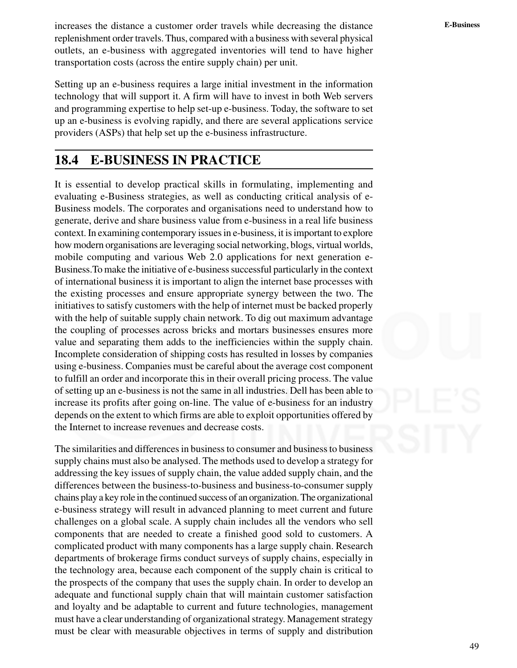**E-Business** increases the distance a customer order travels while decreasing the distance replenishment order travels. Thus, compared with a business with several physical outlets, an e-business with aggregated inventories will tend to have higher transportation costs (across the entire supply chain) per unit.

Setting up an e-business requires a large initial investment in the information technology that will support it. A firm will have to invest in both Web servers and programming expertise to help set-up e-business. Today, the software to set up an e-business is evolving rapidly, and there are several applications service providers (ASPs) that help set up the e-business infrastructure.

### **18.4 E-BUSINESS IN PRACTICE**

It is essential to develop practical skills in formulating, implementing and evaluating e-Business strategies, as well as conducting critical analysis of e-Business models. The corporates and organisations need to understand how to generate, derive and share business value from e-business in a real life business context. In examining contemporary issues in e-business, it is important to explore how modern organisations are leveraging social networking, blogs, virtual worlds, mobile computing and various Web 2.0 applications for next generation e-Business.To make the initiative of e-business successful particularly in the context of international business it is important to align the internet base processes with the existing processes and ensure appropriate synergy between the two. The initiatives to satisfy customers with the help of internet must be backed properly with the help of suitable supply chain network. To dig out maximum advantage the coupling of processes across bricks and mortars businesses ensures more value and separating them adds to the inefficiencies within the supply chain. Incomplete consideration of shipping costs has resulted in losses by companies using e-business. Companies must be careful about the average cost component to fulfill an order and incorporate this in their overall pricing process. The value of setting up an e-business is not the same in all industries. Dell has been able to increase its profits after going on-line. The value of e-business for an industry depends on the extent to which firms are able to exploit opportunities offered by the Internet to increase revenues and decrease costs.

The similarities and differences in business to consumer and business to business supply chains must also be analysed. The methods used to develop a strategy for addressing the key issues of supply chain, the value added supply chain, and the differences between the business-to-business and business-to-consumer supply chains play a key role in the continued success of an organization. The organizational e-business strategy will result in advanced planning to meet current and future challenges on a global scale. A supply chain includes all the vendors who sell components that are needed to create a finished good sold to customers. A complicated product with many components has a large supply chain. Research departments of brokerage firms conduct surveys of supply chains, especially in the technology area, because each component of the supply chain is critical to the prospects of the company that uses the supply chain. In order to develop an adequate and functional supply chain that will maintain customer satisfaction and loyalty and be adaptable to current and future technologies, management must have a clear understanding of organizational strategy. Management strategy must be clear with measurable objectives in terms of supply and distribution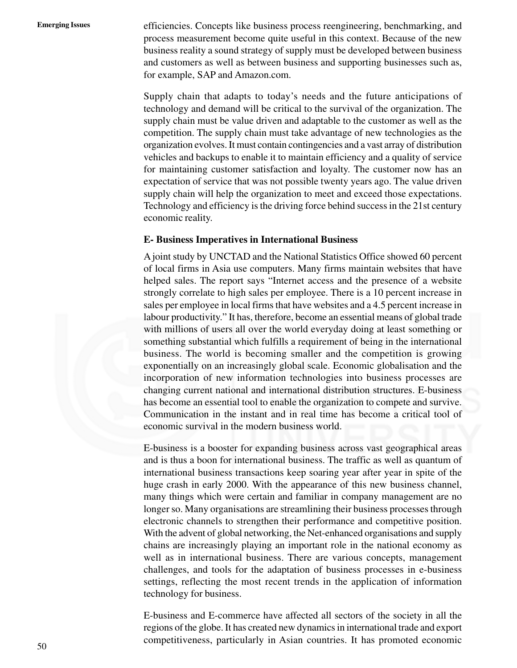**Emerging Issues** efficiencies. Concepts like business process reengineering, benchmarking, and process measurement become quite useful in this context. Because of the new business reality a sound strategy of supply must be developed between business and customers as well as between business and supporting businesses such as, for example, SAP and Amazon.com.

> Supply chain that adapts to today's needs and the future anticipations of technology and demand will be critical to the survival of the organization. The supply chain must be value driven and adaptable to the customer as well as the competition. The supply chain must take advantage of new technologies as the organization evolves. It must contain contingencies and a vast array of distribution vehicles and backups to enable it to maintain efficiency and a quality of service for maintaining customer satisfaction and loyalty. The customer now has an expectation of service that was not possible twenty years ago. The value driven supply chain will help the organization to meet and exceed those expectations. Technology and efficiency is the driving force behind success in the 21st century economic reality.

#### **E- Business Imperatives in International Business**

A joint study by UNCTAD and the National Statistics Office showed 60 percent of local firms in Asia use computers. Many firms maintain websites that have helped sales. The report says "Internet access and the presence of a website strongly correlate to high sales per employee. There is a 10 percent increase in sales per employee in local firms that have websites and a 4.5 percent increase in labour productivity." It has, therefore, become an essential means of global trade with millions of users all over the world everyday doing at least something or something substantial which fulfills a requirement of being in the international business. The world is becoming smaller and the competition is growing exponentially on an increasingly global scale. Economic globalisation and the incorporation of new information technologies into business processes are changing current national and international distribution structures. E-business has become an essential tool to enable the organization to compete and survive. Communication in the instant and in real time has become a critical tool of economic survival in the modern business world.

E-business is a booster for expanding business across vast geographical areas and is thus a boon for international business. The traffic as well as quantum of international business transactions keep soaring year after year in spite of the huge crash in early 2000. With the appearance of this new business channel, many things which were certain and familiar in company management are no longer so. Many organisations are streamlining their business processes through electronic channels to strengthen their performance and competitive position. With the advent of global networking, the Net-enhanced organisations and supply chains are increasingly playing an important role in the national economy as well as in international business. There are various concepts, management challenges, and tools for the adaptation of business processes in e-business settings, reflecting the most recent trends in the application of information technology for business.

E-business and E-commerce have affected all sectors of the society in all the regions of the globe. It has created new dynamics in international trade and export competitiveness, particularly in Asian countries. It has promoted economic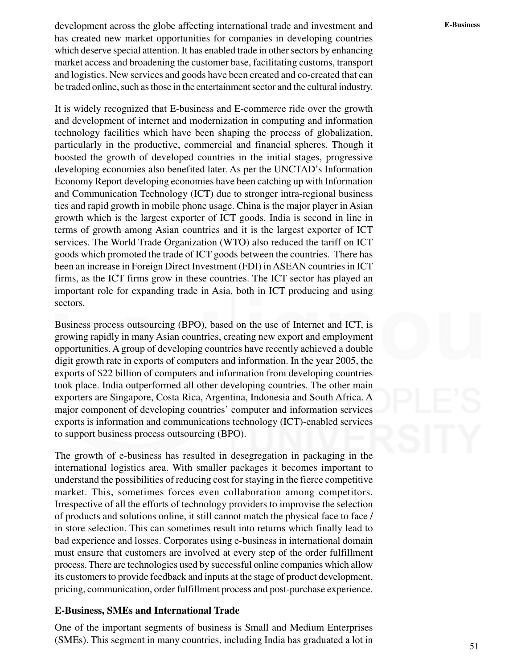development across the globe affecting international trade and investment and **E-Business** has created new market opportunities for companies in developing countries which deserve special attention. It has enabled trade in other sectors by enhancing market access and broadening the customer base, facilitating customs, transport and logistics. New services and goods have been created and co-created that can be traded online, such as those in the entertainment sector and the cultural industry.

It is widely recognized that E-business and E-commerce ride over the growth and development of internet and modernization in computing and information technology facilities which have been shaping the process of globalization, particularly in the productive, commercial and financial spheres. Though it boosted the growth of developed countries in the initial stages, progressive developing economies also benefited later. As per the UNCTAD's Information Economy Report developing economies have been catching up with Information and Communication Technology (ICT) due to stronger intra-regional business ties and rapid growth in mobile phone usage. China is the major player in Asian growth which is the largest exporter of ICT goods. India is second in line in terms of growth among Asian countries and it is the largest exporter of ICT services. The World Trade Organization (WTO) also reduced the tariff on ICT goods which promoted the trade of ICT goods between the countries. There has been an increase in Foreign Direct Investment (FDI) in ASEAN countries in ICT firms, as the ICT firms grow in these countries. The ICT sector has played an important role for expanding trade in Asia, both in ICT producing and using sectors.

Business process outsourcing (BPO), based on the use of Internet and ICT, is growing rapidly in many Asian countries, creating new export and employment opportunities. A group of developing countries have recently achieved a double digit growth rate in exports of computers and information. In the year 2005, the exports of \$22 billion of computers and information from developing countries took place. India outperformed all other developing countries. The other main exporters are Singapore, Costa Rica, Argentina, Indonesia and South Africa. A major component of developing countries' computer and information services exports is information and communications technology (ICT)-enabled services to support business process outsourcing (BPO).

The growth of e-business has resulted in desegregation in packaging in the international logistics area. With smaller packages it becomes important to understand the possibilities of reducing cost for staying in the fierce competitive market. This, sometimes forces even collaboration among competitors. Irrespective of all the efforts of technology providers to improvise the selection of products and solutions online, it still cannot match the physical face to face / in store selection. This can sometimes result into returns which finally lead to bad experience and losses. Corporates using e-business in international domain must ensure that customers are involved at every step of the order fulfillment process. There are technologies used by successful online companies which allow its customers to provide feedback and inputs at the stage of product development, pricing, communication, order fulfillment process and post-purchase experience.

#### **E-Business, SMEs and International Trade**

One of the important segments of business is Small and Medium Enterprises (SMEs). This segment in many countries, including India has graduated a lot in

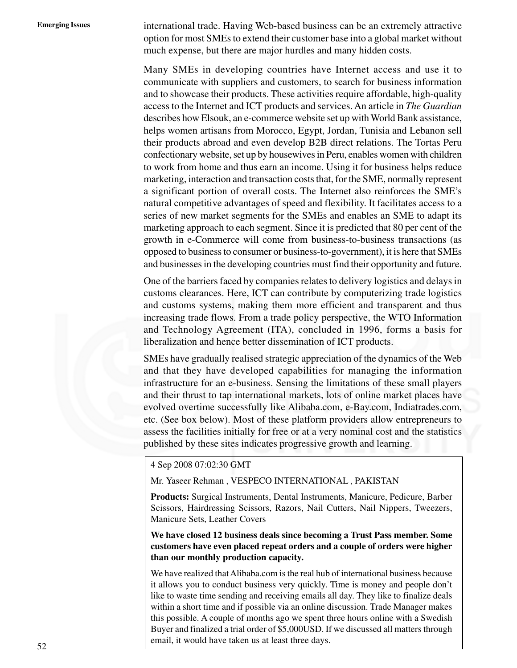**Emerging Issues** international trade. Having Web-based business can be an extremely attractive option for most SMEs to extend their customer base into a global market without much expense, but there are major hurdles and many hidden costs.

> Many SMEs in developing countries have Internet access and use it to communicate with suppliers and customers, to search for business information and to showcase their products. These activities require affordable, high-quality access to the Internet and ICT products and services. An article in *The Guardian* describes how Elsouk, an e-commerce website set up with World Bank assistance, helps women artisans from Morocco, Egypt, Jordan, Tunisia and Lebanon sell their products abroad and even develop B2B direct relations. The Tortas Peru confectionary website, set up by housewives in Peru, enables women with children to work from home and thus earn an income. Using it for business helps reduce marketing, interaction and transaction costs that, for the SME, normally represent a significant portion of overall costs. The Internet also reinforces the SME's natural competitive advantages of speed and flexibility. It facilitates access to a series of new market segments for the SMEs and enables an SME to adapt its marketing approach to each segment. Since it is predicted that 80 per cent of the growth in e-Commerce will come from business-to-business transactions (as opposed to business to consumer or business-to-government), it is here that SMEs and businesses in the developing countries must find their opportunity and future.

> One of the barriers faced by companies relates to delivery logistics and delays in customs clearances. Here, ICT can contribute by computerizing trade logistics and customs systems, making them more efficient and transparent and thus increasing trade flows. From a trade policy perspective, the WTO Information and Technology Agreement (ITA), concluded in 1996, forms a basis for liberalization and hence better dissemination of ICT products.

> SMEs have gradually realised strategic appreciation of the dynamics of the Web and that they have developed capabilities for managing the information infrastructure for an e-business. Sensing the limitations of these small players and their thrust to tap international markets, lots of online market places have evolved overtime successfully like Alibaba.com, e-Bay.com, Indiatrades.com, etc. (See box below). Most of these platform providers allow entrepreneurs to assess the facilities initially for free or at a very nominal cost and the statistics published by these sites indicates progressive growth and learning.

4 Sep 2008 07:02:30 GMT

Mr. Yaseer Rehman , VESPECO INTERNATIONAL , PAKISTAN

**Products:** Surgical Instruments, Dental Instruments, Manicure, Pedicure, Barber Scissors, Hairdressing Scissors, Razors, Nail Cutters, Nail Nippers, Tweezers, Manicure Sets, Leather Covers

**We have closed 12 business deals since becoming a Trust Pass member. Some customers have even placed repeat orders and a couple of orders were higher than our monthly production capacity.**

We have realized that Alibaba.com is the real hub of international business because it allows you to conduct business very quickly. Time is money and people don't like to waste time sending and receiving emails all day. They like to finalize deals within a short time and if possible via an online discussion. Trade Manager makes this possible. A couple of months ago we spent three hours online with a Swedish Buyer and finalized a trial order of \$5,000USD. If we discussed all matters through email, it would have taken us at least three days.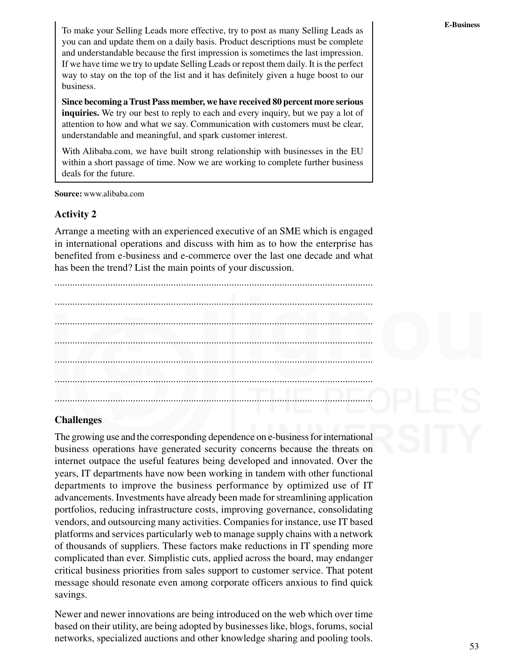To make your Selling Leads more effective, try to post as many Selling Leads as you can and update them on a daily basis. Product descriptions must be complete and understandable because the first impression is sometimes the last impression. If we have time we try to update Selling Leads or repost them daily. It is the perfect way to stay on the top of the list and it has definitely given a huge boost to our business.

**Since becoming a Trust Pass member, we have received 80 percent more serious inquiries.** We try our best to reply to each and every inquiry, but we pay a lot of attention to how and what we say. Communication with customers must be clear, understandable and meaningful, and spark customer interest.

With Alibaba.com, we have built strong relationship with businesses in the EU within a short passage of time. Now we are working to complete further business deals for the future.

**Source:** www.alibaba.com

#### **Activity 2**

Arrange a meeting with an experienced executive of an SME which is engaged in international operations and discuss with him as to how the enterprise has benefited from e-business and e-commerce over the last one decade and what has been the trend? List the main points of your discussion.



#### **Challenges**

The growing use and the corresponding dependence on e-business for international business operations have generated security concerns because the threats on internet outpace the useful features being developed and innovated. Over the years, IT departments have now been working in tandem with other functional departments to improve the business performance by optimized use of IT advancements. Investments have already been made for streamlining application portfolios, reducing infrastructure costs, improving governance, consolidating vendors, and outsourcing many activities. Companies for instance, use IT based platforms and services particularly web to manage supply chains with a network of thousands of suppliers. These factors make reductions in IT spending more complicated than ever. Simplistic cuts, applied across the board, may endanger critical business priorities from sales support to customer service. That potent message should resonate even among corporate officers anxious to find quick savings.

Newer and newer innovations are being introduced on the web which over time based on their utility, are being adopted by businesses like, blogs, forums, social networks, specialized auctions and other knowledge sharing and pooling tools.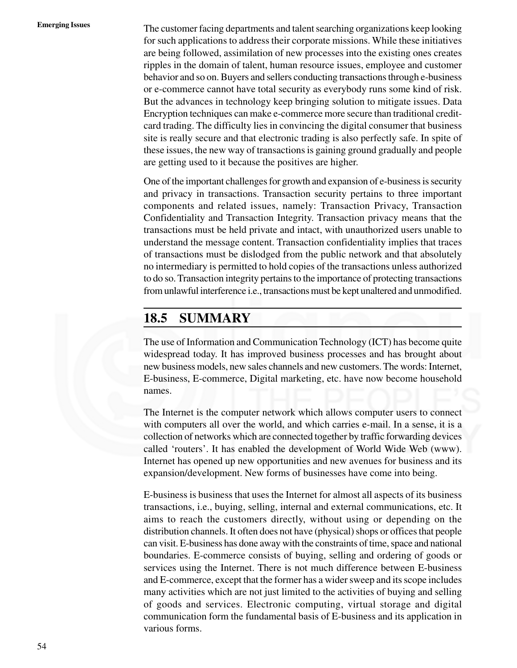**Emerging Issues** The customer facing departments and talent searching organizations keep looking for such applications to address their corporate missions. While these initiatives are being followed, assimilation of new processes into the existing ones creates ripples in the domain of talent, human resource issues, employee and customer behavior and so on. Buyers and sellers conducting transactions through e-business or e-commerce cannot have total security as everybody runs some kind of risk. But the advances in technology keep bringing solution to mitigate issues. Data Encryption techniques can make e-commerce more secure than traditional creditcard trading. The difficulty lies in convincing the digital consumer that business site is really secure and that electronic trading is also perfectly safe. In spite of these issues, the new way of transactions is gaining ground gradually and people are getting used to it because the positives are higher.

> One of the important challenges for growth and expansion of e-business is security and privacy in transactions. Transaction security pertains to three important components and related issues, namely: Transaction Privacy, Transaction Confidentiality and Transaction Integrity. Transaction privacy means that the transactions must be held private and intact, with unauthorized users unable to understand the message content. Transaction confidentiality implies that traces of transactions must be dislodged from the public network and that absolutely no intermediary is permitted to hold copies of the transactions unless authorized to do so. Transaction integrity pertains to the importance of protecting transactions from unlawful interference i.e., transactions must be kept unaltered and unmodified.

### **18.5 SUMMARY**

The use of Information and Communication Technology (ICT) has become quite widespread today. It has improved business processes and has brought about new business models, new sales channels and new customers. The words: Internet, E-business, E-commerce, Digital marketing, etc. have now become household names.

The Internet is the computer network which allows computer users to connect with computers all over the world, and which carries e-mail. In a sense, it is a collection of networks which are connected together by traffic forwarding devices called 'routers'. It has enabled the development of World Wide Web (www). Internet has opened up new opportunities and new avenues for business and its expansion/development. New forms of businesses have come into being.

E-business is business that uses the Internet for almost all aspects of its business transactions, i.e., buying, selling, internal and external communications, etc. It aims to reach the customers directly, without using or depending on the distribution channels. It often does not have (physical) shops or offices that people can visit. E-business has done away with the constraints of time, space and national boundaries. E-commerce consists of buying, selling and ordering of goods or services using the Internet. There is not much difference between E-business and E-commerce, except that the former has a wider sweep and its scope includes many activities which are not just limited to the activities of buying and selling of goods and services. Electronic computing, virtual storage and digital communication form the fundamental basis of E-business and its application in various forms.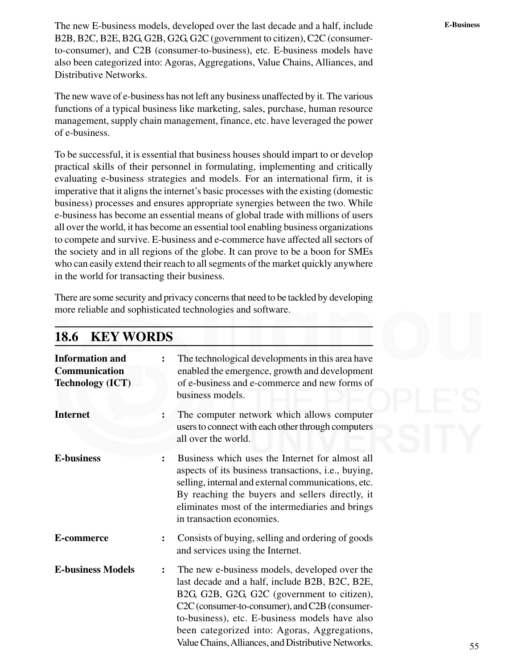The new E-business models, developed over the last decade and a half, include **E-Business** B2B, B2C, B2E, B2G, G2B, G2G, G2C (government to citizen), C2C (consumerto-consumer), and C2B (consumer-to-business), etc. E-business models have also been categorized into: Agoras, Aggregations, Value Chains, Alliances, and Distributive Networks.

The new wave of e-business has not left any business unaffected by it. The various functions of a typical business like marketing, sales, purchase, human resource management, supply chain management, finance, etc. have leveraged the power of e-business.

To be successful, it is essential that business houses should impart to or develop practical skills of their personnel in formulating, implementing and critically evaluating e-business strategies and models. For an international firm, it is imperative that it aligns the internet's basic processes with the existing (domestic business) processes and ensures appropriate synergies between the two. While e-business has become an essential means of global trade with millions of users all over the world, it has become an essential tool enabling business organizations to compete and survive. E-business and e-commerce have affected all sectors of the society and in all regions of the globe. It can prove to be a boon for SMEs who can easily extend their reach to all segments of the market quickly anywhere in the world for transacting their business.

There are some security and privacy concerns that need to be tackled by developing more reliable and sophisticated technologies and software.

| <b>KEY WORDS</b><br><b>18.6</b>                                    |                |                                                                                                                                                                                                                                                                                                                                                           |
|--------------------------------------------------------------------|----------------|-----------------------------------------------------------------------------------------------------------------------------------------------------------------------------------------------------------------------------------------------------------------------------------------------------------------------------------------------------------|
| <b>Information and</b><br>Communication<br><b>Technology (ICT)</b> | $\ddot{\cdot}$ | The technological developments in this area have<br>enabled the emergence, growth and development<br>of e-business and e-commerce and new forms of<br>business models.                                                                                                                                                                                    |
| <b>Internet</b>                                                    |                | The computer network which allows computer<br>users to connect with each other through computers<br>all over the world.                                                                                                                                                                                                                                   |
| <b>E-business</b>                                                  | $\ddot{\cdot}$ | Business which uses the Internet for almost all<br>aspects of its business transactions, i.e., buying,<br>selling, internal and external communications, etc.<br>By reaching the buyers and sellers directly, it<br>eliminates most of the intermediaries and brings<br>in transaction economies.                                                         |
| E-commerce                                                         |                | Consists of buying, selling and ordering of goods<br>and services using the Internet.                                                                                                                                                                                                                                                                     |
| <b>E-business Models</b>                                           | $\ddot{\cdot}$ | The new e-business models, developed over the<br>last decade and a half, include B2B, B2C, B2E,<br>B2G, G2B, G2G, G2C (government to citizen),<br>C2C (consumer-to-consumer), and C2B (consumer-<br>to-business), etc. E-business models have also<br>been categorized into: Agoras, Aggregations,<br>Value Chains, Alliances, and Distributive Networks. |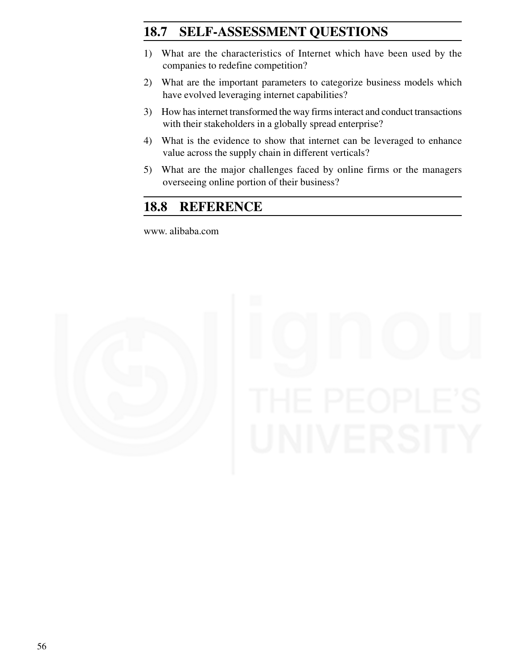### 18.7 **SELF-ASSESSMENT QUESTIONS**

- 1) What are the characteristics of Internet which have been used by the companies to redefine competition?
- 2) What are the important parameters to categorize business models which have evolved leveraging internet capabilities?
- 3) How has internet transformed the way firms interact and conduct transactions with their stakeholders in a globally spread enterprise?
- 4) What is the evidence to show that internet can be leveraged to enhance value across the supply chain in different verticals?
- 5) What are the major challenges faced by online firms or the managers overseeing online portion of their business?

### **18.8 REFERENCE**

www. alibaba.com

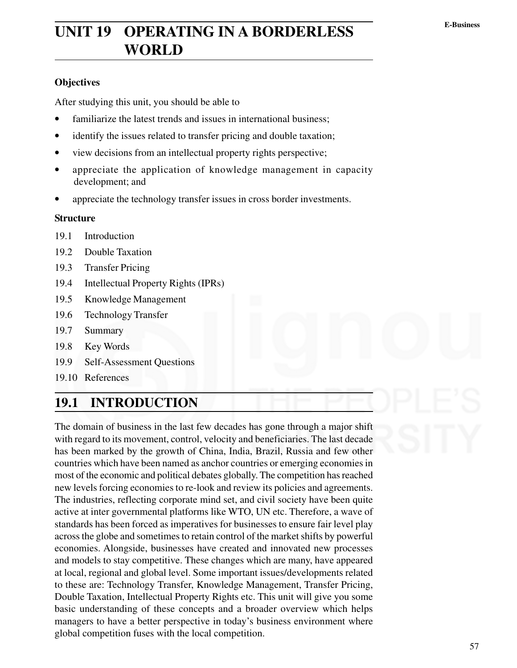# **E-Business UNIT 19 OPERATING IN A BORDERLESS WORLD**

#### **Objectives**

After studying this unit, you should be able to

- familiarize the latest trends and issues in international business;
- identify the issues related to transfer pricing and double taxation;
- view decisions from an intellectual property rights perspective;
- appreciate the application of knowledge management in capacity development; and
- appreciate the technology transfer issues in cross border investments.

#### **Structure**

- 19.1 Introduction
- 19.2 Double Taxation
- 19.3 Transfer Pricing
- 19.4 Intellectual Property Rights (IPRs)
- 19.5 Knowledge Management
- 19.6 Technology Transfer
- 19.7 Summary
- 19.8 Key Words
- 19.9 Self-Assessment Questions
- 19.10 References

### **19.1 INTRODUCTION**

The domain of business in the last few decades has gone through a major shift with regard to its movement, control, velocity and beneficiaries. The last decade has been marked by the growth of China, India, Brazil, Russia and few other countries which have been named as anchor countries or emerging economies in most of the economic and political debates globally. The competition has reached new levels forcing economies to re-look and review its policies and agreements. The industries, reflecting corporate mind set, and civil society have been quite active at inter governmental platforms like WTO, UN etc. Therefore, a wave of standards has been forced as imperatives for businesses to ensure fair level play across the globe and sometimes to retain control of the market shifts by powerful economies. Alongside, businesses have created and innovated new processes and models to stay competitive. These changes which are many, have appeared at local, regional and global level. Some important issues/developments related to these are: Technology Transfer, Knowledge Management, Transfer Pricing, Double Taxation, Intellectual Property Rights etc. This unit will give you some basic understanding of these concepts and a broader overview which helps managers to have a better perspective in today's business environment where global competition fuses with the local competition.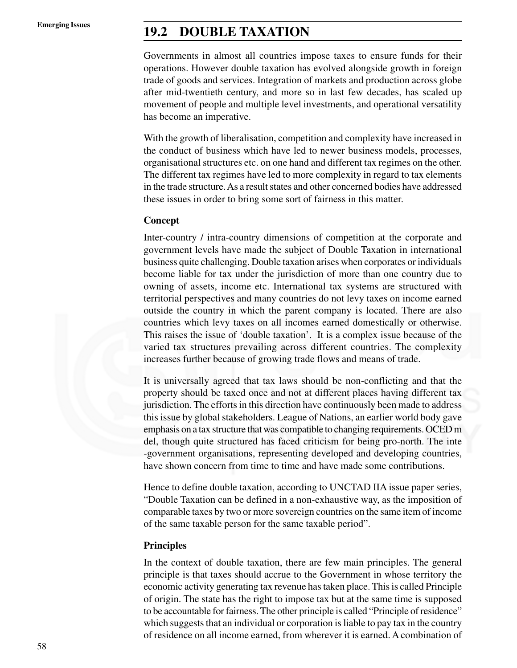## **Emerging Issues 19.2 DOUBLE TAXATION**

Governments in almost all countries impose taxes to ensure funds for their operations. However double taxation has evolved alongside growth in foreign trade of goods and services. Integration of markets and production across globe after mid-twentieth century, and more so in last few decades, has scaled up movement of people and multiple level investments, and operational versatility has become an imperative.

With the growth of liberalisation, competition and complexity have increased in the conduct of business which have led to newer business models, processes, organisational structures etc. on one hand and different tax regimes on the other. The different tax regimes have led to more complexity in regard to tax elements in the trade structure. As a result states and other concerned bodies have addressed these issues in order to bring some sort of fairness in this matter.

#### **Concept**

Inter-country / intra-country dimensions of competition at the corporate and government levels have made the subject of Double Taxation in international business quite challenging. Double taxation arises when corporates or individuals become liable for tax under the jurisdiction of more than one country due to owning of assets, income etc. International tax systems are structured with territorial perspectives and many countries do not levy taxes on income earned outside the country in which the parent company is located. There are also countries which levy taxes on all incomes earned domestically or otherwise. This raises the issue of 'double taxation'. It is a complex issue because of the varied tax structures prevailing across different countries. The complexity increases further because of growing trade flows and means of trade.

It is universally agreed that tax laws should be non-conflicting and that the property should be taxed once and not at different places having different tax jurisdiction. The efforts in this direction have continuously been made to address this issue by global stakeholders. League of Nations, an earlier world body gave emphasis on a tax structure that was compatible to changing requirements. OCED m del, though quite structured has faced criticism for being pro-north. The inte -government organisations, representing developed and developing countries, have shown concern from time to time and have made some contributions.

Hence to define double taxation, according to UNCTAD IIA issue paper series, "Double Taxation can be defined in a non-exhaustive way, as the imposition of comparable taxes by two or more sovereign countries on the same item of income of the same taxable person for the same taxable period".

#### **Principles**

In the context of double taxation, there are few main principles. The general principle is that taxes should accrue to the Government in whose territory the economic activity generating tax revenue has taken place. This is called Principle of origin. The state has the right to impose tax but at the same time is supposed to be accountable for fairness. The other principle is called "Principle of residence" which suggests that an individual or corporation is liable to pay tax in the country of residence on all income earned, from wherever it is earned. A combination of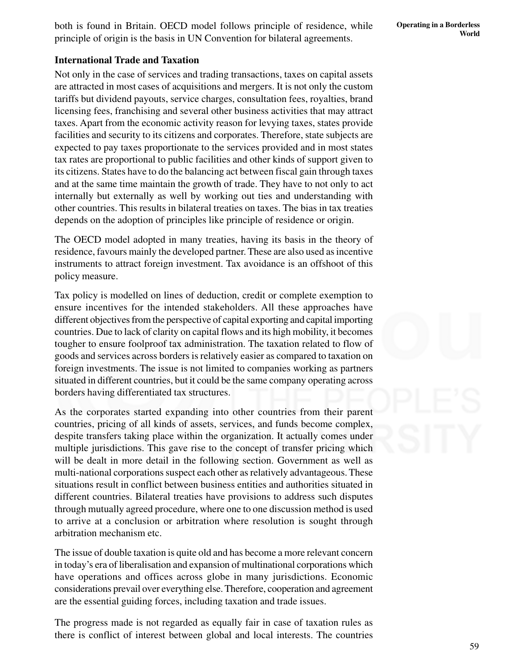**Operating in a Borderless World**

both is found in Britain. OECD model follows principle of residence, while principle of origin is the basis in UN Convention for bilateral agreements.

### **International Trade and Taxation**

Not only in the case of services and trading transactions, taxes on capital assets are attracted in most cases of acquisitions and mergers. It is not only the custom tariffs but dividend payouts, service charges, consultation fees, royalties, brand licensing fees, franchising and several other business activities that may attract taxes. Apart from the economic activity reason for levying taxes, states provide facilities and security to its citizens and corporates. Therefore, state subjects are expected to pay taxes proportionate to the services provided and in most states tax rates are proportional to public facilities and other kinds of support given to its citizens. States have to do the balancing act between fiscal gain through taxes and at the same time maintain the growth of trade. They have to not only to act internally but externally as well by working out ties and understanding with other countries. This results in bilateral treaties on taxes. The bias in tax treaties depends on the adoption of principles like principle of residence or origin.

The OECD model adopted in many treaties, having its basis in the theory of residence, favours mainly the developed partner. These are also used as incentive instruments to attract foreign investment. Tax avoidance is an offshoot of this policy measure.

Tax policy is modelled on lines of deduction, credit or complete exemption to ensure incentives for the intended stakeholders. All these approaches have different objectives from the perspective of capital exporting and capital importing countries. Due to lack of clarity on capital flows and its high mobility, it becomes tougher to ensure foolproof tax administration. The taxation related to flow of goods and services across borders is relatively easier as compared to taxation on foreign investments. The issue is not limited to companies working as partners situated in different countries, but it could be the same company operating across borders having differentiated tax structures.

As the corporates started expanding into other countries from their parent countries, pricing of all kinds of assets, services, and funds become complex, despite transfers taking place within the organization. It actually comes under multiple jurisdictions. This gave rise to the concept of transfer pricing which will be dealt in more detail in the following section. Government as well as multi-national corporations suspect each other as relatively advantageous. These situations result in conflict between business entities and authorities situated in different countries. Bilateral treaties have provisions to address such disputes through mutually agreed procedure, where one to one discussion method is used to arrive at a conclusion or arbitration where resolution is sought through arbitration mechanism etc.

The issue of double taxation is quite old and has become a more relevant concern in today's era of liberalisation and expansion of multinational corporations which have operations and offices across globe in many jurisdictions. Economic considerations prevail over everything else. Therefore, cooperation and agreement are the essential guiding forces, including taxation and trade issues.

The progress made is not regarded as equally fair in case of taxation rules as there is conflict of interest between global and local interests. The countries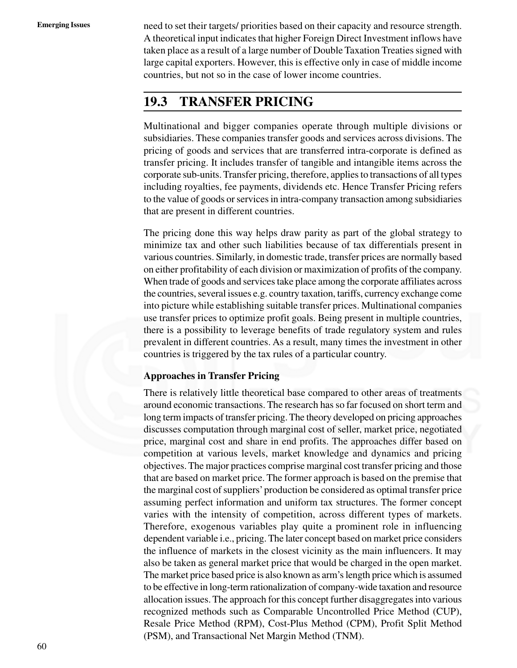**Emerging Issues** need to set their targets/ priorities based on their capacity and resource strength. A theoretical input indicates that higher Foreign Direct Investment inflows have taken place as a result of a large number of Double Taxation Treaties signed with large capital exporters. However, this is effective only in case of middle income countries, but not so in the case of lower income countries.

### **19.3 TRANSFER PRICING**

Multinational and bigger companies operate through multiple divisions or subsidiaries. These companies transfer goods and services across divisions. The pricing of goods and services that are transferred intra-corporate is defined as transfer pricing. It includes transfer of tangible and intangible items across the corporate sub-units. Transfer pricing, therefore, applies to transactions of all types including royalties, fee payments, dividends etc. Hence Transfer Pricing refers to the value of goods or services in intra-company transaction among subsidiaries that are present in different countries.

The pricing done this way helps draw parity as part of the global strategy to minimize tax and other such liabilities because of tax differentials present in various countries. Similarly, in domestic trade, transfer prices are normally based on either profitability of each division or maximization of profits of the company. When trade of goods and services take place among the corporate affiliates across the countries, several issues e.g. country taxation, tariffs, currency exchange come into picture while establishing suitable transfer prices. Multinational companies use transfer prices to optimize profit goals. Being present in multiple countries, there is a possibility to leverage benefits of trade regulatory system and rules prevalent in different countries. As a result, many times the investment in other countries is triggered by the tax rules of a particular country.

#### **Approaches in Transfer Pricing**

There is relatively little theoretical base compared to other areas of treatments around economic transactions. The research has so far focused on short term and long term impacts of transfer pricing. The theory developed on pricing approaches discusses computation through marginal cost of seller, market price, negotiated price, marginal cost and share in end profits. The approaches differ based on competition at various levels, market knowledge and dynamics and pricing objectives. The major practices comprise marginal cost transfer pricing and those that are based on market price. The former approach is based on the premise that the marginal cost of suppliers' production be considered as optimal transfer price assuming perfect information and uniform tax structures. The former concept varies with the intensity of competition, across different types of markets. Therefore, exogenous variables play quite a prominent role in influencing dependent variable i.e., pricing. The later concept based on market price considers the influence of markets in the closest vicinity as the main influencers. It may also be taken as general market price that would be charged in the open market. The market price based price is also known as arm's length price which is assumed to be effective in long-term rationalization of company-wide taxation and resource allocation issues. The approach for this concept further disaggregates into various recognized methods such as Comparable Uncontrolled Price Method (CUP), Resale Price Method (RPM), Cost-Plus Method (CPM), Profit Split Method (PSM), and Transactional Net Margin Method (TNM).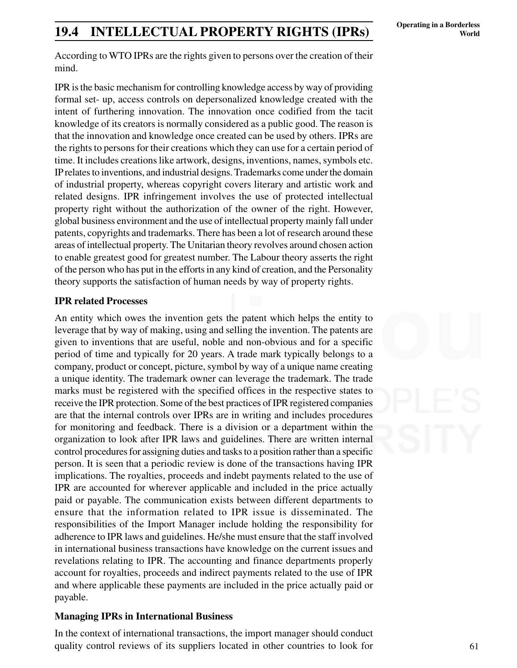# **Operating in a Borderless 19.4 INTELLECTUAL PROPERTY RIGHTS (IPRs) Operating in a Borderless** World

According to WTO IPRs are the rights given to persons over the creation of their mind.

IPR is the basic mechanism for controlling knowledge access by way of providing formal set- up, access controls on depersonalized knowledge created with the intent of furthering innovation. The innovation once codified from the tacit knowledge of its creators is normally considered as a public good. The reason is that the innovation and knowledge once created can be used by others. IPRs are the rights to persons for their creations which they can use for a certain period of time. It includes creations like artwork, designs, inventions, names, symbols etc. IP relates to inventions, and industrial designs. Trademarks come under the domain of industrial property, whereas copyright covers literary and artistic work and related designs. IPR infringement involves the use of protected intellectual property right without the authorization of the owner of the right. However, global business environment and the use of intellectual property mainly fall under patents, copyrights and trademarks. There has been a lot of research around these areas of intellectual property. The Unitarian theory revolves around chosen action to enable greatest good for greatest number. The Labour theory asserts the right of the person who has put in the efforts in any kind of creation, and the Personality theory supports the satisfaction of human needs by way of property rights.

#### **IPR related Processes**

An entity which owes the invention gets the patent which helps the entity to leverage that by way of making, using and selling the invention. The patents are given to inventions that are useful, noble and non-obvious and for a specific period of time and typically for 20 years. A trade mark typically belongs to a company, product or concept, picture, symbol by way of a unique name creating a unique identity. The trademark owner can leverage the trademark. The trade marks must be registered with the specified offices in the respective states to receive the IPR protection. Some of the best practices of IPR registered companies are that the internal controls over IPRs are in writing and includes procedures for monitoring and feedback. There is a division or a department within the organization to look after IPR laws and guidelines. There are written internal control procedures for assigning duties and tasks to a position rather than a specific person. It is seen that a periodic review is done of the transactions having IPR implications. The royalties, proceeds and indebt payments related to the use of IPR are accounted for wherever applicable and included in the price actually paid or payable. The communication exists between different departments to ensure that the information related to IPR issue is disseminated. The responsibilities of the Import Manager include holding the responsibility for adherence to IPR laws and guidelines. He/she must ensure that the staff involved in international business transactions have knowledge on the current issues and revelations relating to IPR. The accounting and finance departments properly account for royalties, proceeds and indirect payments related to the use of IPR and where applicable these payments are included in the price actually paid or payable.

#### **Managing IPRs in International Business**

In the context of international transactions, the import manager should conduct quality control reviews of its suppliers located in other countries to look for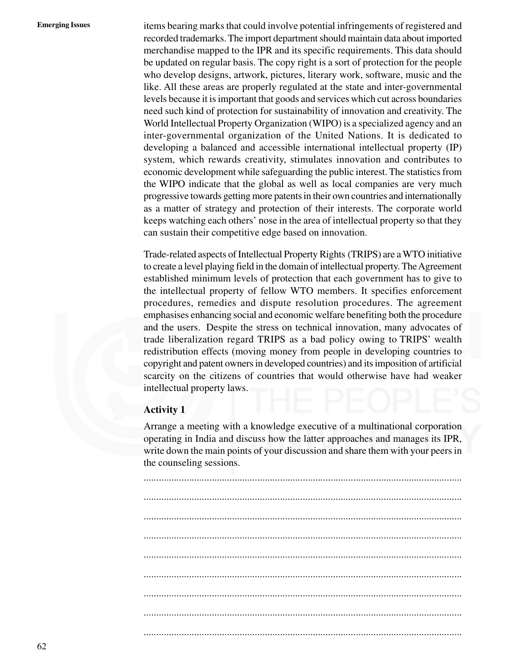**Emerging Issues** items bearing marks that could involve potential infringements of registered and recorded trademarks. The import department should maintain data about imported merchandise mapped to the IPR and its specific requirements. This data should be updated on regular basis. The copy right is a sort of protection for the people who develop designs, artwork, pictures, literary work, software, music and the like. All these areas are properly regulated at the state and inter-governmental levels because it is important that goods and services which cut across boundaries need such kind of protection for sustainability of innovation and creativity. The World Intellectual Property Organization (WIPO) is a specialized agency and an inter-governmental organization of the United Nations. It is dedicated to developing a balanced and accessible international intellectual property (IP) system, which rewards creativity, stimulates innovation and contributes to economic development while safeguarding the public interest. The statistics from the WIPO indicate that the global as well as local companies are very much progressive towards getting more patents in their own countries and internationally as a matter of strategy and protection of their interests. The corporate world keeps watching each others' nose in the area of intellectual property so that they can sustain their competitive edge based on innovation.

> Trade-related aspects of Intellectual Property Rights (TRIPS) are a WTO initiative to create a level playing field in the domain of intellectual property. The Agreement established minimum levels of protection that each government has to give to the intellectual property of fellow WTO members. It specifies enforcement procedures, remedies and dispute resolution procedures. The agreement emphasises enhancing social and economic welfare benefiting both the procedure and the users. Despite the stress on technical innovation, many advocates of trade liberalization regard TRIPS as a bad policy owing to TRIPS' wealth redistribution effects (moving money from people in developing countries to copyright and patent owners in developed countries) and its imposition of artificial scarcity on the citizens of countries that would otherwise have had weaker intellectual property laws.

#### **Activity 1**

Arrange a meeting with a knowledge executive of a multinational corporation operating in India and discuss how the latter approaches and manages its IPR, write down the main points of your discussion and share them with your peers in the counseling sessions.

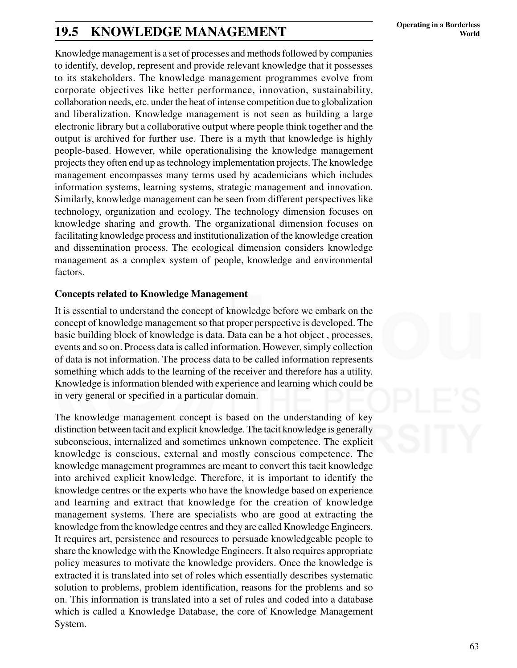# **Operating in a Borderless 19.5 KNOWLEDGE MANAGEMENT World**

Knowledge management is a set of processes and methods followed by companies to identify, develop, represent and provide relevant knowledge that it possesses to its stakeholders. The knowledge management programmes evolve from corporate objectives like better performance, innovation, sustainability, collaboration needs, etc. under the heat of intense competition due to globalization and liberalization. Knowledge management is not seen as building a large electronic library but a collaborative output where people think together and the output is archived for further use. There is a myth that knowledge is highly people-based. However, while operationalising the knowledge management projects they often end up as technology implementation projects. The knowledge management encompasses many terms used by academicians which includes information systems, learning systems, strategic management and innovation. Similarly, knowledge management can be seen from different perspectives like technology, organization and ecology. The technology dimension focuses on knowledge sharing and growth. The organizational dimension focuses on facilitating knowledge process and institutionalization of the knowledge creation and dissemination process. The ecological dimension considers knowledge management as a complex system of people, knowledge and environmental factors.

#### **Concepts related to Knowledge Management**

It is essential to understand the concept of knowledge before we embark on the concept of knowledge management so that proper perspective is developed. The basic building block of knowledge is data. Data can be a hot object , processes, events and so on. Process data is called information. However, simply collection of data is not information. The process data to be called information represents something which adds to the learning of the receiver and therefore has a utility. Knowledge is information blended with experience and learning which could be in very general or specified in a particular domain.

The knowledge management concept is based on the understanding of key distinction between tacit and explicit knowledge. The tacit knowledge is generally subconscious, internalized and sometimes unknown competence. The explicit knowledge is conscious, external and mostly conscious competence. The knowledge management programmes are meant to convert this tacit knowledge into archived explicit knowledge. Therefore, it is important to identify the knowledge centres or the experts who have the knowledge based on experience and learning and extract that knowledge for the creation of knowledge management systems. There are specialists who are good at extracting the knowledge from the knowledge centres and they are called Knowledge Engineers. It requires art, persistence and resources to persuade knowledgeable people to share the knowledge with the Knowledge Engineers. It also requires appropriate policy measures to motivate the knowledge providers. Once the knowledge is extracted it is translated into set of roles which essentially describes systematic solution to problems, problem identification, reasons for the problems and so on. This information is translated into a set of rules and coded into a database which is called a Knowledge Database, the core of Knowledge Management System.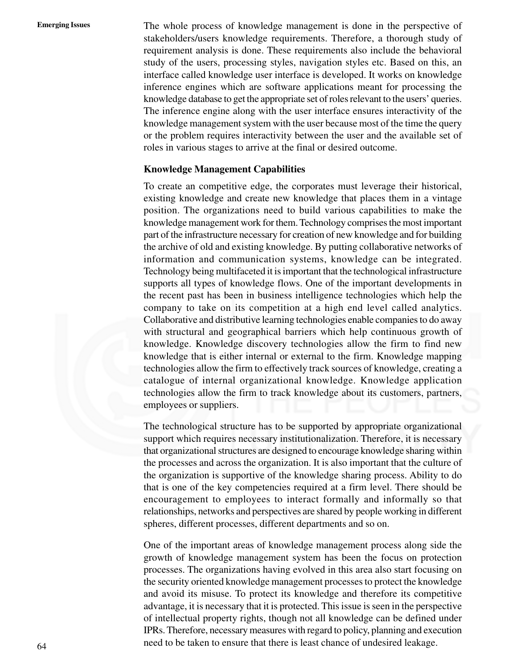**Emerging Issues** The whole process of knowledge management is done in the perspective of stakeholders/users knowledge requirements. Therefore, a thorough study of requirement analysis is done. These requirements also include the behavioral study of the users, processing styles, navigation styles etc. Based on this, an interface called knowledge user interface is developed. It works on knowledge inference engines which are software applications meant for processing the knowledge database to get the appropriate set of roles relevant to the users' queries. The inference engine along with the user interface ensures interactivity of the knowledge management system with the user because most of the time the query or the problem requires interactivity between the user and the available set of roles in various stages to arrive at the final or desired outcome.

#### **Knowledge Management Capabilities**

To create an competitive edge, the corporates must leverage their historical, existing knowledge and create new knowledge that places them in a vintage position. The organizations need to build various capabilities to make the knowledge management work for them. Technology comprises the most important part of the infrastructure necessary for creation of new knowledge and for building the archive of old and existing knowledge. By putting collaborative networks of information and communication systems, knowledge can be integrated. Technology being multifaceted it is important that the technological infrastructure supports all types of knowledge flows. One of the important developments in the recent past has been in business intelligence technologies which help the company to take on its competition at a high end level called analytics. Collaborative and distributive learning technologies enable companies to do away with structural and geographical barriers which help continuous growth of knowledge. Knowledge discovery technologies allow the firm to find new knowledge that is either internal or external to the firm. Knowledge mapping technologies allow the firm to effectively track sources of knowledge, creating a catalogue of internal organizational knowledge. Knowledge application technologies allow the firm to track knowledge about its customers, partners, employees or suppliers.

The technological structure has to be supported by appropriate organizational support which requires necessary institutionalization. Therefore, it is necessary that organizational structures are designed to encourage knowledge sharing within the processes and across the organization. It is also important that the culture of the organization is supportive of the knowledge sharing process. Ability to do that is one of the key competencies required at a firm level. There should be encouragement to employees to interact formally and informally so that relationships, networks and perspectives are shared by people working in different spheres, different processes, different departments and so on.

One of the important areas of knowledge management process along side the growth of knowledge management system has been the focus on protection processes. The organizations having evolved in this area also start focusing on the security oriented knowledge management processes to protect the knowledge and avoid its misuse. To protect its knowledge and therefore its competitive advantage, it is necessary that it is protected. This issue is seen in the perspective of intellectual property rights, though not all knowledge can be defined under IPRs. Therefore, necessary measures with regard to policy, planning and execution need to be taken to ensure that there is least chance of undesired leakage.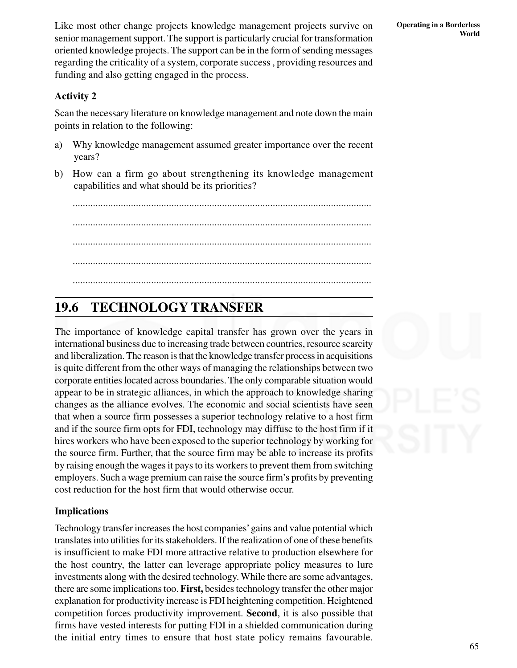Like most other change projects knowledge management projects survive on senior management support. The support is particularly crucial for transformation oriented knowledge projects. The support can be in the form of sending messages regarding the criticality of a system, corporate success , providing resources and funding and also getting engaged in the process.

#### **Activity 2**

Scan the necessary literature on knowledge management and note down the main points in relation to the following:

- a) Why knowledge management assumed greater importance over the recent years?
- b) How can a firm go about strengthening its knowledge management capabilities and what should be its priorities?

...................................................................................................................... ...................................................................................................................... ...................................................................................................................... ...................................................................................................................... ......................................................................................................................

### **19.6 TECHNOLOGY TRANSFER**

The importance of knowledge capital transfer has grown over the years in international business due to increasing trade between countries, resource scarcity and liberalization. The reason is that the knowledge transfer process in acquisitions is quite different from the other ways of managing the relationships between two corporate entities located across boundaries. The only comparable situation would appear to be in strategic alliances, in which the approach to knowledge sharing changes as the alliance evolves. The economic and social scientists have seen that when a source firm possesses a superior technology relative to a host firm and if the source firm opts for FDI, technology may diffuse to the host firm if it hires workers who have been exposed to the superior technology by working for the source firm. Further, that the source firm may be able to increase its profits by raising enough the wages it pays to its workers to prevent them from switching employers. Such a wage premium can raise the source firm's profits by preventing cost reduction for the host firm that would otherwise occur.

#### **Implications**

Technology transfer increases the host companies' gains and value potential which translates into utilities for its stakeholders. If the realization of one of these benefits is insufficient to make FDI more attractive relative to production elsewhere for the host country, the latter can leverage appropriate policy measures to lure investments along with the desired technology. While there are some advantages, there are some implications too. **First,** besides technology transfer the other major explanation for productivity increase is FDI heightening competition. Heightened competition forces productivity improvement. **Second**, it is also possible that firms have vested interests for putting FDI in a shielded communication during the initial entry times to ensure that host state policy remains favourable.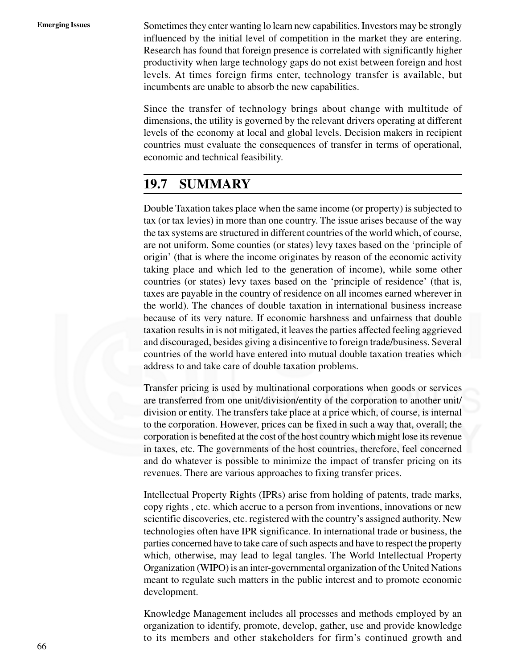**Emerging Issues** Sometimes they enter wanting lo learn new capabilities. Investors may be strongly influenced by the initial level of competition in the market they are entering. Research has found that foreign presence is correlated with significantly higher productivity when large technology gaps do not exist between foreign and host levels. At times foreign firms enter, technology transfer is available, but incumbents are unable to absorb the new capabilities.

> Since the transfer of technology brings about change with multitude of dimensions, the utility is governed by the relevant drivers operating at different levels of the economy at local and global levels. Decision makers in recipient countries must evaluate the consequences of transfer in terms of operational, economic and technical feasibility.

### **19.7 SUMMARY**

Double Taxation takes place when the same income (or property) is subjected to tax (or tax levies) in more than one country. The issue arises because of the way the tax systems are structured in different countries of the world which, of course, are not uniform. Some counties (or states) levy taxes based on the 'principle of origin' (that is where the income originates by reason of the economic activity taking place and which led to the generation of income), while some other countries (or states) levy taxes based on the 'principle of residence' (that is, taxes are payable in the country of residence on all incomes earned wherever in the world). The chances of double taxation in international business increase because of its very nature. If economic harshness and unfairness that double taxation results in is not mitigated, it leaves the parties affected feeling aggrieved and discouraged, besides giving a disincentive to foreign trade/business. Several countries of the world have entered into mutual double taxation treaties which address to and take care of double taxation problems.

Transfer pricing is used by multinational corporations when goods or services are transferred from one unit/division/entity of the corporation to another unit/ division or entity. The transfers take place at a price which, of course, is internal to the corporation. However, prices can be fixed in such a way that, overall; the corporation is benefited at the cost of the host country which might lose its revenue in taxes, etc. The governments of the host countries, therefore, feel concerned and do whatever is possible to minimize the impact of transfer pricing on its revenues. There are various approaches to fixing transfer prices.

Intellectual Property Rights (IPRs) arise from holding of patents, trade marks, copy rights , etc. which accrue to a person from inventions, innovations or new scientific discoveries, etc. registered with the country's assigned authority. New technologies often have IPR significance. In international trade or business, the parties concerned have to take care of such aspects and have to respect the property which, otherwise, may lead to legal tangles. The World Intellectual Property Organization (WIPO) is an inter-governmental organization of the United Nations meant to regulate such matters in the public interest and to promote economic development.

Knowledge Management includes all processes and methods employed by an organization to identify, promote, develop, gather, use and provide knowledge to its members and other stakeholders for firm's continued growth and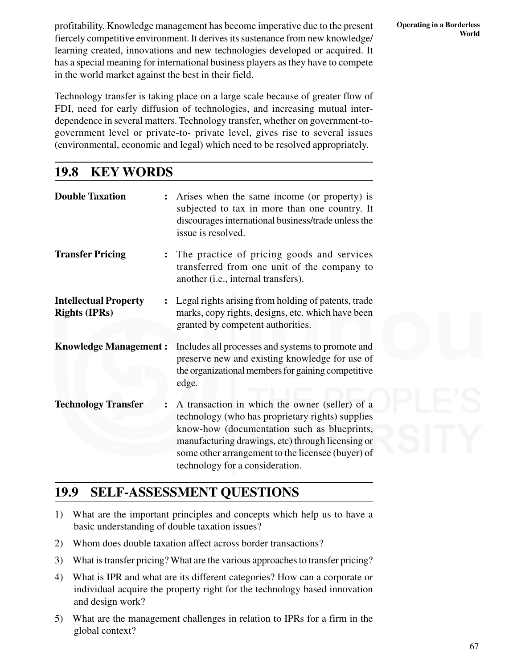profitability. Knowledge management has become imperative due to the present fiercely competitive environment. It derives its sustenance from new knowledge/ learning created, innovations and new technologies developed or acquired. It has a special meaning for international business players as they have to compete in the world market against the best in their field.

Technology transfer is taking place on a large scale because of greater flow of FDI, need for early diffusion of technologies, and increasing mutual interdependence in several matters. Technology transfer, whether on government-togovernment level or private-to- private level, gives rise to several issues (environmental, economic and legal) which need to be resolved appropriately.

### **19.8 KEY WORDS**

| <b>Double Taxation</b>                               | Arises when the same income (or property) is<br>subjected to tax in more than one country. It<br>discourages international business/trade unless the<br>issue is resolved.                                                                                                                     |
|------------------------------------------------------|------------------------------------------------------------------------------------------------------------------------------------------------------------------------------------------------------------------------------------------------------------------------------------------------|
| <b>Transfer Pricing</b>                              | The practice of pricing goods and services<br>transferred from one unit of the company to<br>another (i.e., internal transfers).                                                                                                                                                               |
| <b>Intellectual Property</b><br><b>Rights (IPRs)</b> | Legal rights arising from holding of patents, trade<br>marks, copy rights, designs, etc. which have been<br>granted by competent authorities.                                                                                                                                                  |
| <b>Knowledge Management:</b>                         | Includes all processes and systems to promote and<br>preserve new and existing knowledge for use of<br>the organizational members for gaining competitive<br>edge.                                                                                                                             |
| <b>Technology Transfer</b>                           | A transaction in which the owner (seller) of a<br>technology (who has proprietary rights) supplies<br>know-how (documentation such as blueprints,<br>manufacturing drawings, etc) through licensing or<br>some other arrangement to the licensee (buyer) of<br>technology for a consideration. |

### **19.9 SELF-ASSESSMENT QUESTIONS**

- 1) What are the important principles and concepts which help us to have a basic understanding of double taxation issues?
- 2) Whom does double taxation affect across border transactions?
- 3) What is transfer pricing? What are the various approaches to transfer pricing?
- 4) What is IPR and what are its different categories? How can a corporate or individual acquire the property right for the technology based innovation and design work?
- 5) What are the management challenges in relation to IPRs for a firm in the global context?